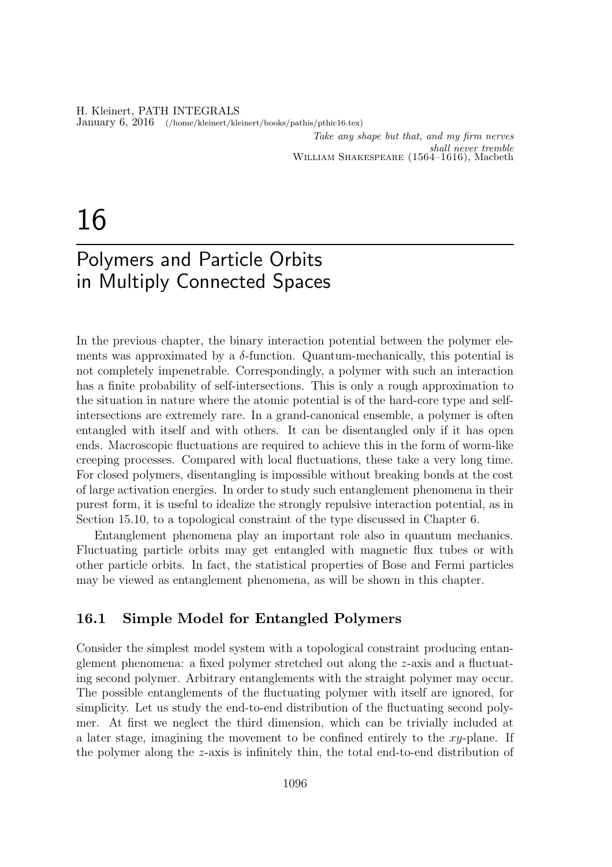H. Kleinert, PATH INTEGRALS January 6, 2016 (/home/kleinert/kleinert/books/pathis/pthic16.tex)

Take any shape but that, and my firm nerves shall never tremble William Shakespeare (1564–1616), Macbeth

# 16

# Polymers and Particle Orbits in Multiply Connected Spaces

In the previous chapter, the binary interaction potential between the polymer elements was approximated by a  $\delta$ -function. Quantum-mechanically, this potential is not completely impenetrable. Correspondingly, a polymer with such an interaction has a finite probability of self-intersections. This is only a rough approximation to the situation in nature where the atomic potential is of the hard-core type and selfintersections are extremely rare. In a grand-canonical ensemble, a polymer is often entangled with itself and with others. It can be disentangled only if it has open ends. Macroscopic fluctuations are required to achieve this in the form of worm-like creeping processes. Compared with local fluctuations, these take a very long time. For closed polymers, disentangling is impossible without breaking bonds at the cost of large activation energies. In order to study such entanglement phenomena in their purest form, it is useful to idealize the strongly repulsive interaction potential, as in Section 15.10, to a topological constraint of the type discussed in Chapter 6.

Entanglement phenomena play an important role also in quantum mechanics. Fluctuating particle orbits may get entangled with magnetic flux tubes or with other particle orbits. In fact, the statistical properties of Bose and Fermi particles may be viewed as entanglement phenomena, as will be shown in this chapter.

### 16.1 Simple Model for Entangled Polymers

Consider the simplest model system with a topological constraint producing entanglement phenomena: a fixed polymer stretched out along the z-axis and a fluctuating second polymer. Arbitrary entanglements with the straight polymer may occur. The possible entanglements of the fluctuating polymer with itself are ignored, for simplicity. Let us study the end-to-end distribution of the fluctuating second polymer. At first we neglect the third dimension, which can be trivially included at a later stage, imagining the movement to be confined entirely to the  $xy$ -plane. If the polymer along the z-axis is infinitely thin, the total end-to-end distribution of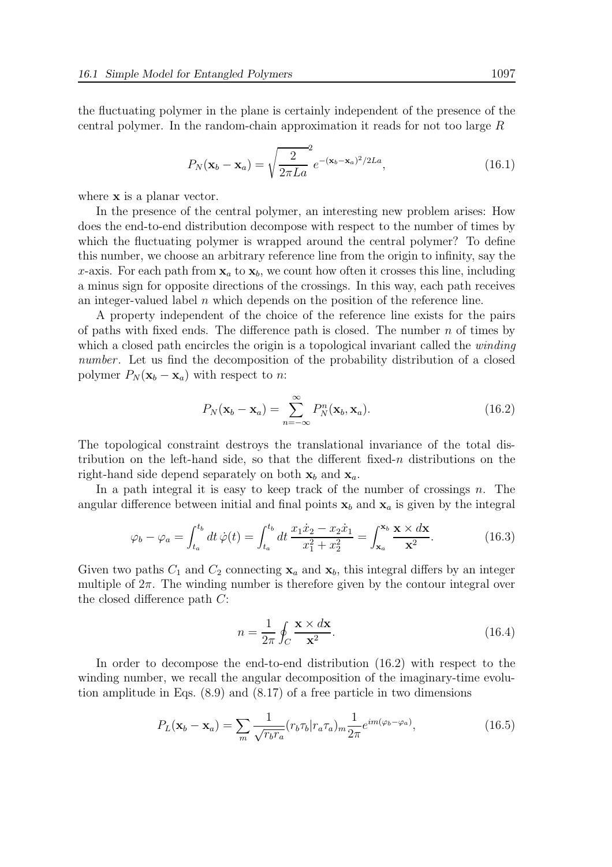the fluctuating polymer in the plane is certainly independent of the presence of the central polymer. In the random-chain approximation it reads for not too large R

$$
P_N(\mathbf{x}_b - \mathbf{x}_a) = \sqrt{\frac{2}{2\pi La}}^2 e^{-(\mathbf{x}_b - \mathbf{x}_a)^2 / 2La}, \qquad (16.1)
$$

where **x** is a planar vector.

In the presence of the central polymer, an interesting new problem arises: How does the end-to-end distribution decompose with respect to the number of times by which the fluctuating polymer is wrapped around the central polymer? To define this number, we choose an arbitrary reference line from the origin to infinity, say the x-axis. For each path from  $x_a$  to  $x_b$ , we count how often it crosses this line, including a minus sign for opposite directions of the crossings. In this way, each path receives an integer-valued label  $n$  which depends on the position of the reference line.

A property independent of the choice of the reference line exists for the pairs of paths with fixed ends. The difference path is closed. The number  $n$  of times by which a closed path encircles the origin is a topological invariant called the *winding* number. Let us find the decomposition of the probability distribution of a closed polymer  $P_N(\mathbf{x}_b - \mathbf{x}_a)$  with respect to n:

$$
P_N(\mathbf{x}_b - \mathbf{x}_a) = \sum_{n=-\infty}^{\infty} P_N^n(\mathbf{x}_b, \mathbf{x}_a).
$$
 (16.2)

The topological constraint destroys the translational invariance of the total distribution on the left-hand side, so that the different fixed- $n$  distributions on the right-hand side depend separately on both  $x_b$  and  $x_a$ .

In a path integral it is easy to keep track of the number of crossings  $n$ . The angular difference between initial and final points  $x_b$  and  $x_a$  is given by the integral

$$
\varphi_b - \varphi_a = \int_{t_a}^{t_b} dt \, \dot{\varphi}(t) = \int_{t_a}^{t_b} dt \, \frac{x_1 \dot{x}_2 - x_2 \dot{x}_1}{x_1^2 + x_2^2} = \int_{\mathbf{x}_a}^{\mathbf{x}_b} \frac{\mathbf{x} \times d\mathbf{x}}{\mathbf{x}^2}.
$$
 (16.3)

Given two paths  $C_1$  and  $C_2$  connecting  $x_a$  and  $x_b$ , this integral differs by an integer multiple of  $2\pi$ . The winding number is therefore given by the contour integral over the closed difference path C:

$$
n = \frac{1}{2\pi} \oint_C \frac{\mathbf{x} \times d\mathbf{x}}{\mathbf{x}^2}.
$$
 (16.4)

In order to decompose the end-to-end distribution (16.2) with respect to the winding number, we recall the angular decomposition of the imaginary-time evolution amplitude in Eqs. (8.9) and (8.17) of a free particle in two dimensions

$$
P_L(\mathbf{x}_b - \mathbf{x}_a) = \sum_m \frac{1}{\sqrt{r_b r_a}} (r_b \tau_b | r_a \tau_a)_{m} \frac{1}{2\pi} e^{im(\varphi_b - \varphi_a)}, \qquad (16.5)
$$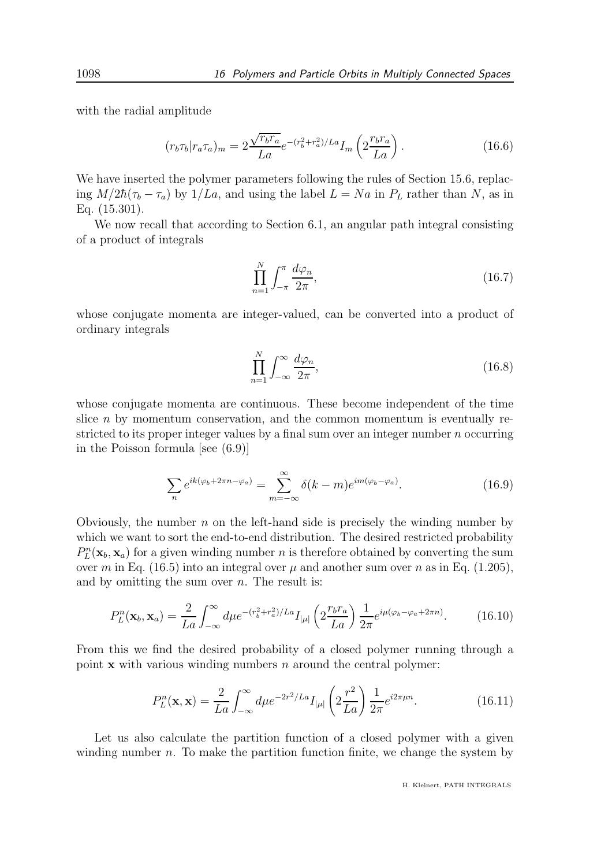with the radial amplitude

$$
(r_b \tau_b | r_a \tau_a)_m = 2 \frac{\sqrt{r_b r_a}}{La} e^{-(r_b^2 + r_a^2)/La} I_m \left( 2 \frac{r_b r_a}{La} \right).
$$
 (16.6)

We have inserted the polymer parameters following the rules of Section 15.6, replacing  $M/2\hbar(\tau_b - \tau_a)$  by  $1/La$ , and using the label  $L = Na$  in  $P_L$  rather than N, as in Eq. (15.301).

We now recall that according to Section 6.1, an angular path integral consisting of a product of integrals

$$
\prod_{n=1}^{N} \int_{-\pi}^{\pi} \frac{d\varphi_n}{2\pi},\tag{16.7}
$$

whose conjugate momenta are integer-valued, can be converted into a product of ordinary integrals

$$
\prod_{n=1}^{N} \int_{-\infty}^{\infty} \frac{d\varphi_n}{2\pi},\tag{16.8}
$$

whose conjugate momenta are continuous. These become independent of the time slice  $n$  by momentum conservation, and the common momentum is eventually restricted to its proper integer values by a final sum over an integer number n occurring in the Poisson formula [see (6.9)]

$$
\sum_{n} e^{ik(\varphi_b + 2\pi n - \varphi_a)} = \sum_{m = -\infty}^{\infty} \delta(k - m) e^{im(\varphi_b - \varphi_a)}.
$$
 (16.9)

Obviously, the number  $n$  on the left-hand side is precisely the winding number by which we want to sort the end-to-end distribution. The desired restricted probability  $P_L^n(\mathbf{x}_b, \mathbf{x}_a)$  for a given winding number n is therefore obtained by converting the sum over m in Eq. (16.5) into an integral over  $\mu$  and another sum over n as in Eq. (1.205), and by omitting the sum over  $n$ . The result is:

$$
P_L^n(\mathbf{x}_b, \mathbf{x}_a) = \frac{2}{La} \int_{-\infty}^{\infty} d\mu e^{-(r_b^2 + r_a^2)/La} I_{|\mu|} \left( 2 \frac{r_b r_a}{La} \right) \frac{1}{2\pi} e^{i\mu(\varphi_b - \varphi_a + 2\pi n)}.
$$
 (16.10)

From this we find the desired probability of a closed polymer running through a point  $x$  with various winding numbers  $n$  around the central polymer:

$$
P_L^n(\mathbf{x}, \mathbf{x}) = \frac{2}{La} \int_{-\infty}^{\infty} d\mu e^{-2r^2/La} I_{|\mu|} \left( 2\frac{r^2}{La} \right) \frac{1}{2\pi} e^{i2\pi\mu n}.
$$
 (16.11)

Let us also calculate the partition function of a closed polymer with a given winding number  $n$ . To make the partition function finite, we change the system by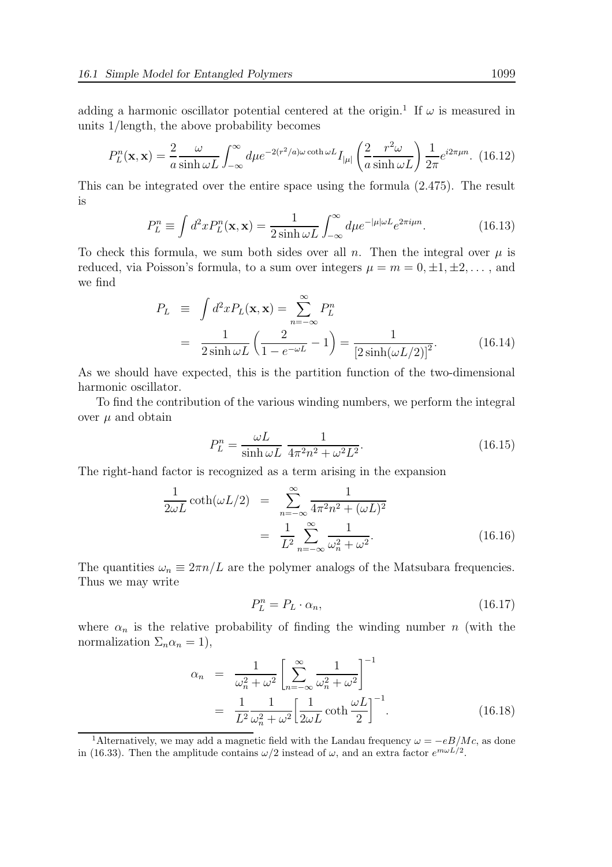adding a harmonic oscillator potential centered at the origin.<sup>1</sup> If  $\omega$  is measured in units 1/length, the above probability becomes

$$
P_L^n(\mathbf{x}, \mathbf{x}) = \frac{2}{a} \frac{\omega}{\sinh \omega L} \int_{-\infty}^{\infty} d\mu e^{-2(r^2/a)\omega \coth \omega L} I_{|\mu|} \left(\frac{2}{a} \frac{r^2 \omega}{\sinh \omega L}\right) \frac{1}{2\pi} e^{i2\pi \mu n}. \tag{16.12}
$$

This can be integrated over the entire space using the formula (2.475). The result is

$$
P_L^n \equiv \int d^2x P_L^n(\mathbf{x}, \mathbf{x}) = \frac{1}{2 \sinh \omega L} \int_{-\infty}^{\infty} d\mu e^{-|\mu| \omega L} e^{2\pi i \mu n}.
$$
 (16.13)

To check this formula, we sum both sides over all n. Then the integral over  $\mu$  is reduced, via Poisson's formula, to a sum over integers  $\mu = m = 0, \pm 1, \pm 2, \ldots$ , and we find

$$
P_L \equiv \int d^2x P_L(\mathbf{x}, \mathbf{x}) = \sum_{n = -\infty}^{\infty} P_L^n
$$
  
= 
$$
\frac{1}{2 \sinh \omega L} \left( \frac{2}{1 - e^{-\omega L}} - 1 \right) = \frac{1}{\left[ 2 \sinh(\omega L/2) \right]^2}.
$$
 (16.14)

As we should have expected, this is the partition function of the two-dimensional harmonic oscillator.

To find the contribution of the various winding numbers, we perform the integral over  $\mu$  and obtain

$$
P_L^n = \frac{\omega L}{\sinh \omega L} \frac{1}{4\pi^2 n^2 + \omega^2 L^2}.
$$
\n(16.15)

The right-hand factor is recognized as a term arising in the expansion

$$
\frac{1}{2\omega L} \coth(\omega L/2) = \sum_{n=-\infty}^{\infty} \frac{1}{4\pi^2 n^2 + (\omega L)^2}
$$

$$
= \frac{1}{L^2} \sum_{n=-\infty}^{\infty} \frac{1}{\omega_n^2 + \omega^2}.
$$
(16.16)

The quantities  $\omega_n \equiv 2\pi n/L$  are the polymer analogs of the Matsubara frequencies. Thus we may write

$$
P_L^n = P_L \cdot \alpha_n,\tag{16.17}
$$

where  $\alpha_n$  is the relative probability of finding the winding number n (with the normalization  $\Sigma_n \alpha_n = 1$ ,

$$
\alpha_n = \frac{1}{\omega_n^2 + \omega^2} \left[ \sum_{n = -\infty}^{\infty} \frac{1}{\omega_n^2 + \omega^2} \right]^{-1}
$$

$$
= \frac{1}{L^2} \frac{1}{\omega_n^2 + \omega^2} \left[ \frac{1}{2\omega L} \coth \frac{\omega L}{2} \right]^{-1}.
$$
(16.18)

<sup>1</sup>Alternatively, we may add a magnetic field with the Landau frequency  $\omega = -eB/Mc$ , as done in (16.33). Then the amplitude contains  $\omega/2$  instead of  $\omega$ , and an extra factor  $e^{m\omega L/2}$ .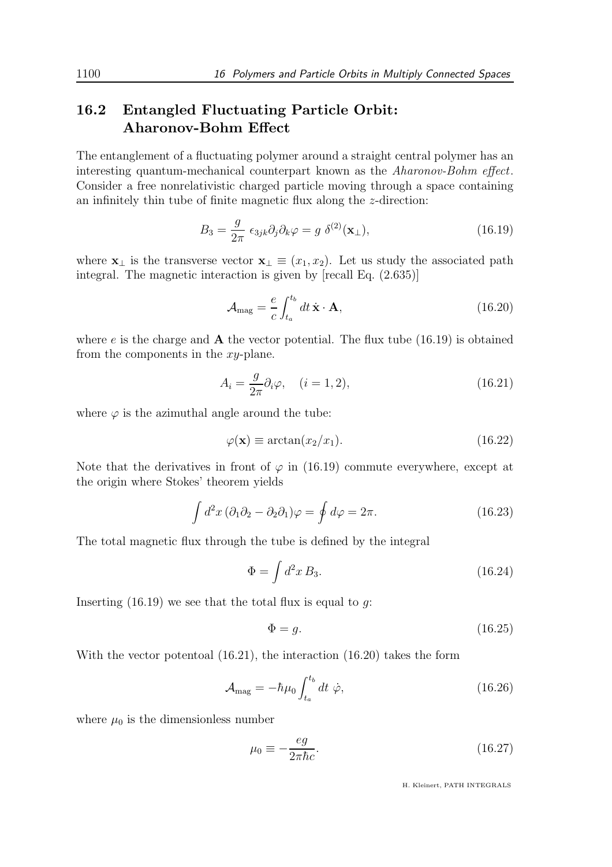## 16.2 Entangled Fluctuating Particle Orbit: Aharonov-Bohm Effect

The entanglement of a fluctuating polymer around a straight central polymer has an interesting quantum-mechanical counterpart known as the Aharonov-Bohm effect. Consider a free nonrelativistic charged particle moving through a space containing an infinitely thin tube of finite magnetic flux along the z-direction:

$$
B_3 = \frac{g}{2\pi} \epsilon_{3jk} \partial_j \partial_k \varphi = g \delta^{(2)}(\mathbf{x}_\perp), \tag{16.19}
$$

where  $\mathbf{x}_\perp$  is the transverse vector  $\mathbf{x}_\perp \equiv (x_1, x_2)$ . Let us study the associated path integral. The magnetic interaction is given by [recall Eq. (2.635)]

$$
\mathcal{A}_{\text{mag}} = \frac{e}{c} \int_{t_a}^{t_b} dt \, \dot{\mathbf{x}} \cdot \mathbf{A},\tag{16.20}
$$

where  $e$  is the charge and  $\bf{A}$  the vector potential. The flux tube (16.19) is obtained from the components in the xy-plane.

$$
A_i = \frac{g}{2\pi}\partial_i\varphi, \quad (i = 1, 2), \tag{16.21}
$$

where  $\varphi$  is the azimuthal angle around the tube:

$$
\varphi(\mathbf{x}) \equiv \arctan(x_2/x_1). \tag{16.22}
$$

Note that the derivatives in front of  $\varphi$  in (16.19) commute everywhere, except at the origin where Stokes' theorem yields

$$
\int d^2x \left(\partial_1 \partial_2 - \partial_2 \partial_1\right) \varphi = \oint d\varphi = 2\pi. \tag{16.23}
$$

The total magnetic flux through the tube is defined by the integral

$$
\Phi = \int d^2x \, B_3. \tag{16.24}
$$

Inserting  $(16.19)$  we see that the total flux is equal to g:

$$
\Phi = g. \tag{16.25}
$$

With the vector potentoal (16.21), the interaction (16.20) takes the form

$$
\mathcal{A}_{\text{mag}} = -\hbar \mu_0 \int_{t_a}^{t_b} dt \dot{\varphi}, \qquad (16.26)
$$

where  $\mu_0$  is the dimensionless number

$$
\mu_0 \equiv -\frac{eg}{2\pi\hbar c}.\tag{16.27}
$$

H. Kleinert, PATH INTEGRALS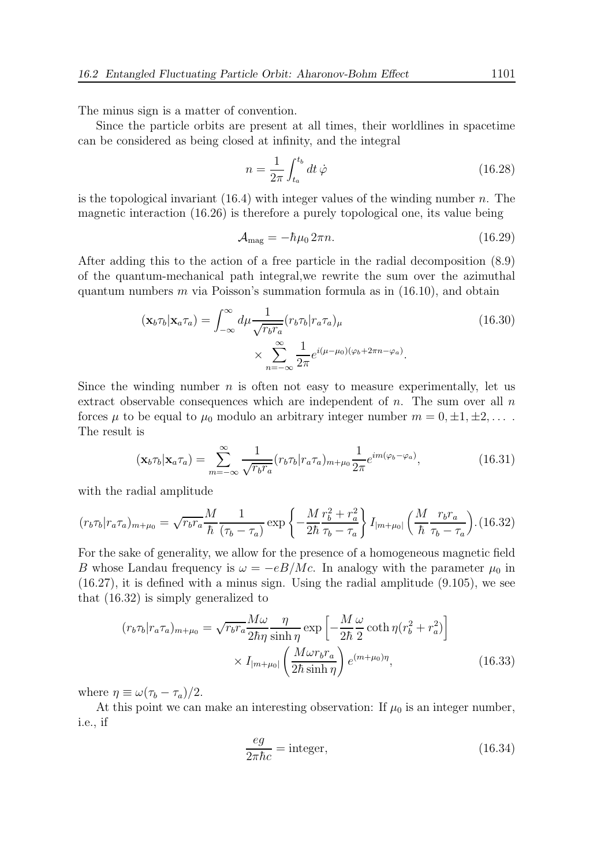The minus sign is a matter of convention.

Since the particle orbits are present at all times, their worldlines in spacetime can be considered as being closed at infinity, and the integral

$$
n = \frac{1}{2\pi} \int_{t_a}^{t_b} dt \,\dot{\varphi} \tag{16.28}
$$

is the topological invariant  $(16.4)$  with integer values of the winding number n. The magnetic interaction (16.26) is therefore a purely topological one, its value being

$$
\mathcal{A}_{\text{mag}} = -\hbar \mu_0 2\pi n. \tag{16.29}
$$

After adding this to the action of a free particle in the radial decomposition (8.9) of the quantum-mechanical path integral,we rewrite the sum over the azimuthal quantum numbers  $m$  via Poisson's summation formula as in  $(16.10)$ , and obtain

$$
(\mathbf{x}_b \tau_b | \mathbf{x}_a \tau_a) = \int_{-\infty}^{\infty} d\mu \frac{1}{\sqrt{r_b r_a}} (r_b \tau_b | r_a \tau_a)_{\mu}
$$
  
 
$$
\times \sum_{n=-\infty}^{\infty} \frac{1}{2\pi} e^{i(\mu - \mu_0)(\varphi_b + 2\pi n - \varphi_a)}.
$$
 (16.30)

Since the winding number  $n$  is often not easy to measure experimentally, let us extract observable consequences which are independent of  $n$ . The sum over all  $n$ forces  $\mu$  to be equal to  $\mu_0$  modulo an arbitrary integer number  $m = 0, \pm 1, \pm 2, \ldots$ . The result is

$$
(\mathbf{x}_b \tau_b | \mathbf{x}_a \tau_a) = \sum_{m=-\infty}^{\infty} \frac{1}{\sqrt{r_b r_a}} (r_b \tau_b | r_a \tau_a)_{m+\mu_0} \frac{1}{2\pi} e^{im(\varphi_b - \varphi_a)}, \qquad (16.31)
$$

with the radial amplitude

$$
(r_b \tau_b | r_a \tau_a)_{m+\mu_0} = \sqrt{r_b r_a} \frac{M}{\hbar} \frac{1}{(\tau_b - \tau_a)} \exp\left\{-\frac{M}{2\hbar} \frac{r_b^2 + r_a^2}{\tau_b - \tau_a}\right\} I_{|m+\mu_0|} \left(\frac{M}{\hbar} \frac{r_b r_a}{\tau_b - \tau_a}\right). (16.32)
$$

For the sake of generality, we allow for the presence of a homogeneous magnetic field B whose Landau frequency is  $\omega = -eB/Mc$ . In analogy with the parameter  $\mu_0$  in (16.27), it is defined with a minus sign. Using the radial amplitude (9.105), we see that (16.32) is simply generalized to

$$
(r_b \tau_b | r_a \tau_a)_{m+\mu_0} = \sqrt{r_b r_a} \frac{M\omega}{2\hbar \eta} \frac{\eta}{\sinh \eta} \exp\left[-\frac{M}{2\hbar} \frac{\omega}{2} \coth \eta (r_b^2 + r_a^2)\right] \times I_{|m+\mu_0|} \left(\frac{M\omega r_b r_a}{2\hbar \sinh \eta}\right) e^{(m+\mu_0)\eta},\tag{16.33}
$$

where  $\eta \equiv \omega(\tau_b - \tau_a)/2$ .

At this point we can make an interesting observation: If  $\mu_0$  is an integer number, i.e., if

$$
\frac{eg}{2\pi\hbar c} = \text{integer},\tag{16.34}
$$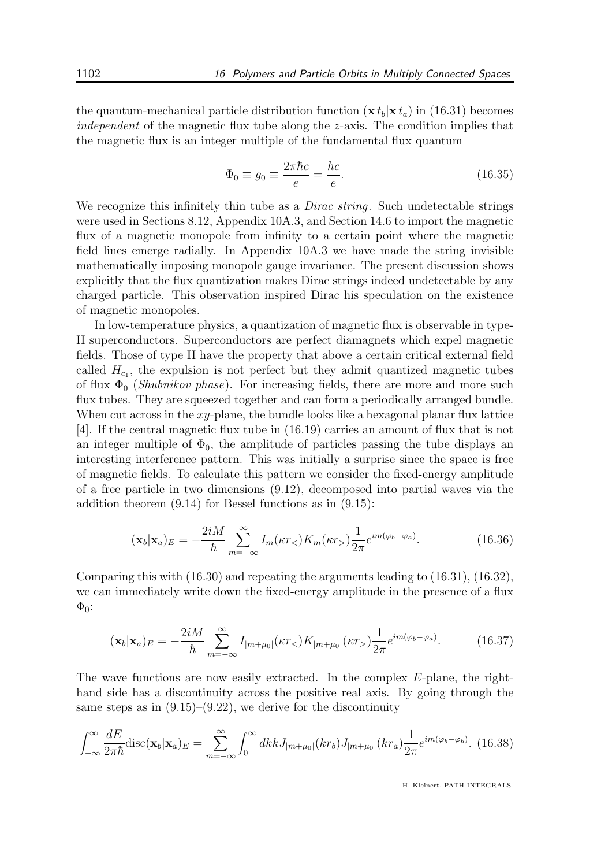the quantum-mechanical particle distribution function  $(\mathbf{x} t_b|\mathbf{x} t_a)$  in (16.31) becomes independent of the magnetic flux tube along the z-axis. The condition implies that the magnetic flux is an integer multiple of the fundamental flux quantum

$$
\Phi_0 \equiv g_0 \equiv \frac{2\pi\hbar c}{e} = \frac{hc}{e}.\tag{16.35}
$$

We recognize this infinitely thin tube as a *Dirac string*. Such undetectable strings were used in Sections 8.12, Appendix 10A.3, and Section 14.6 to import the magnetic flux of a magnetic monopole from infinity to a certain point where the magnetic field lines emerge radially. In Appendix 10A.3 we have made the string invisible mathematically imposing monopole gauge invariance. The present discussion shows explicitly that the flux quantization makes Dirac strings indeed undetectable by any charged particle. This observation inspired Dirac his speculation on the existence of magnetic monopoles.

In low-temperature physics, a quantization of magnetic flux is observable in type-II superconductors. Superconductors are perfect diamagnets which expel magnetic fields. Those of type II have the property that above a certain critical external field called  $H_{c_1}$ , the expulsion is not perfect but they admit quantized magnetic tubes of flux  $\Phi_0$  (*Shubnikov phase*). For increasing fields, there are more and more such flux tubes. They are squeezed together and can form a periodically arranged bundle. When cut across in the  $xy$ -plane, the bundle looks like a hexagonal planar flux lattice [4]. If the central magnetic flux tube in (16.19) carries an amount of flux that is not an integer multiple of  $\Phi_0$ , the amplitude of particles passing the tube displays an interesting interference pattern. This was initially a surprise since the space is free of magnetic fields. To calculate this pattern we consider the fixed-energy amplitude of a free particle in two dimensions (9.12), decomposed into partial waves via the addition theorem (9.14) for Bessel functions as in (9.15):

$$
(\mathbf{x}_b|\mathbf{x}_a)_E = -\frac{2iM}{\hbar} \sum_{m=-\infty}^{\infty} I_m(\kappa r_<) K_m(\kappa r_>) \frac{1}{2\pi} e^{im(\varphi_b - \varphi_a)}.
$$
 (16.36)

Comparing this with (16.30) and repeating the arguments leading to (16.31), (16.32), we can immediately write down the fixed-energy amplitude in the presence of a flux  $\Phi_0$ :

$$
(\mathbf{x}_b|\mathbf{x}_a)_E = -\frac{2iM}{\hbar} \sum_{m=-\infty}^{\infty} I_{|m+\mu_0|}(\kappa r_<) K_{|m+\mu_0|}(\kappa r_>) \frac{1}{2\pi} e^{im(\varphi_b - \varphi_a)}.
$$
 (16.37)

The wave functions are now easily extracted. In the complex  $E$ -plane, the righthand side has a discontinuity across the positive real axis. By going through the same steps as in  $(9.15)$ – $(9.22)$ , we derive for the discontinuity

$$
\int_{-\infty}^{\infty} \frac{dE}{2\pi\hbar} \text{disc}(\mathbf{x}_b|\mathbf{x}_a)_{E} = \sum_{m=-\infty}^{\infty} \int_0^{\infty} dk k J_{|m+\mu_0|}(kr_b) J_{|m+\mu_0|}(kr_a) \frac{1}{2\pi} e^{im(\varphi_b - \varphi_b)}.
$$
 (16.38)

H. Kleinert, PATH INTEGRALS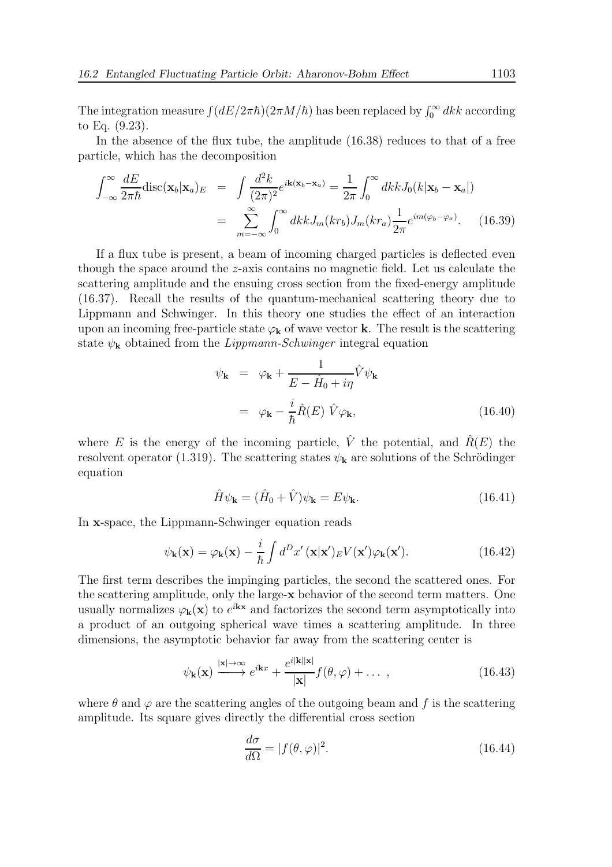The integration measure  $\int (dE/2\pi\hbar)(2\pi M/\hbar)$  has been replaced by  $\int_0^\infty dk k$  according to Eq. (9.23).

In the absence of the flux tube, the amplitude (16.38) reduces to that of a free particle, which has the decomposition

$$
\int_{-\infty}^{\infty} \frac{dE}{2\pi\hbar} \text{disc}(\mathbf{x}_b|\mathbf{x}_a)_{E} = \int \frac{d^2k}{(2\pi)^2} e^{i\mathbf{k}(\mathbf{x}_b - \mathbf{x}_a)} = \frac{1}{2\pi} \int_{0}^{\infty} dk k J_0(k|\mathbf{x}_b - \mathbf{x}_a|)
$$

$$
= \sum_{m=-\infty}^{\infty} \int_{0}^{\infty} dk k J_m(kr_b) J_m(kr_a) \frac{1}{2\pi} e^{im(\varphi_b - \varphi_a)}.
$$
(16.39)

If a flux tube is present, a beam of incoming charged particles is deflected even though the space around the z-axis contains no magnetic field. Let us calculate the scattering amplitude and the ensuing cross section from the fixed-energy amplitude (16.37). Recall the results of the quantum-mechanical scattering theory due to Lippmann and Schwinger. In this theory one studies the effect of an interaction upon an incoming free-particle state  $\varphi_{\mathbf{k}}$  of wave vector **k**. The result is the scattering state  $\psi_{\mathbf{k}}$  obtained from the *Lippmann-Schwinger* integral equation

$$
\psi_{\mathbf{k}} = \varphi_{\mathbf{k}} + \frac{1}{E - \hat{H}_0 + i\eta} \hat{V} \psi_{\mathbf{k}}
$$

$$
= \varphi_{\mathbf{k}} - \frac{i}{\hbar} \hat{R}(E) \hat{V} \varphi_{\mathbf{k}}, \qquad (16.40)
$$

where E is the energy of the incoming particle,  $\hat{V}$  the potential, and  $\hat{R}(E)$  the resolvent operator (1.319). The scattering states  $\psi_{\mathbf{k}}$  are solutions of the Schrödinger equation

$$
\hat{H}\psi_{\mathbf{k}} = (\hat{H}_0 + \hat{V})\psi_{\mathbf{k}} = E\psi_{\mathbf{k}}.\tag{16.41}
$$

In x-space, the Lippmann-Schwinger equation reads

$$
\psi_{\mathbf{k}}(\mathbf{x}) = \varphi_{\mathbf{k}}(\mathbf{x}) - \frac{i}{\hbar} \int d^D x' (\mathbf{x} | \mathbf{x}')_E V(\mathbf{x}') \varphi_{\mathbf{k}}(\mathbf{x}'). \qquad (16.42)
$$

The first term describes the impinging particles, the second the scattered ones. For the scattering amplitude, only the large-x behavior of the second term matters. One usually normalizes  $\varphi_{\mathbf{k}}(\mathbf{x})$  to  $e^{i\mathbf{k}\mathbf{x}}$  and factorizes the second term asymptotically into a product of an outgoing spherical wave times a scattering amplitude. In three dimensions, the asymptotic behavior far away from the scattering center is

$$
\psi_{\mathbf{k}}(\mathbf{x}) \xrightarrow{|\mathbf{x}| \to \infty} e^{i\mathbf{k}x} + \frac{e^{i|\mathbf{k}||\mathbf{x}|}}{|\mathbf{x}|} f(\theta, \varphi) + \dots \,, \tag{16.43}
$$

where  $\theta$  and  $\varphi$  are the scattering angles of the outgoing beam and f is the scattering amplitude. Its square gives directly the differential cross section

$$
\frac{d\sigma}{d\Omega} = |f(\theta, \varphi)|^2. \tag{16.44}
$$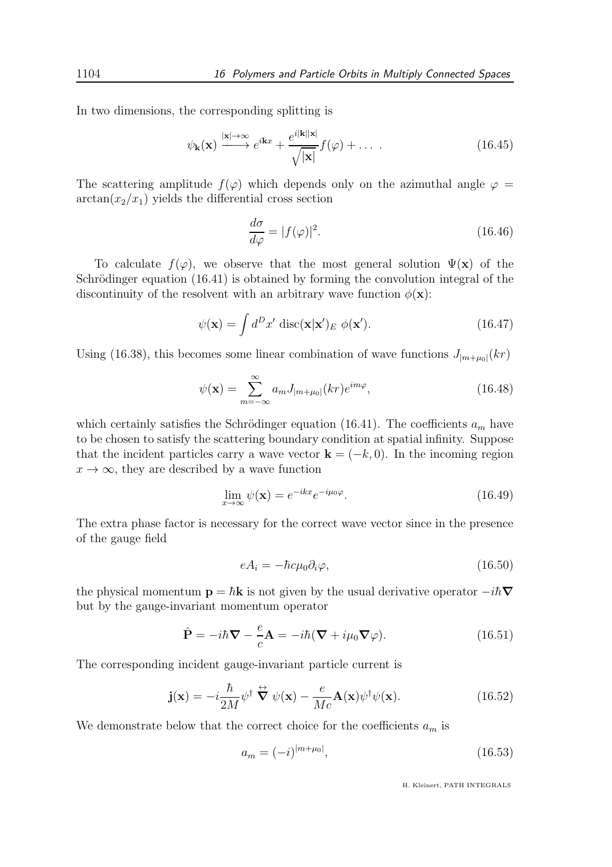In two dimensions, the corresponding splitting is

$$
\psi_{\mathbf{k}}(\mathbf{x}) \xrightarrow{|\mathbf{x}| \to \infty} e^{i\mathbf{k}x} + \frac{e^{i|\mathbf{k}||\mathbf{x}|}}{\sqrt{|\mathbf{x}|}} f(\varphi) + \dots
$$
 (16.45)

The scattering amplitude  $f(\varphi)$  which depends only on the azimuthal angle  $\varphi =$  $arctan(x_2/x_1)$  yields the differential cross section

$$
\frac{d\sigma}{d\varphi} = |f(\varphi)|^2. \tag{16.46}
$$

To calculate  $f(\varphi)$ , we observe that the most general solution  $\Psi(\mathbf{x})$  of the Schrödinger equation  $(16.41)$  is obtained by forming the convolution integral of the discontinuity of the resolvent with an arbitrary wave function  $\phi(\mathbf{x})$ :

$$
\psi(\mathbf{x}) = \int d^D x' \operatorname{disc}(\mathbf{x}|\mathbf{x}')_E \phi(\mathbf{x}'). \qquad (16.47)
$$

Using (16.38), this becomes some linear combination of wave functions  $J_{|m+\mu_0|}(kr)$ 

$$
\psi(\mathbf{x}) = \sum_{m=-\infty}^{\infty} a_m J_{|m+\mu_0|}(kr) e^{im\varphi}, \qquad (16.48)
$$

which certainly satisfies the Schrödinger equation (16.41). The coefficients  $a_m$  have to be chosen to satisfy the scattering boundary condition at spatial infinity. Suppose that the incident particles carry a wave vector  $\mathbf{k} = (-k, 0)$ . In the incoming region  $x \to \infty$ , they are described by a wave function

$$
\lim_{x \to \infty} \psi(\mathbf{x}) = e^{-ikx} e^{-i\mu_0 \varphi}.
$$
\n(16.49)

The extra phase factor is necessary for the correct wave vector since in the presence of the gauge field

$$
eA_i = -\hbar c\mu_0 \partial_i \varphi,\tag{16.50}
$$

the physical momentum  $\mathbf{p} = \hbar \mathbf{k}$  is not given by the usual derivative operator  $-i\hbar\boldsymbol{\nabla}$ but by the gauge-invariant momentum operator

$$
\hat{\mathbf{P}} = -i\hbar \mathbf{\nabla} - \frac{e}{c} \mathbf{A} = -i\hbar (\mathbf{\nabla} + i\mu_0 \mathbf{\nabla} \varphi).
$$
\n(16.51)

The corresponding incident gauge-invariant particle current is

$$
\mathbf{j}(\mathbf{x}) = -i\frac{\hbar}{2M}\psi^{\dagger} \stackrel{\leftrightarrow}{\nabla} \psi(\mathbf{x}) - \frac{e}{Mc}\mathbf{A}(\mathbf{x})\psi^{\dagger}\psi(\mathbf{x}).
$$
 (16.52)

We demonstrate below that the correct choice for the coefficients  $a_m$  is

$$
a_m = (-i)^{|m + \mu_0|},\tag{16.53}
$$

H. Kleinert, PATH INTEGRALS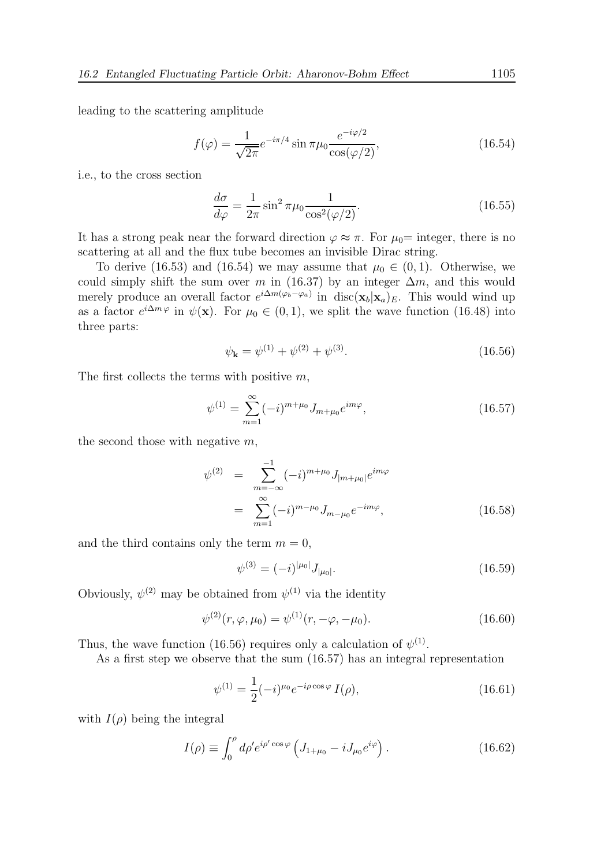leading to the scattering amplitude

$$
f(\varphi) = \frac{1}{\sqrt{2\pi}} e^{-i\pi/4} \sin \pi \mu_0 \frac{e^{-i\varphi/2}}{\cos(\varphi/2)},
$$
(16.54)

i.e., to the cross section

$$
\frac{d\sigma}{d\varphi} = \frac{1}{2\pi} \sin^2 \pi \mu_0 \frac{1}{\cos^2(\varphi/2)}.
$$
\n(16.55)

It has a strong peak near the forward direction  $\varphi \approx \pi$ . For  $\mu_0$ = integer, there is no scattering at all and the flux tube becomes an invisible Dirac string.

To derive (16.53) and (16.54) we may assume that  $\mu_0 \in (0,1)$ . Otherwise, we could simply shift the sum over m in (16.37) by an integer  $\Delta m$ , and this would merely produce an overall factor  $e^{i\Delta m(\varphi_b-\varphi_a)}$  in disc( $(\mathbf{x}_b|\mathbf{x}_a)_E$ . This would wind up as a factor  $e^{i\Delta m\varphi}$  in  $\psi(\mathbf{x})$ . For  $\mu_0 \in (0,1)$ , we split the wave function (16.48) into three parts:

$$
\psi_{\mathbf{k}} = \psi^{(1)} + \psi^{(2)} + \psi^{(3)}.
$$
\n(16.56)

The first collects the terms with positive  $m$ ,

$$
\psi^{(1)} = \sum_{m=1}^{\infty} (-i)^{m+\mu_0} J_{m+\mu_0} e^{im\varphi}, \qquad (16.57)
$$

the second those with negative  $m$ ,

$$
\psi^{(2)} = \sum_{m=-\infty}^{-1} (-i)^{m+\mu_0} J_{|m+\mu_0|} e^{im\varphi}
$$
  
= 
$$
\sum_{m=1}^{\infty} (-i)^{m-\mu_0} J_{m-\mu_0} e^{-im\varphi},
$$
 (16.58)

and the third contains only the term  $m = 0$ ,

$$
\psi^{(3)} = (-i)^{|\mu_0|} J_{|\mu_0|}.\tag{16.59}
$$

Obviously,  $\psi^{(2)}$  may be obtained from  $\psi^{(1)}$  via the identity

$$
\psi^{(2)}(r,\varphi,\mu_0) = \psi^{(1)}(r,-\varphi,-\mu_0). \tag{16.60}
$$

Thus, the wave function (16.56) requires only a calculation of  $\psi^{(1)}$ .

As a first step we observe that the sum (16.57) has an integral representation

$$
\psi^{(1)} = \frac{1}{2}(-i)^{\mu_0} e^{-i\rho \cos \varphi} I(\rho), \qquad (16.61)
$$

with  $I(\rho)$  being the integral

$$
I(\rho) \equiv \int_0^{\rho} d\rho' e^{i\rho' \cos \varphi} \left( J_{1+\mu_0} - i J_{\mu_0} e^{i\varphi} \right). \tag{16.62}
$$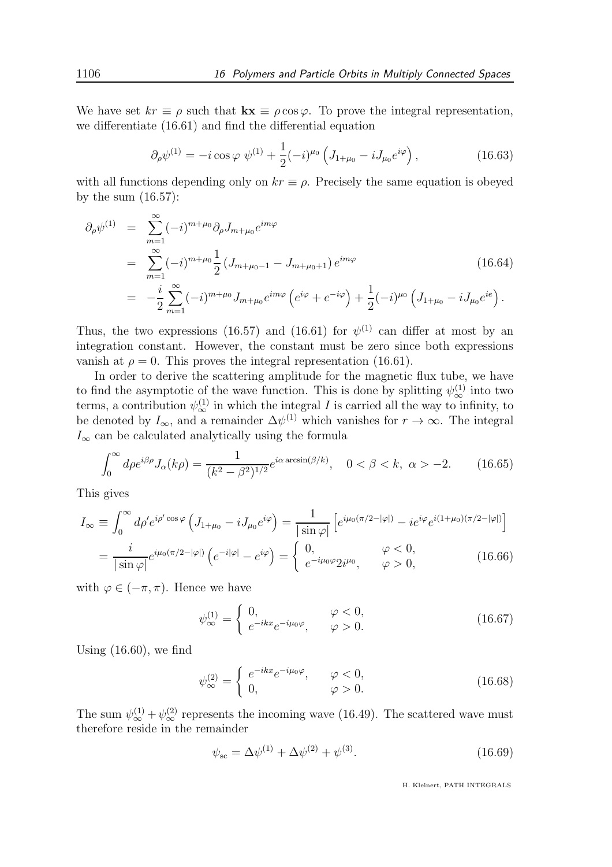We have set  $kr \equiv \rho \text{ such that } kx \equiv \rho \cos \varphi$ . To prove the integral representation, we differentiate (16.61) and find the differential equation

$$
\partial_{\rho}\psi^{(1)} = -i\cos\varphi\ \psi^{(1)} + \frac{1}{2}(-i)^{\mu_0}\left(J_{1+\mu_0} - iJ_{\mu_0}e^{i\varphi}\right),\tag{16.63}
$$

with all functions depending only on  $kr \equiv \rho$ . Precisely the same equation is obeyed by the sum  $(16.57)$ :

$$
\partial_{\rho}\psi^{(1)} = \sum_{m=1}^{\infty} (-i)^{m+\mu_0} \partial_{\rho} J_{m+\mu_0} e^{im\varphi}
$$
\n
$$
= \sum_{m=1}^{\infty} (-i)^{m+\mu_0} \frac{1}{2} (J_{m+\mu_0-1} - J_{m+\mu_0+1}) e^{im\varphi}
$$
\n
$$
= -\frac{i}{2} \sum_{m=1}^{\infty} (-i)^{m+\mu_0} J_{m+\mu_0} e^{im\varphi} \left( e^{i\varphi} + e^{-i\varphi} \right) + \frac{1}{2} (-i)^{\mu_0} \left( J_{1+\mu_0} - i J_{\mu_0} e^{i\varphi} \right).
$$
\n(16.64)

Thus, the two expressions (16.57) and (16.61) for  $\psi^{(1)}$  can differ at most by an integration constant. However, the constant must be zero since both expressions vanish at  $\rho = 0$ . This proves the integral representation (16.61).

In order to derive the scattering amplitude for the magnetic flux tube, we have to find the asymptotic of the wave function. This is done by splitting  $\psi_{\infty}^{(1)}$  into two terms, a contribution  $\psi_{\infty}^{(1)}$  in which the integral I is carried all the way to infinity, to be denoted by  $I_{\infty}$ , and a remainder  $\Delta \psi^{(1)}$  which vanishes for  $r \to \infty$ . The integral  $I_{\infty}$  can be calculated analytically using the formula

$$
\int_0^\infty d\rho e^{i\beta \rho} J_\alpha(k\rho) = \frac{1}{(k^2 - \beta^2)^{1/2}} e^{i\alpha \arcsin(\beta/k)}, \quad 0 < \beta < k, \ \alpha > -2. \tag{16.65}
$$

This gives

$$
I_{\infty} \equiv \int_0^{\infty} d\rho' e^{i\rho' \cos \varphi} \left( J_{1+\mu_0} - i J_{\mu_0} e^{i\varphi} \right) = \frac{1}{|\sin \varphi|} \left[ e^{i\mu_0 (\pi/2 - |\varphi|)} - i e^{i\varphi} e^{i(1+\mu_0)(\pi/2 - |\varphi|)} \right]
$$

$$
= \frac{i}{|\sin \varphi|} e^{i\mu_0 (\pi/2 - |\varphi|)} \left( e^{-i|\varphi|} - e^{i\varphi} \right) = \begin{cases} 0, & \varphi < 0, \\ e^{-i\mu_0 \varphi} 2i^{\mu_0}, & \varphi > 0, \end{cases}
$$
(16.66)

with  $\varphi \in (-\pi, \pi)$ . Hence we have

$$
\psi_{\infty}^{(1)} = \begin{cases} 0, & \varphi < 0, \\ e^{-ikx} e^{-i\mu_0 \varphi}, & \varphi > 0. \end{cases}
$$
 (16.67)

Using (16.60), we find

$$
\psi_{\infty}^{(2)} = \begin{cases} e^{-ikx} e^{-i\mu_0 \varphi}, & \varphi < 0, \\ 0, & \varphi > 0. \end{cases}
$$
 (16.68)

The sum  $\psi_{\infty}^{(1)} + \psi_{\infty}^{(2)}$  represents the incoming wave (16.49). The scattered wave must therefore reside in the remainder

$$
\psi_{\rm sc} = \Delta \psi^{(1)} + \Delta \psi^{(2)} + \psi^{(3)}.
$$
\n(16.69)

H. Kleinert, PATH INTEGRALS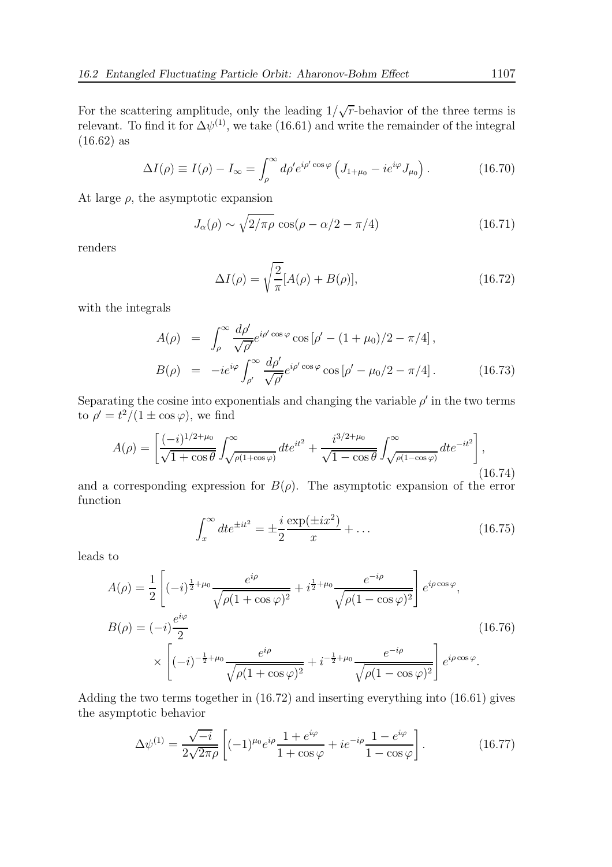For the scattering amplitude, only the leading  $1/\sqrt{r}$ -behavior of the three terms is relevant. To find it for  $\Delta\psi^{(1)}$ , we take (16.61) and write the remainder of the integral (16.62) as

$$
\Delta I(\rho) \equiv I(\rho) - I_{\infty} = \int_{\rho}^{\infty} d\rho' e^{i\rho' \cos \varphi} \left( J_{1+\mu_0} - ie^{i\varphi} J_{\mu_0} \right). \tag{16.70}
$$

At large  $\rho$ , the asymptotic expansion

$$
J_{\alpha}(\rho) \sim \sqrt{2/\pi \rho} \cos(\rho - \alpha/2 - \pi/4) \tag{16.71}
$$

renders

$$
\Delta I(\rho) = \sqrt{\frac{2}{\pi}} [A(\rho) + B(\rho)],\tag{16.72}
$$

with the integrals

$$
A(\rho) = \int_{\rho}^{\infty} \frac{d\rho'}{\sqrt{\rho'}} e^{i\rho' \cos \varphi} \cos[\rho' - (1 + \mu_0)/2 - \pi/4],
$$
  
\n
$$
B(\rho) = -ie^{i\varphi} \int_{\rho'}^{\infty} \frac{d\rho'}{\sqrt{\rho'}} e^{i\rho' \cos \varphi} \cos[\rho' - \mu_0/2 - \pi/4].
$$
\n(16.73)

Separating the cosine into exponentials and changing the variable  $\rho'$  in the two terms to  $\rho' = t^2/(1 \pm \cos \varphi)$ , we find

$$
A(\rho) = \left[ \frac{(-i)^{1/2 + \mu_0}}{\sqrt{1 + \cos \theta}} \int_{\sqrt{\rho(1 + \cos \varphi)}}^{\infty} dt e^{it^2} + \frac{i^{3/2 + \mu_0}}{\sqrt{1 - \cos \theta}} \int_{\sqrt{\rho(1 - \cos \varphi)}}^{\infty} dt e^{-it^2} \right],
$$
\n(16.74)

and a corresponding expression for  $B(\rho)$ . The asymptotic expansion of the error function

$$
\int_{x}^{\infty} dt e^{\pm it^{2}} = \pm \frac{i}{2} \frac{\exp(\pm ix^{2})}{x} + \dots
$$
 (16.75)

leads to

$$
A(\rho) = \frac{1}{2} \left[ (-i)^{\frac{1}{2} + \mu_0} \frac{e^{i\rho}}{\sqrt{\rho(1 + \cos \varphi)^2}} + i^{\frac{1}{2} + \mu_0} \frac{e^{-i\rho}}{\sqrt{\rho(1 - \cos \varphi)^2}} \right] e^{i\rho \cos \varphi},
$$
  
\n
$$
B(\rho) = (-i) \frac{e^{i\varphi}}{2}
$$
\n
$$
\times \left[ (-i)^{-\frac{1}{2} + \mu_0} \frac{e^{i\rho}}{\sqrt{\rho(1 + \cos \varphi)^2}} + i^{-\frac{1}{2} + \mu_0} \frac{e^{-i\rho}}{\sqrt{\rho(1 - \cos \varphi)^2}} \right] e^{i\rho \cos \varphi}.
$$
\n(16.76)

Adding the two terms together in (16.72) and inserting everything into (16.61) gives the asymptotic behavior

$$
\Delta\psi^{(1)} = \frac{\sqrt{-i}}{2\sqrt{2\pi\rho}} \left[ (-1)^{\mu_0} e^{i\rho} \frac{1 + e^{i\varphi}}{1 + \cos\varphi} + ie^{-i\rho} \frac{1 - e^{i\varphi}}{1 - \cos\varphi} \right].
$$
 (16.77)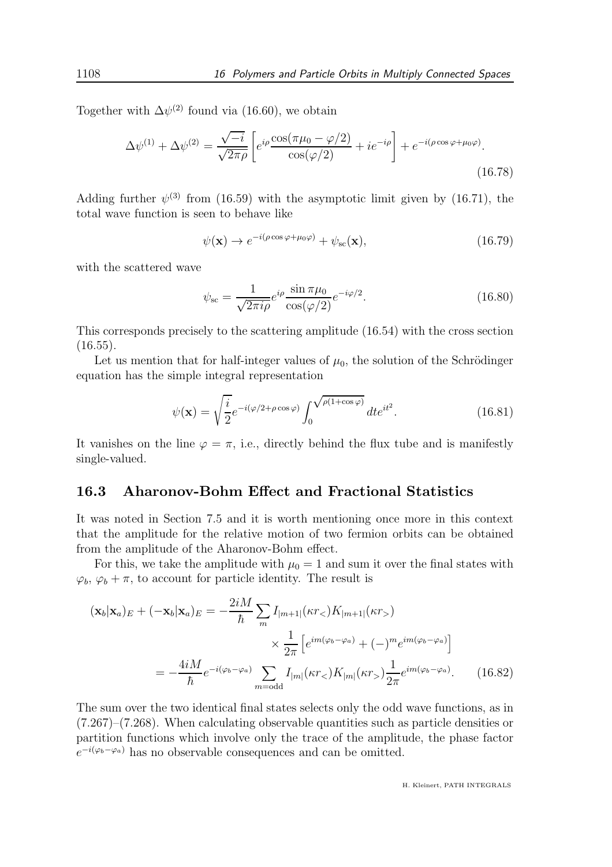Together with  $\Delta \psi^{(2)}$  found via (16.60), we obtain

$$
\Delta\psi^{(1)} + \Delta\psi^{(2)} = \frac{\sqrt{-i}}{\sqrt{2\pi\rho}} \left[ e^{i\rho} \frac{\cos(\pi\mu_0 - \varphi/2)}{\cos(\varphi/2)} + ie^{-i\rho} \right] + e^{-i(\rho\cos\varphi + \mu_0\varphi)}.
$$
\n(16.78)

Adding further  $\psi^{(3)}$  from (16.59) with the asymptotic limit given by (16.71), the total wave function is seen to behave like

$$
\psi(\mathbf{x}) \to e^{-i(\rho \cos \varphi + \mu_0 \varphi)} + \psi_{\rm sc}(\mathbf{x}),\tag{16.79}
$$

with the scattered wave

$$
\psi_{\rm sc} = \frac{1}{\sqrt{2\pi i\rho}} e^{i\rho} \frac{\sin \pi \mu_0}{\cos(\varphi/2)} e^{-i\varphi/2}.
$$
\n(16.80)

This corresponds precisely to the scattering amplitude (16.54) with the cross section  $(16.55)$ .

Let us mention that for half-integer values of  $\mu_0$ , the solution of the Schrödinger equation has the simple integral representation

$$
\psi(\mathbf{x}) = \sqrt{\frac{i}{2}} e^{-i(\varphi/2 + \rho \cos \varphi)} \int_0^{\sqrt{\rho(1 + \cos \varphi)}} dt e^{it^2}.
$$
\n(16.81)

It vanishes on the line  $\varphi = \pi$ , i.e., directly behind the flux tube and is manifestly single-valued.

#### 16.3 Aharonov-Bohm Effect and Fractional Statistics

It was noted in Section 7.5 and it is worth mentioning once more in this context that the amplitude for the relative motion of two fermion orbits can be obtained from the amplitude of the Aharonov-Bohm effect.

For this, we take the amplitude with  $\mu_0 = 1$  and sum it over the final states with  $\varphi_b$ ,  $\varphi_b + \pi$ , to account for particle identity. The result is

$$
(\mathbf{x}_b|\mathbf{x}_a)_E + (-\mathbf{x}_b|\mathbf{x}_a)_E = -\frac{2iM}{\hbar} \sum_m I_{|m+1|}(\kappa r_<) K_{|m+1|}(\kappa r_>)
$$
  

$$
\times \frac{1}{2\pi} \left[ e^{im(\varphi_b - \varphi_a)} + (-)^m e^{im(\varphi_b - \varphi_a)} \right]
$$
  

$$
= -\frac{4iM}{\hbar} e^{-i(\varphi_b - \varphi_a)} \sum_{m = \text{odd}} I_{|m|}(\kappa r_<) K_{|m|}(\kappa r_>) \frac{1}{2\pi} e^{im(\varphi_b - \varphi_a)}.
$$
 (16.82)

The sum over the two identical final states selects only the odd wave functions, as in (7.267)–(7.268). When calculating observable quantities such as particle densities or partition functions which involve only the trace of the amplitude, the phase factor  $e^{-i(\varphi_b-\varphi_a)}$  has no observable consequences and can be omitted.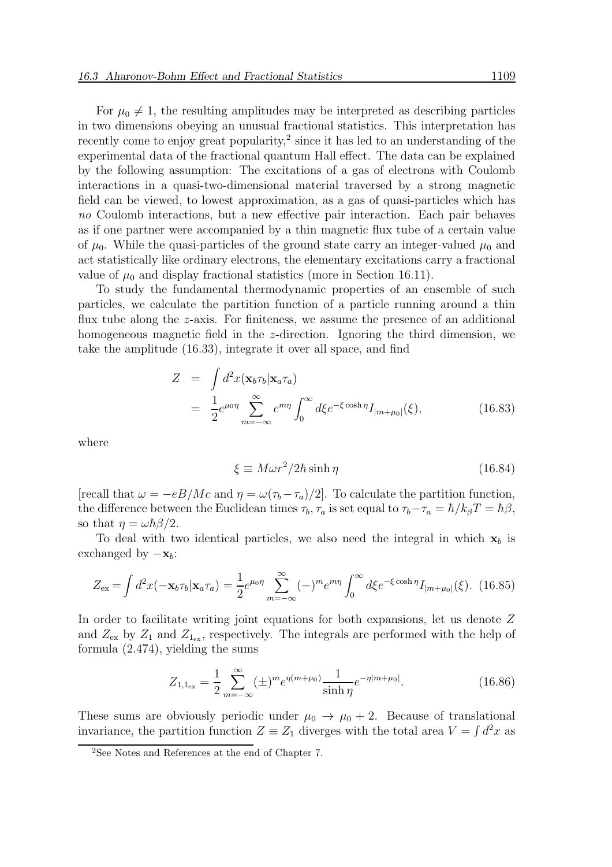For  $\mu_0 \neq 1$ , the resulting amplitudes may be interpreted as describing particles in two dimensions obeying an unusual fractional statistics. This interpretation has recently come to enjoy great popularity,<sup>2</sup> since it has led to an understanding of the experimental data of the fractional quantum Hall effect. The data can be explained by the following assumption: The excitations of a gas of electrons with Coulomb interactions in a quasi-two-dimensional material traversed by a strong magnetic field can be viewed, to lowest approximation, as a gas of quasi-particles which has no Coulomb interactions, but a new effective pair interaction. Each pair behaves as if one partner were accompanied by a thin magnetic flux tube of a certain value of  $\mu_0$ . While the quasi-particles of the ground state carry an integer-valued  $\mu_0$  and act statistically like ordinary electrons, the elementary excitations carry a fractional value of  $\mu_0$  and display fractional statistics (more in Section 16.11).

To study the fundamental thermodynamic properties of an ensemble of such particles, we calculate the partition function of a particle running around a thin flux tube along the z-axis. For finiteness, we assume the presence of an additional homogeneous magnetic field in the z-direction. Ignoring the third dimension, we take the amplitude (16.33), integrate it over all space, and find

$$
Z = \int d^2x (\mathbf{x}_b \tau_b | \mathbf{x}_a \tau_a)
$$
  
= 
$$
\frac{1}{2} e^{\mu_0 \eta} \sum_{m=-\infty}^{\infty} e^{m\eta} \int_0^{\infty} d\xi e^{-\xi \cosh \eta} I_{|m+\mu_0|}(\xi),
$$
 (16.83)

where

$$
\xi \equiv M\omega r^2 / 2\hbar \sinh \eta \tag{16.84}
$$

[recall that  $\omega = -eB/Mc$  and  $\eta = \omega(\tau_b-\tau_a)/2$ ]. To calculate the partition function, the difference between the Euclidean times  $\tau_b$ ,  $\tau_a$  is set equal to  $\tau_b-\tau_a = \hbar/k_\beta T = \hbar\beta$ , so that  $\eta = \omega \hbar \beta / 2$ .

To deal with two identical particles, we also need the integral in which  $x_b$  is exchanged by  $-\mathbf{x}_b$ :

$$
Z_{\text{ex}} = \int d^2x (-\mathbf{x}_b \tau_b | \mathbf{x}_a \tau_a) = \frac{1}{2} e^{\mu_0 \eta} \sum_{m=-\infty}^{\infty} (-)^m e^{m\eta} \int_0^{\infty} d\xi e^{-\xi \cosh \eta} I_{|m+\mu_0|}(\xi). \tag{16.85}
$$

In order to facilitate writing joint equations for both expansions, let us denote Z and  $Z_{\text{ex}}$  by  $Z_1$  and  $Z_{1_{\text{ex}}}$ , respectively. The integrals are performed with the help of formula (2.474), yielding the sums

$$
Z_{1,1_{\text{ex}}} = \frac{1}{2} \sum_{m=-\infty}^{\infty} (\pm)^m e^{\eta(m+\mu_0)} \frac{1}{\sinh \eta} e^{-\eta|m+\mu_0|}.
$$
 (16.86)

These sums are obviously periodic under  $\mu_0 \rightarrow \mu_0 + 2$ . Because of translational invariance, the partition function  $Z \equiv Z_1$  diverges with the total area  $V = \int d^2x$  as

<sup>2</sup>See Notes and References at the end of Chapter 7.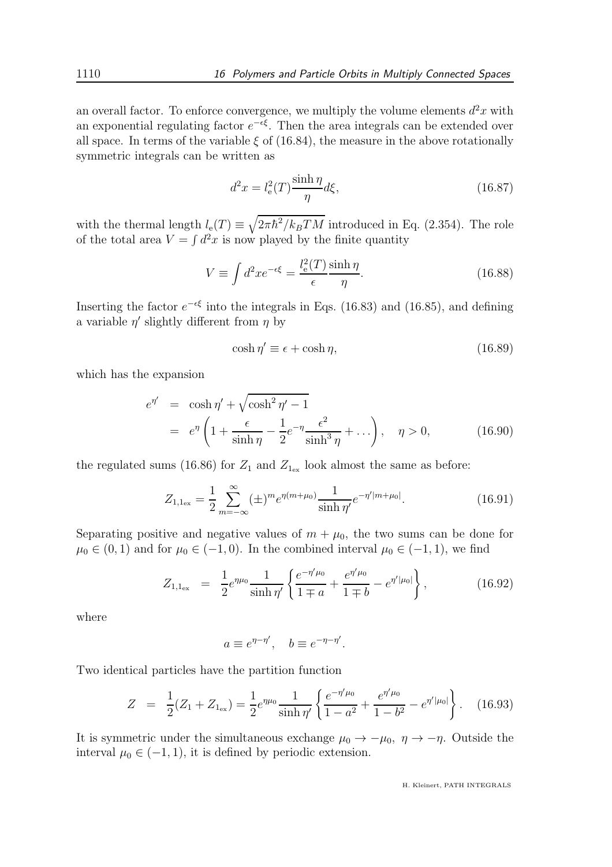an overall factor. To enforce convergence, we multiply the volume elements  $d^2x$  with an exponential regulating factor  $e^{-\epsilon \xi}$ . Then the area integrals can be extended over all space. In terms of the variable  $\xi$  of (16.84), the measure in the above rotationally symmetric integrals can be written as

$$
d^2x = l_e^2(T)\frac{\sinh\eta}{\eta}d\xi,\tag{16.87}
$$

with the thermal length  $l_e(T) \equiv \sqrt{2\pi\hbar^2/k_B TM}$  introduced in Eq. (2.354). The role of the total area  $V = \int d^2x$  is now played by the finite quantity

$$
V \equiv \int d^2x e^{-\epsilon\xi} = \frac{l_e^2(T)}{\epsilon} \frac{\sinh \eta}{\eta}.
$$
 (16.88)

Inserting the factor  $e^{-\epsilon\xi}$  into the integrals in Eqs. (16.83) and (16.85), and defining a variable  $\eta'$  slightly different from  $\eta$  by

$$
\cosh \eta' \equiv \epsilon + \cosh \eta, \tag{16.89}
$$

which has the expansion

$$
e^{\eta'} = \cosh \eta' + \sqrt{\cosh^2 \eta' - 1}
$$
  
=  $e^{\eta} \left( 1 + \frac{\epsilon}{\sinh \eta} - \frac{1}{2} e^{-\eta} \frac{\epsilon^2}{\sinh^3 \eta} + \cdots \right), \quad \eta > 0,$  (16.90)

the regulated sums (16.86) for  $Z_1$  and  $Z_{1_{\text{ex}}}$  look almost the same as before:

$$
Z_{1,1_{\text{ex}}} = \frac{1}{2} \sum_{m=-\infty}^{\infty} (\pm)^m e^{\eta(m+\mu_0)} \frac{1}{\sinh \eta'} e^{-\eta'|m+\mu_0|}.
$$
 (16.91)

Separating positive and negative values of  $m + \mu_0$ , the two sums can be done for  $\mu_0 \in (0,1)$  and for  $\mu_0 \in (-1,0)$ . In the combined interval  $\mu_0 \in (-1,1)$ , we find

$$
Z_{1,1_{\text{ex}}} = \frac{1}{2} e^{\eta \mu_0} \frac{1}{\sinh \eta'} \left\{ \frac{e^{-\eta' \mu_0}}{1 \mp a} + \frac{e^{\eta' \mu_0}}{1 \mp b} - e^{\eta' |\mu_0|} \right\},\tag{16.92}
$$

where

$$
a \equiv e^{\eta - \eta'}, \quad b \equiv e^{-\eta - \eta'}.
$$

Two identical particles have the partition function

$$
Z = \frac{1}{2}(Z_1 + Z_{1_{\text{ex}}}) = \frac{1}{2}e^{\eta\mu_0}\frac{1}{\sinh\eta'}\left\{\frac{e^{-\eta'\mu_0}}{1 - a^2} + \frac{e^{\eta'\mu_0}}{1 - b^2} - e^{\eta'\vert\mu_0\vert}\right\}.
$$
 (16.93)

It is symmetric under the simultaneous exchange  $\mu_0 \to -\mu_0$ ,  $\eta \to -\eta$ . Outside the interval  $\mu_0 \in (-1, 1)$ , it is defined by periodic extension.

H. Kleinert, PATH INTEGRALS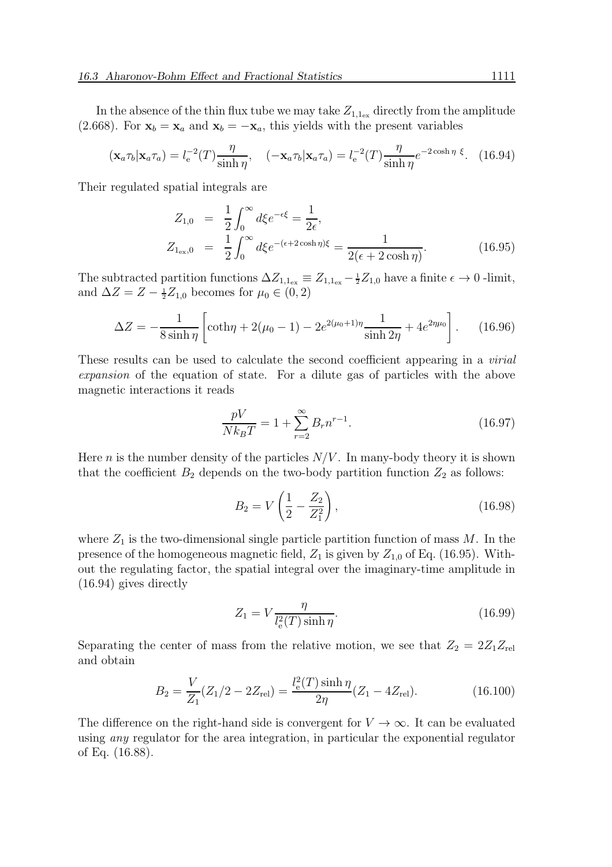In the absence of the thin flux tube we may take  $Z_{1,1_{\text{ex}}}$  directly from the amplitude (2.668). For  $\mathbf{x}_b = \mathbf{x}_a$  and  $\mathbf{x}_b = -\mathbf{x}_a$ , this yields with the present variables

$$
(\mathbf{x}_a \tau_b | \mathbf{x}_a \tau_a) = l_e^{-2}(T) \frac{\eta}{\sinh \eta}, \quad (-\mathbf{x}_a \tau_b | \mathbf{x}_a \tau_a) = l_e^{-2}(T) \frac{\eta}{\sinh \eta} e^{-2 \cosh \eta \xi}. \quad (16.94)
$$

Their regulated spatial integrals are

$$
Z_{1,0} = \frac{1}{2} \int_0^\infty d\xi e^{-\epsilon \xi} = \frac{1}{2\epsilon},
$$
  
\n
$$
Z_{1_{\text{ex}},0} = \frac{1}{2} \int_0^\infty d\xi e^{-(\epsilon + 2\cosh \eta)\xi} = \frac{1}{2(\epsilon + 2\cosh \eta)}.
$$
\n(16.95)

The subtracted partition functions  $\Delta Z_{1,1_{\text{ex}}} \equiv Z_{1,1_{\text{ex}}} - \frac{1}{2} Z_{1,0}$  have a finite  $\epsilon \to 0$  -limit, and  $\Delta Z = Z - \frac{1}{2}Z_{1,0}$  becomes for  $\mu_0 \in (0, 2)$ 

$$
\Delta Z = -\frac{1}{8 \sinh \eta} \left[ \coth \eta + 2(\mu_0 - 1) - 2e^{2(\mu_0 + 1)\eta} \frac{1}{\sinh 2\eta} + 4e^{2\eta \mu_0} \right].
$$
 (16.96)

These results can be used to calculate the second coefficient appearing in a *virial* expansion of the equation of state. For a dilute gas of particles with the above magnetic interactions it reads

$$
\frac{pV}{Nk_BT} = 1 + \sum_{r=2}^{\infty} B_r n^{r-1}.
$$
\n(16.97)

Here n is the number density of the particles  $N/V$ . In many-body theory it is shown that the coefficient  $B_2$  depends on the two-body partition function  $Z_2$  as follows:

$$
B_2 = V\left(\frac{1}{2} - \frac{Z_2}{Z_1^2}\right),\tag{16.98}
$$

where  $Z_1$  is the two-dimensional single particle partition function of mass  $M$ . In the presence of the homogeneous magnetic field,  $Z_1$  is given by  $Z_{1,0}$  of Eq. (16.95). Without the regulating factor, the spatial integral over the imaginary-time amplitude in (16.94) gives directly

$$
Z_1 = V \frac{\eta}{l_e^2(T)\sinh\eta}.\tag{16.99}
$$

Separating the center of mass from the relative motion, we see that  $Z_2 = 2Z_1Z_{rel}$ and obtain

$$
B_2 = \frac{V}{Z_1}(Z_1/2 - 2Z_{\rm rel}) = \frac{l_e^2(T)\sinh\eta}{2\eta}(Z_1 - 4Z_{\rm rel}).\tag{16.100}
$$

The difference on the right-hand side is convergent for  $V \to \infty$ . It can be evaluated using any regulator for the area integration, in particular the exponential regulator of Eq. (16.88).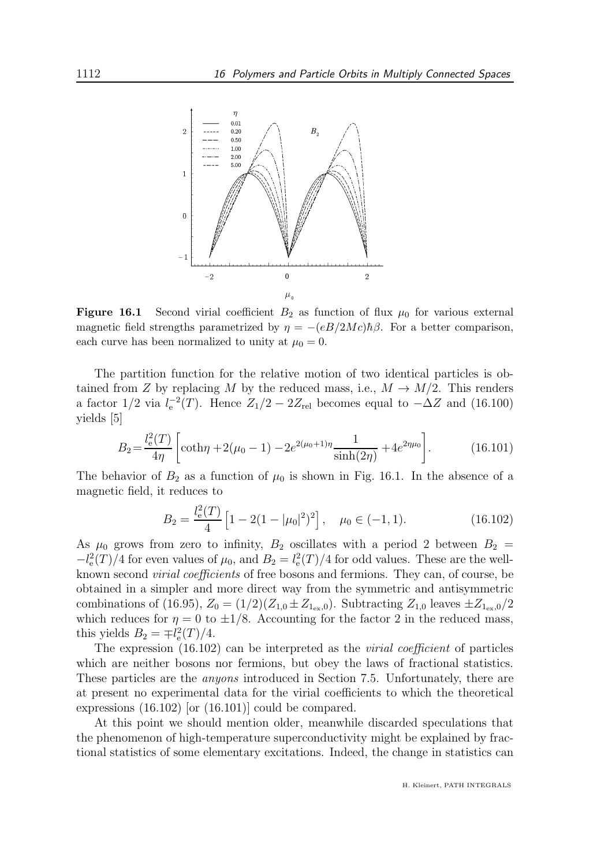

**Figure 16.1** Second virial coefficient  $B_2$  as function of flux  $\mu_0$  for various external magnetic field strengths parametrized by  $\eta = -(eB/2Mc)\hbar\beta$ . For a better comparison, each curve has been normalized to unity at  $\mu_0 = 0$ .

The partition function for the relative motion of two identical particles is obtained from Z by replacing M by the reduced mass, i.e.,  $M \to M/2$ . This renders a factor 1/2 via  $l_e^{-2}(T)$ . Hence  $Z_1/2 - 2Z_{rel}$  becomes equal to  $-\Delta Z$  and (16.100) yields [5]

$$
B_2 = \frac{l_e^2(T)}{4\eta} \left[ \coth \eta + 2(\mu_0 - 1) - 2e^{2(\mu_0 + 1)\eta} \frac{1}{\sinh(2\eta)} + 4e^{2\eta\mu_0} \right].
$$
 (16.101)

The behavior of  $B_2$  as a function of  $\mu_0$  is shown in Fig. 16.1. In the absence of a magnetic field, it reduces to

$$
B_2 = \frac{l_e^2(T)}{4} \left[ 1 - 2(1 - |\mu_0|^2)^2 \right], \quad \mu_0 \in (-1, 1). \tag{16.102}
$$

As  $\mu_0$  grows from zero to infinity,  $B_2$  oscillates with a period 2 between  $B_2 =$  $-l_e^2(T)/4$  for even values of  $\mu_0$ , and  $B_2 = l_e^2(T)/4$  for odd values. These are the wellknown second virial coefficients of free bosons and fermions. They can, of course, be obtained in a simpler and more direct way from the symmetric and antisymmetric combinations of (16.95),  $Z_0 = (1/2)(Z_{1,0} \pm Z_{1_{\rm ex},0})$ . Subtracting  $Z_{1,0}$  leaves  $\pm Z_{1_{\rm ex},0}/2$ which reduces for  $\eta = 0$  to  $\pm 1/8$ . Accounting for the factor 2 in the reduced mass, this yields  $B_2 = \mp l_e^2(T)/4$ .

The expression (16.102) can be interpreted as the *virial coefficient* of particles which are neither bosons nor fermions, but obey the laws of fractional statistics. These particles are the anyons introduced in Section 7.5. Unfortunately, there are at present no experimental data for the virial coefficients to which the theoretical expressions (16.102) [or (16.101)] could be compared.

At this point we should mention older, meanwhile discarded speculations that the phenomenon of high-temperature superconductivity might be explained by fractional statistics of some elementary excitations. Indeed, the change in statistics can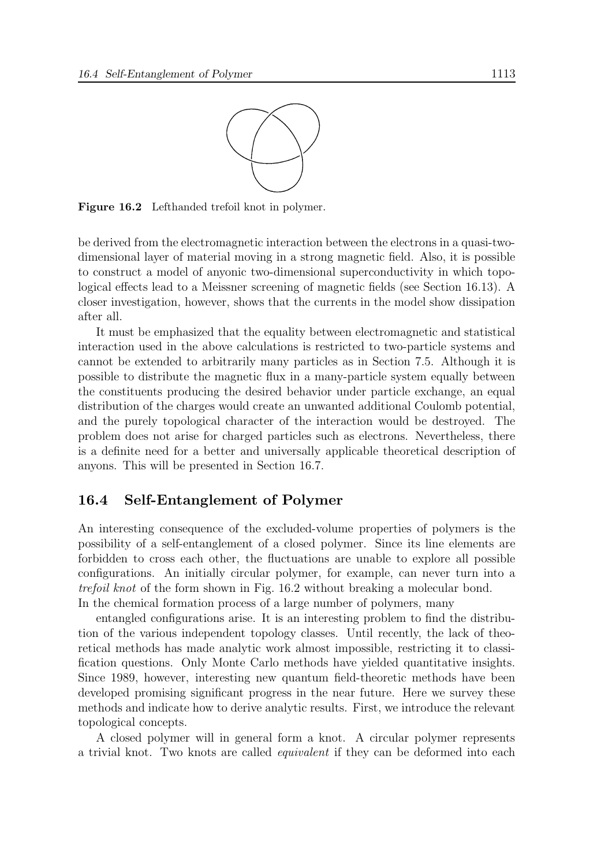

Figure 16.2 Lefthanded trefoil knot in polymer.

be derived from the electromagnetic interaction between the electrons in a quasi-twodimensional layer of material moving in a strong magnetic field. Also, it is possible to construct a model of anyonic two-dimensional superconductivity in which topological effects lead to a Meissner screening of magnetic fields (see Section 16.13). A closer investigation, however, shows that the currents in the model show dissipation after all.

It must be emphasized that the equality between electromagnetic and statistical interaction used in the above calculations is restricted to two-particle systems and cannot be extended to arbitrarily many particles as in Section 7.5. Although it is possible to distribute the magnetic flux in a many-particle system equally between the constituents producing the desired behavior under particle exchange, an equal distribution of the charges would create an unwanted additional Coulomb potential, and the purely topological character of the interaction would be destroyed. The problem does not arise for charged particles such as electrons. Nevertheless, there is a definite need for a better and universally applicable theoretical description of anyons. This will be presented in Section 16.7.

#### 16.4 Self-Entanglement of Polymer

An interesting consequence of the excluded-volume properties of polymers is the possibility of a self-entanglement of a closed polymer. Since its line elements are forbidden to cross each other, the fluctuations are unable to explore all possible configurations. An initially circular polymer, for example, can never turn into a trefoil knot of the form shown in Fig. 16.2 without breaking a molecular bond. In the chemical formation process of a large number of polymers, many

entangled configurations arise. It is an interesting problem to find the distribution of the various independent topology classes. Until recently, the lack of theoretical methods has made analytic work almost impossible, restricting it to classification questions. Only Monte Carlo methods have yielded quantitative insights. Since 1989, however, interesting new quantum field-theoretic methods have been developed promising significant progress in the near future. Here we survey these methods and indicate how to derive analytic results. First, we introduce the relevant topological concepts.

A closed polymer will in general form a knot. A circular polymer represents a trivial knot. Two knots are called equivalent if they can be deformed into each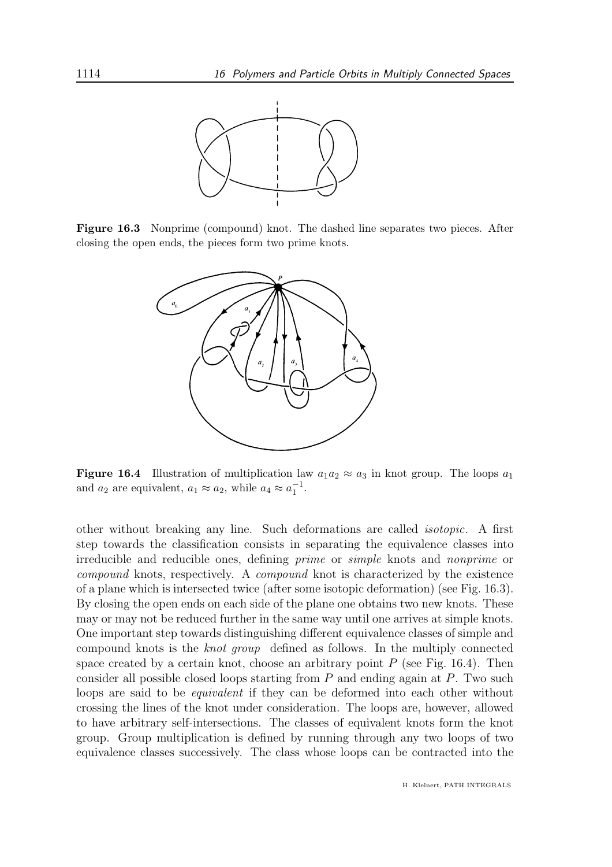

Figure 16.3 Nonprime (compound) knot. The dashed line separates two pieces. After closing the open ends, the pieces form two prime knots.



**Figure 16.4** Illustration of multiplication law  $a_1a_2 \approx a_3$  in knot group. The loops  $a_1$ and  $a_2$  are equivalent,  $a_1 \approx a_2$ , while  $a_4 \approx a_1^{-1}$ .

other without breaking any line. Such deformations are called isotopic. A first step towards the classification consists in separating the equivalence classes into irreducible and reducible ones, defining prime or simple knots and nonprime or compound knots, respectively. A compound knot is characterized by the existence of a plane which is intersected twice (after some isotopic deformation) (see Fig. 16.3). By closing the open ends on each side of the plane one obtains two new knots. These may or may not be reduced further in the same way until one arrives at simple knots. One important step towards distinguishing different equivalence classes of simple and compound knots is the knot group defined as follows. In the multiply connected space created by a certain knot, choose an arbitrary point  $P$  (see Fig. 16.4). Then consider all possible closed loops starting from  $P$  and ending again at  $P$ . Two such loops are said to be equivalent if they can be deformed into each other without crossing the lines of the knot under consideration. The loops are, however, allowed to have arbitrary self-intersections. The classes of equivalent knots form the knot group. Group multiplication is defined by running through any two loops of two equivalence classes successively. The class whose loops can be contracted into the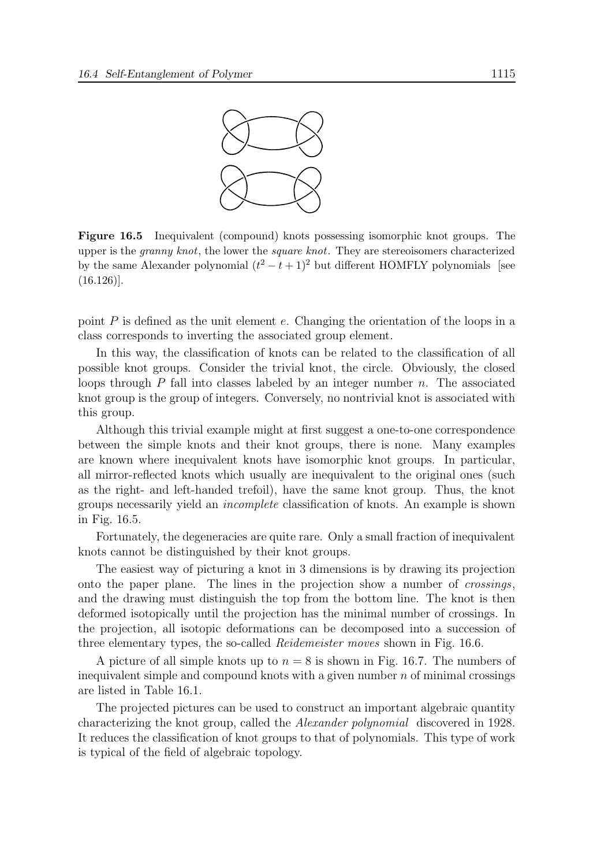

Figure 16.5 Inequivalent (compound) knots possessing isomorphic knot groups. The upper is the *granny knot*, the lower the *square knot*. They are stereoisomers characterized by the same Alexander polynomial  $(t^2 - t + 1)^2$  but different HOMFLY polynomials [see  $(16.126)$ .

point  $P$  is defined as the unit element  $e$ . Changing the orientation of the loops in a class corresponds to inverting the associated group element.

In this way, the classification of knots can be related to the classification of all possible knot groups. Consider the trivial knot, the circle. Obviously, the closed loops through  $P$  fall into classes labeled by an integer number  $n$ . The associated knot group is the group of integers. Conversely, no nontrivial knot is associated with this group.

Although this trivial example might at first suggest a one-to-one correspondence between the simple knots and their knot groups, there is none. Many examples are known where inequivalent knots have isomorphic knot groups. In particular, all mirror-reflected knots which usually are inequivalent to the original ones (such as the right- and left-handed trefoil), have the same knot group. Thus, the knot groups necessarily yield an incomplete classification of knots. An example is shown in Fig. 16.5.

Fortunately, the degeneracies are quite rare. Only a small fraction of inequivalent knots cannot be distinguished by their knot groups.

The easiest way of picturing a knot in 3 dimensions is by drawing its projection onto the paper plane. The lines in the projection show a number of crossings, and the drawing must distinguish the top from the bottom line. The knot is then deformed isotopically until the projection has the minimal number of crossings. In the projection, all isotopic deformations can be decomposed into a succession of three elementary types, the so-called Reidemeister moves shown in Fig. 16.6.

A picture of all simple knots up to  $n = 8$  is shown in Fig. 16.7. The numbers of inequivalent simple and compound knots with a given number  $n$  of minimal crossings are listed in Table 16.1.

The projected pictures can be used to construct an important algebraic quantity characterizing the knot group, called the Alexander polynomial discovered in 1928. It reduces the classification of knot groups to that of polynomials. This type of work is typical of the field of algebraic topology.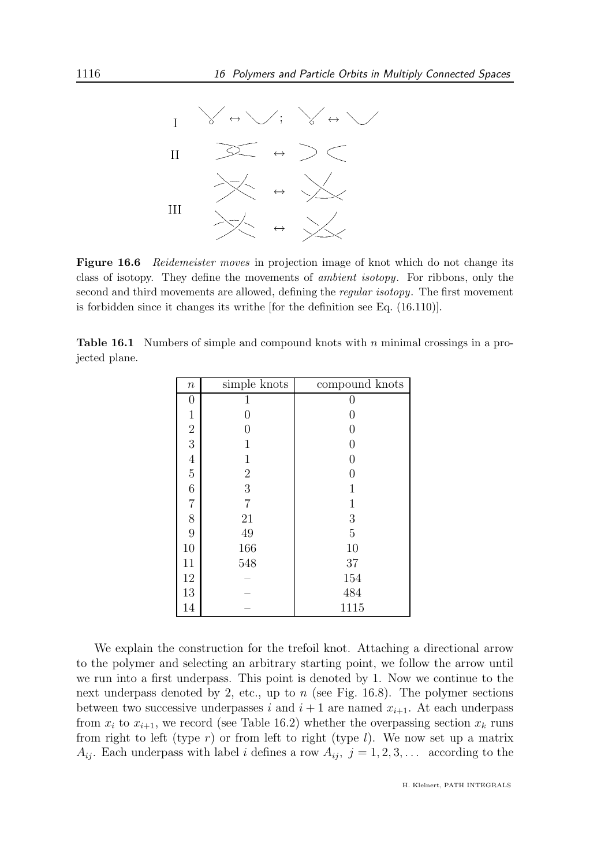

Figure 16.6 Reidemeister moves in projection image of knot which do not change its class of isotopy. They define the movements of ambient isotopy. For ribbons, only the second and third movements are allowed, defining the regular isotopy. The first movement is forbidden since it changes its writhe [for the definition see Eq. (16.110)].

**Table 16.1** Numbers of simple and compound knots with n minimal crossings in a projected plane.

| $\boldsymbol{n}$ | simple knots   | compound knots   |
|------------------|----------------|------------------|
| 0                |                | 0                |
| $\mathbf{1}$     |                | 0                |
|                  |                | $\hspace{.0cm}0$ |
|                  | 1              | $\hspace{.0cm}0$ |
|                  | 1              | 0                |
|                  | $\overline{2}$ | $\overline{0}$   |
|                  | 3              | 1                |
| 23456789         | 7              | $\mathbf 1$      |
|                  | 21             | $\boldsymbol{3}$ |
|                  | 49             | $\overline{5}$   |
| 10               | 166            | 10               |
| 11               | 548            | 37               |
| $12\,$           |                | 154              |
| 13               |                | 484              |
| 14               |                | 1115             |

We explain the construction for the trefoil knot. Attaching a directional arrow to the polymer and selecting an arbitrary starting point, we follow the arrow until we run into a first underpass. This point is denoted by 1. Now we continue to the next underpass denoted by 2, etc., up to  $n$  (see Fig. 16.8). The polymer sections between two successive underpasses i and  $i + 1$  are named  $x_{i+1}$ . At each underpass from  $x_i$  to  $x_{i+1}$ , we record (see Table 16.2) whether the overpassing section  $x_k$  runs from right to left (type r) or from left to right (type  $l$ ). We now set up a matrix  $A_{ij}$ . Each underpass with label i defines a row  $A_{ij}$ ,  $j = 1, 2, 3, \ldots$  according to the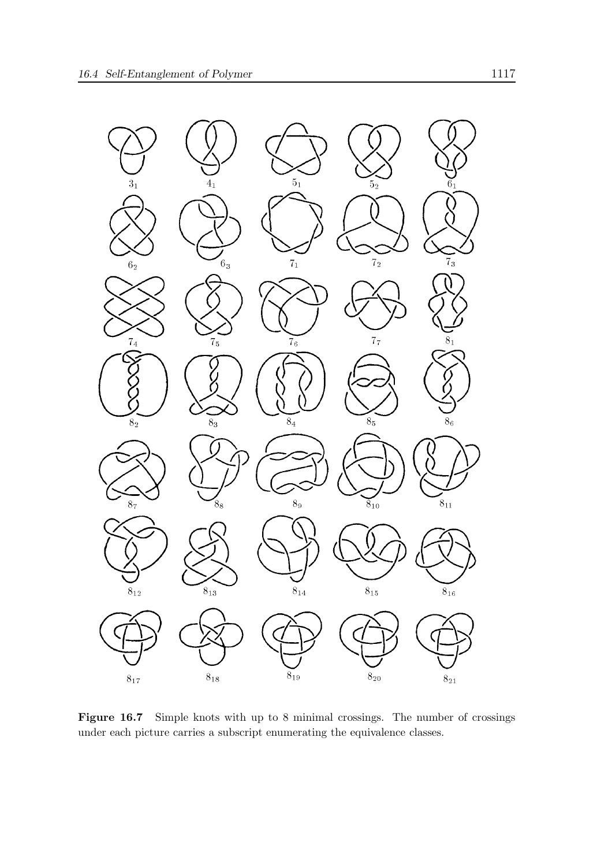

Figure 16.7 Simple knots with up to 8 minimal crossings. The number of crossings under each picture carries a subscript enumerating the equivalence classes.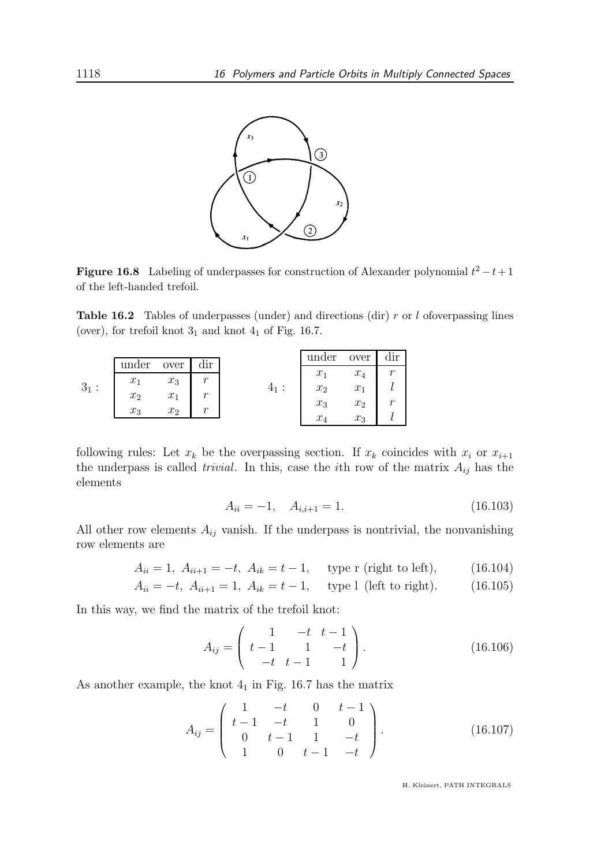

**Figure 16.8** Labeling of underpasses for construction of Alexander polynomial  $t^2 - t + 1$ of the left-handed trefoil.

**Table 16.2** Tables of underpasses (under) and directions (dir)  $r$  or  $l$  of overpassing lines (over), for trefoil knot  $3<sub>1</sub>$  and knot  $4<sub>1</sub>$  of Fig. 16.7.

|  | under   | over           |        | ١r | under   | over           | dir    |
|--|---------|----------------|--------|----|---------|----------------|--------|
|  |         |                |        |    |         | $x_4$          | $\sim$ |
|  | x       | $x_3$          | $\sim$ |    | $x_{2}$ | $x_1$          |        |
|  | $x_{2}$ | $\mathcal{X}$  | $\sim$ |    |         |                | $\sim$ |
|  | $x_3$   | x <sub>2</sub> | $\sim$ |    | $x_3$   | x <sub>2</sub> |        |
|  |         |                |        |    |         | $x_3$          |        |

following rules: Let  $x_k$  be the overpassing section. If  $x_k$  coincides with  $x_i$  or  $x_{i+1}$ the underpass is called *trivial*. In this, case the *i*th row of the matrix  $A_{ij}$  has the elements

$$
A_{ii} = -1, \quad A_{i,i+1} = 1. \tag{16.103}
$$

All other row elements  $A_{ij}$  vanish. If the underpass is nontrivial, the nonvanishing row elements are

$$
A_{ii} = 1, A_{ii+1} = -t, A_{ik} = t - 1, \text{ type r (right to left)}, \text{ (16.104)}
$$

$$
A_{ii} = -t, A_{ii+1} = 1, A_{ik} = t - 1, \text{ type l (left to right).} \qquad (16.105)
$$

In this way, we find the matrix of the trefoil knot:

$$
A_{ij} = \begin{pmatrix} 1 & -t & t-1 \\ t-1 & 1 & -t \\ -t & t-1 & 1 \end{pmatrix}.
$$
 (16.106)

As another example, the knot  $4<sub>1</sub>$  in Fig. 16.7 has the matrix

$$
A_{ij} = \begin{pmatrix} 1 & -t & 0 & t-1 \\ t-1 & -t & 1 & 0 \\ 0 & t-1 & 1 & -t \\ 1 & 0 & t-1 & -t \end{pmatrix}.
$$
 (16.107)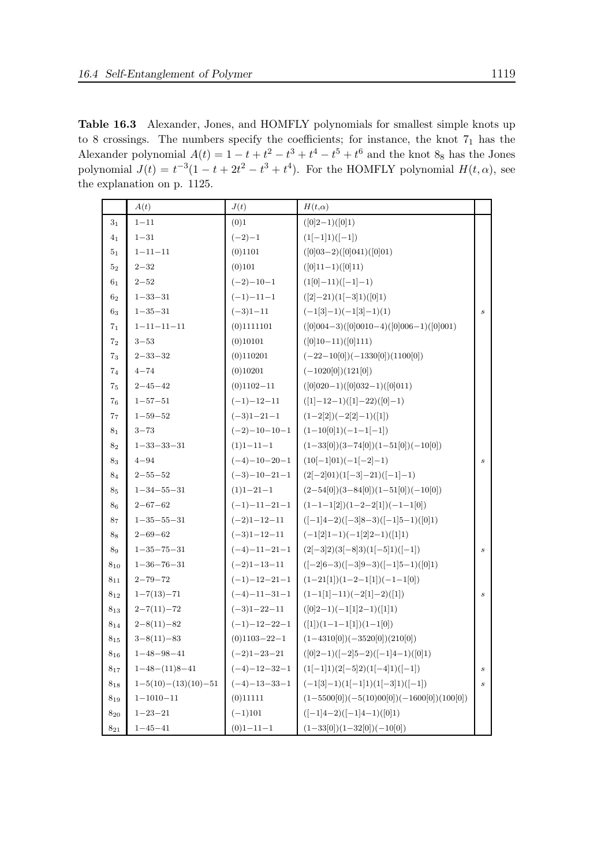Table 16.3 Alexander, Jones, and HOMFLY polynomials for smallest simple knots up to 8 crossings. The numbers specify the coefficients; for instance, the knot 7<sup>1</sup> has the Alexander polynomial  $A(t) = 1 - t + t^2 - t^3 + t^4 - t^5 + t^6$  and the knot  $8_8$  has the Jones polynomial  $J(t) = t^{-3}(1 - t + 2t^2 - t^3 + t^4)$ . For the HOMFLY polynomial  $H(t, \alpha)$ , see the explanation on p. 1125.

|                | A(t)                  | J(t)                 | $H(t,\alpha)$                                |                  |
|----------------|-----------------------|----------------------|----------------------------------------------|------------------|
| 3 <sub>1</sub> | $1 - 11$              | (0)1                 | $([0]2-1)([0]1)$                             |                  |
| 4 <sub>1</sub> | $1 - 31$              | $(-2)-1$             | $(1[-1]1)([-1])$                             |                  |
| 5 <sub>1</sub> | $1 - 11 - 11$         | (0)1101              | $([0]03-2)([0]041)([0]01)$                   |                  |
| 5 <sub>2</sub> | $2 - 32$              | (0)101               | $([0]11-1)([0]11)$                           |                  |
| 6 <sub>1</sub> | $2 - 52$              | $(-2)-10-1$          | $(1[0]-11)([-1]-1)$                          |                  |
| 6 <sub>2</sub> | $1 - 33 - 31$         | $(-1) - 11 - 1$      | $([2]-21)(1[-3]1)([0]1)$                     |                  |
| 6 <sub>3</sub> | $1 - 35 - 31$         | $(-3)1-11$           | $(-1[3]-1)(-1[3]-1)(1)$                      | $\boldsymbol{s}$ |
| 7 <sub>1</sub> | $1 - 11 - 11 - 11$    | $(0)$ 1111101        | $([0]004-3)([0]0010-4)([0]006-1)([0]001)$    |                  |
| $\mathbf{7}_2$ | $3 - 53$              | (0)10101             | $([0]10-11)([0]111)$                         |                  |
| $7_3$          | $2 - 33 - 32$         | (0)110201            | $(-22-10[0])(-1330[0])(1100[0])$             |                  |
| $\bf 7_4$      | $4 - 74$              | (0)10201             | $(-1020[0])(121[0])$                         |                  |
| $7_{5}$        | $2 - 45 - 42$         | $(0)1102 - 11$       | $([0]020-1)([0]032-1)([0]011)$               |                  |
| 7 <sub>6</sub> | $1 - 57 - 51$         | $(-1)$ -12-11        | $([1]-12-1)([1]-22)([0]-1)$                  |                  |
| 7 <sub>7</sub> | $1 - 59 - 52$         | $(-3)1 - 21 - 1$     | $(1-2[2])(-2[2]-1)([1])$                     |                  |
| 8 <sub>1</sub> | $3 - 73$              | $(-2)-10-10-1$       | $(1-10[0]1)(-1-1[-1])$                       |                  |
| $8_{2}$        | $1 - 33 - 33 - 31$    | $(1)1 - 11 - 1$      | $(1-33[0])(3-74[0])(1-51[0])(-10[0])$        |                  |
| 83             | $4 - 94$              | $(-4)-10-20-1$       | $(10[-1]01)(-1[-2]-1)$                       | $\boldsymbol{s}$ |
| 84             | $2 - 55 - 52$         | $(-3)-10-21-1$       | $(2[-2]01)(1[-3]-21)([-1]-1)$                |                  |
| 85             | $1 - 34 - 55 - 31$    | $(1)1 - 21 - 1$      | $(2-54[0])(3-84[0])(1-51[0])(-10[0])$        |                  |
| 8 <sub>6</sub> | $2 - 67 - 62$         | $(-1) - 11 - 21 - 1$ | $(1-1-1[2])$ $(1-2-2[1])$ $(-1-1[0])$        |                  |
| 8 <sub>7</sub> | $1 - 35 - 55 - 31$    | $(-2)1 - 12 - 11$    | $([-1]4-2)([-3]8-3)([-1]5-1)([0]1)$          |                  |
| 88             | $2 - 69 - 62$         | $(-3)1 - 12 - 11$    | $(-1[2]1-1)(-1[2]2-1)([1]1)$                 |                  |
| 89             | $1 - 35 - 75 - 31$    | $(-4)-11-21-1$       | $(2[-3]2)(3[-8]3)(1[-5]1)([-1])$             | $\boldsymbol{s}$ |
| $8_{10}$       | $1 - 36 - 76 - 31$    | $(-2)1 - 13 - 11$    | $([-2]6-3)([-3]9-3)([-1]5-1)([0]1)$          |                  |
| $\bar{8}_{11}$ | $2 - 79 - 72$         | $(-1) - 12 - 21 - 1$ | $(1-21[1])(1-2-1[1])(-1-1[0])$               |                  |
| $8_{12}$       | $1 - 7(13) - 71$      | $(-4)-11-31-1$       | $(1-1[1]-11)(-2[1]-2)([1])$                  | $\boldsymbol{s}$ |
| $8_{13}$       | $2 - 7(11) - 72$      | $(-3)1 - 22 - 11$    | $([0]2-1)(-1[1]2-1)([1]1)$                   |                  |
| $8_{14}$       | $2 - 8(11) - 82$      | $(-1)$ -12-22-1      | $([1])(1-1-1[1])(1-1[0])$                    |                  |
| $8_{15}$       | $3 - 8(11) - 83$      | $(0)1103 - 22 - 1$   | $(1-4310[0])(-3520[0])(210[0])$              |                  |
| $8_{16}$       | $1 - 48 - 98 - 41$    | $(-2)1 - 23 - 21$    | $([0]2-1)([-2]5-2)([-1]4-1)([0]1)$           |                  |
| $8_{17}$       | $1 - 48 - (11)8 - 41$ | $(-4) - 12 - 32 - 1$ | $(1[-1]1)(2[-5]2)(1[-4]1)([-1])$             | $\boldsymbol{s}$ |
| $8_{18}$       | $1-5(10)-(13)(10)-51$ | $(-4) - 13 - 33 - 1$ | $(-1[3]-1)(1[-1]1)(1[-3]1)([-1])$            | $\boldsymbol{s}$ |
| $8_{19}$       | $1 - 1010 - 11$       | $(0)$ 11111          | $(1-5500[0])(-5(10)00[0])(-1600[0])(100[0])$ |                  |
| 820            | $1 - 23 - 21$         | $(-1)101$            | $([-1]4-2)([-1]4-1)([0]1)$                   |                  |
| $8_{21}$       | $1 - 45 - 41$         | $(0)1 - 11 - 1$      | $(1-33[0])(1-32[0])(-10[0])$                 |                  |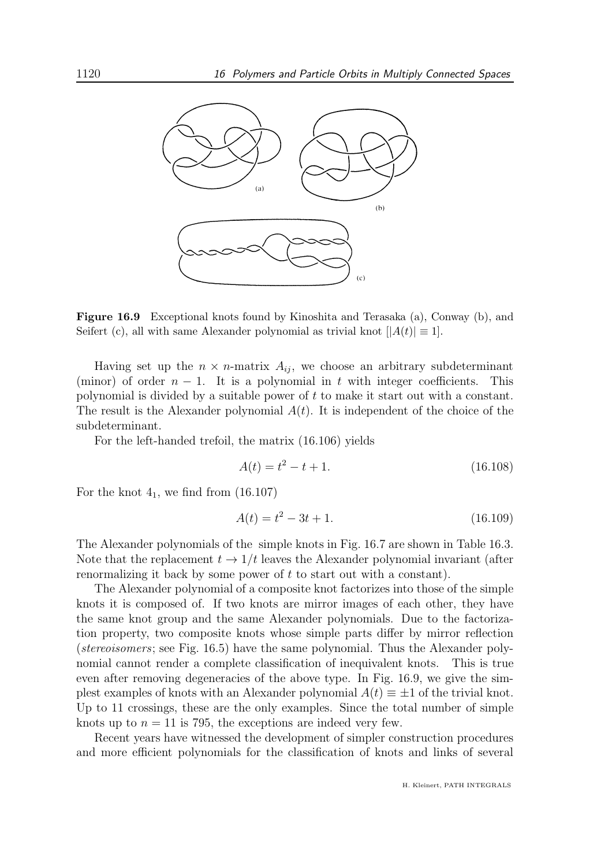

Figure 16.9 Exceptional knots found by Kinoshita and Terasaka (a), Conway (b), and Seifert (c), all with same Alexander polynomial as trivial knot  $||A(t)|| \equiv 1$ .

Having set up the  $n \times n$ -matrix  $A_{ij}$ , we choose an arbitrary subdeterminant (minor) of order  $n-1$ . It is a polynomial in t with integer coefficients. This polynomial is divided by a suitable power of t to make it start out with a constant. The result is the Alexander polynomial  $A(t)$ . It is independent of the choice of the subdeterminant.

For the left-handed trefoil, the matrix (16.106) yields

$$
A(t) = t^2 - t + 1.
$$
\n(16.108)

For the knot  $4<sub>1</sub>$ , we find from  $(16.107)$ 

$$
A(t) = t^2 - 3t + 1.
$$
\n(16.109)

The Alexander polynomials of the simple knots in Fig. 16.7 are shown in Table 16.3. Note that the replacement  $t \to 1/t$  leaves the Alexander polynomial invariant (after renormalizing it back by some power of  $t$  to start out with a constant).

The Alexander polynomial of a composite knot factorizes into those of the simple knots it is composed of. If two knots are mirror images of each other, they have the same knot group and the same Alexander polynomials. Due to the factorization property, two composite knots whose simple parts differ by mirror reflection (stereoisomers; see Fig. 16.5) have the same polynomial. Thus the Alexander polynomial cannot render a complete classification of inequivalent knots. This is true even after removing degeneracies of the above type. In Fig. 16.9, we give the simplest examples of knots with an Alexander polynomial  $A(t) \equiv \pm 1$  of the trivial knot. Up to 11 crossings, these are the only examples. Since the total number of simple knots up to  $n = 11$  is 795, the exceptions are indeed very few.

Recent years have witnessed the development of simpler construction procedures and more efficient polynomials for the classification of knots and links of several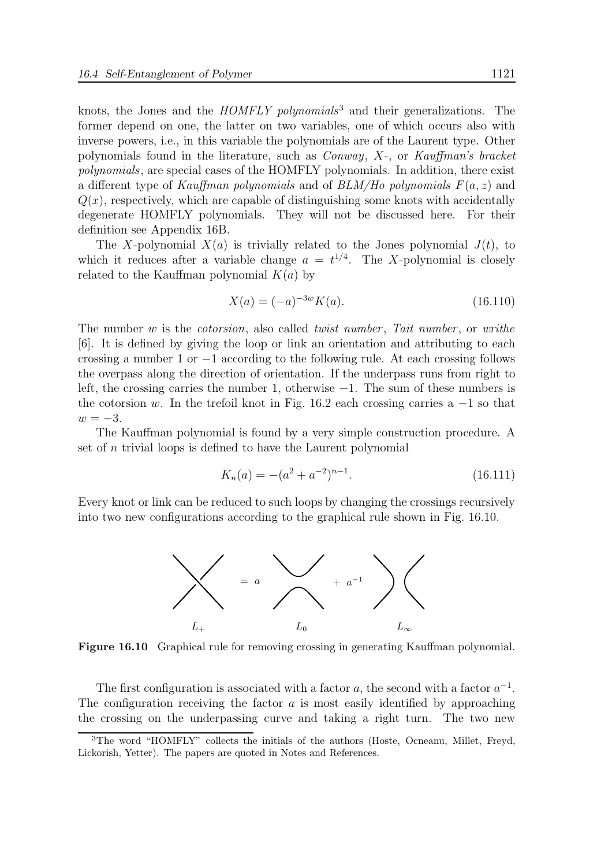knots, the Jones and the  $HOMFLY$  polynomials<sup>3</sup> and their generalizations. The former depend on one, the latter on two variables, one of which occurs also with inverse powers, i.e., in this variable the polynomials are of the Laurent type. Other polynomials found in the literature, such as Conway, X-, or Kauffman's bracket polynomials, are special cases of the HOMFLY polynomials. In addition, there exist a different type of Kauffman polynomials and of  $BLM/Ho$  polynomials  $F(a, z)$  and  $Q(x)$ , respectively, which are capable of distinguishing some knots with accidentally degenerate HOMFLY polynomials. They will not be discussed here. For their definition see Appendix 16B.

The X-polynomial  $X(a)$  is trivially related to the Jones polynomial  $J(t)$ , to which it reduces after a variable change  $a = t^{1/4}$ . The X-polynomial is closely related to the Kauffman polynomial  $K(a)$  by

$$
X(a) = (-a)^{-3w} K(a).
$$
 (16.110)

The number  $w$  is the *cotorsion*, also called *twist number*, Tait number, or writhe [6]. It is defined by giving the loop or link an orientation and attributing to each crossing a number 1 or −1 according to the following rule. At each crossing follows the overpass along the direction of orientation. If the underpass runs from right to left, the crossing carries the number 1, otherwise −1. The sum of these numbers is the cotorsion w. In the trefoil knot in Fig. 16.2 each crossing carries a  $-1$  so that  $w = -3$ .

The Kauffman polynomial is found by a very simple construction procedure. A set of n trivial loops is defined to have the Laurent polynomial

$$
K_n(a) = -(a^2 + a^{-2})^{n-1}.
$$
\n(16.111)

Every knot or link can be reduced to such loops by changing the crossings recursively into two new configurations according to the graphical rule shown in Fig. 16.10.



Figure 16.10 Graphical rule for removing crossing in generating Kauffman polynomial.

The first configuration is associated with a factor  $a$ , the second with a factor  $a^{-1}$ . The configuration receiving the factor  $a$  is most easily identified by approaching the crossing on the underpassing curve and taking a right turn. The two new

<sup>&</sup>lt;sup>3</sup>The word "HOMFLY" collects the initials of the authors (Hoste, Ocneanu, Millet, Freyd, Lickorish, Yetter). The papers are quoted in Notes and References.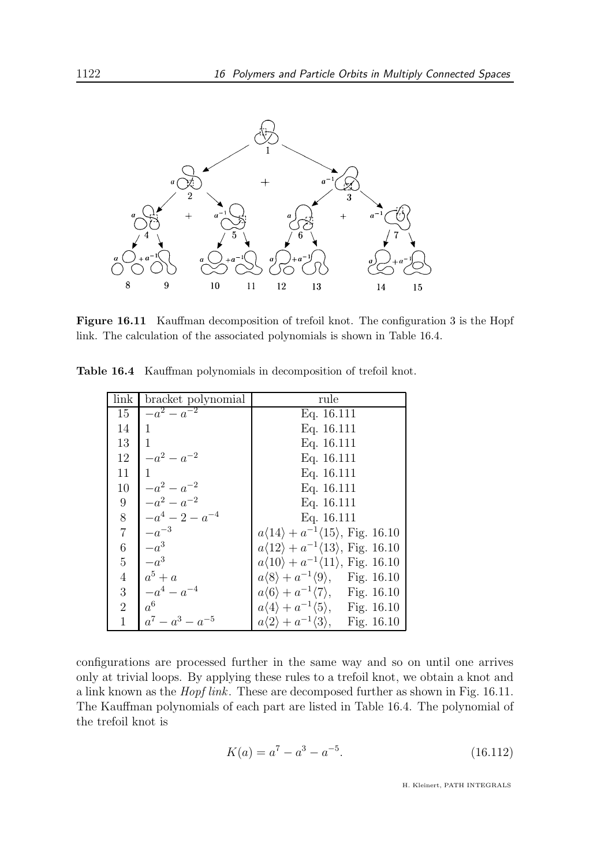

Figure 16.11 Kauffman decomposition of trefoil knot. The configuration 3 is the Hopf link. The calculation of the associated polynomials is shown in Table 16.4.

| $\ln k$                                    | bracket polynomial                               | rule                                                           |
|--------------------------------------------|--------------------------------------------------|----------------------------------------------------------------|
| 15                                         | $-a^2 - a^{-2}$                                  | Eq. 16.111                                                     |
| 14                                         | $\mathbf{1}$                                     | Eq. 16.111                                                     |
| 13                                         | $\overline{1}$                                   | Eq. 16.111                                                     |
| 12                                         | $-a^2 - a^{-2}$                                  | Eq. 16.111                                                     |
| 11                                         | 1                                                | Eq. 16.111                                                     |
| 10                                         | $-a^2 - a^{-2}$                                  | Eq. $16.111$                                                   |
|                                            | $-a^2 - a^{-2}$                                  | Eq. 16.111                                                     |
| $\begin{array}{c} 9 \\ 8 \\ 7 \end{array}$ | $-a^4-2-a^{-4}$                                  | Eq. $16.111$                                                   |
|                                            | $-a^{-3}$                                        | $a\langle 14 \rangle + a^{-1}\langle 15 \rangle$ , Fig. 16.10  |
| $6\ 5\ 4\ 3\ 2$                            | $-a^3$                                           | $a\langle 12 \rangle + a^{-1}\langle 13 \rangle$ , Fig. 16.10  |
|                                            | $\begin{array}{c}\n-a^3 \\ a^5 + a\n\end{array}$ | $a\langle 10 \rangle + a^{-1} \langle 11 \rangle$ , Fig. 16.10 |
|                                            |                                                  | $a\langle 8 \rangle + a^{-1} \langle 9 \rangle$ , Fig. 16.10   |
|                                            | $-a^4 - a^{-4}$                                  | $a\langle 6 \rangle + a^{-1} \langle 7 \rangle$ , Fig. 16.10   |
|                                            | $a^6$                                            | $a\langle 4 \rangle + a^{-1}\langle 5 \rangle$ , Fig. 16.10    |
| $\overline{1}$                             | $a^7 - a^3 - a^{-5}$                             | $a\langle 2\rangle + a^{-1}\langle 3\rangle$ , Fig. 16.10      |

Table 16.4 Kauffman polynomials in decomposition of trefoil knot.

configurations are processed further in the same way and so on until one arrives only at trivial loops. By applying these rules to a trefoil knot, we obtain a knot and a link known as the Hopf link. These are decomposed further as shown in Fig. 16.11. The Kauffman polynomials of each part are listed in Table 16.4. The polynomial of the trefoil knot is

$$
K(a) = a^7 - a^3 - a^{-5}.
$$
 (16.112)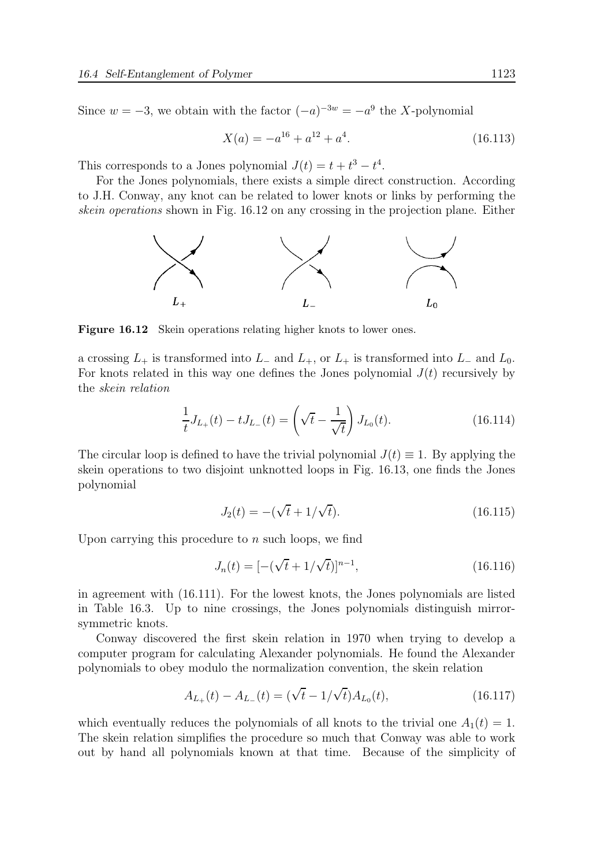Since  $w = -3$ , we obtain with the factor  $(-a)^{-3w} = -a^9$  the X-polynomial

$$
X(a) = -a^{16} + a^{12} + a^4. \tag{16.113}
$$

This corresponds to a Jones polynomial  $J(t) = t + t^3 - t^4$ .

For the Jones polynomials, there exists a simple direct construction. According to J.H. Conway, any knot can be related to lower knots or links by performing the skein operations shown in Fig. 16.12 on any crossing in the projection plane. Either



Figure 16.12 Skein operations relating higher knots to lower ones.

a crossing  $L_+$  is transformed into  $L_-\$  and  $L_+$ , or  $L_+$  is transformed into  $L_-\$  and  $L_0$ . For knots related in this way one defines the Jones polynomial  $J(t)$  recursively by the skein relation

$$
\frac{1}{t}J_{L_{+}}(t) - tJ_{L_{-}}(t) = \left(\sqrt{t} - \frac{1}{\sqrt{t}}\right)J_{L_{0}}(t). \tag{16.114}
$$

The circular loop is defined to have the trivial polynomial  $J(t) \equiv 1$ . By applying the skein operations to two disjoint unknotted loops in Fig. 16.13, one finds the Jones polynomial

$$
J_2(t) = -(\sqrt{t} + 1/\sqrt{t}).\tag{16.115}
$$

Upon carrying this procedure to  $n$  such loops, we find

$$
J_n(t) = [-(\sqrt{t} + 1/\sqrt{t})]^{n-1}, \qquad (16.116)
$$

in agreement with (16.111). For the lowest knots, the Jones polynomials are listed in Table 16.3. Up to nine crossings, the Jones polynomials distinguish mirrorsymmetric knots.

Conway discovered the first skein relation in 1970 when trying to develop a computer program for calculating Alexander polynomials. He found the Alexander polynomials to obey modulo the normalization convention, the skein relation

$$
A_{L_{+}}(t) - A_{L_{-}}(t) = (\sqrt{t} - 1/\sqrt{t})A_{L_{0}}(t),
$$
\n(16.117)

which eventually reduces the polynomials of all knots to the trivial one  $A_1(t) = 1$ . The skein relation simplifies the procedure so much that Conway was able to work out by hand all polynomials known at that time. Because of the simplicity of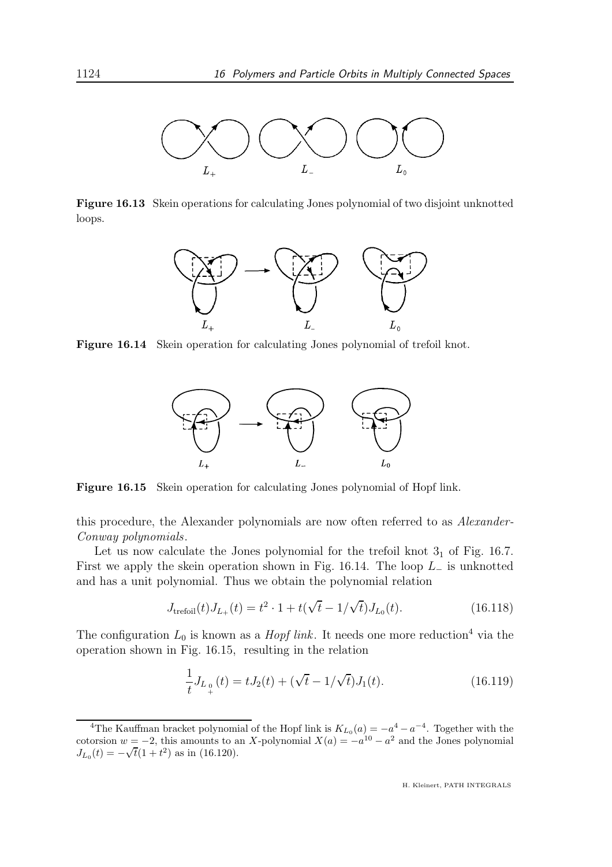

Figure 16.13 Skein operations for calculating Jones polynomial of two disjoint unknotted loops.



Figure 16.14 Skein operation for calculating Jones polynomial of trefoil knot.



Figure 16.15 Skein operation for calculating Jones polynomial of Hopf link.

this procedure, the Alexander polynomials are now often referred to as Alexander-Conway polynomials.

Let us now calculate the Jones polynomial for the trefoil knot  $3<sub>1</sub>$  of Fig. 16.7. First we apply the skein operation shown in Fig. 16.14. The loop  $L_-\$  is unknotted and has a unit polynomial. Thus we obtain the polynomial relation

$$
J_{\text{trefoil}}(t) J_{L_+}(t) = t^2 \cdot 1 + t(\sqrt{t} - 1/\sqrt{t}) J_{L_0}(t).
$$
 (16.118)

The configuration  $L_0$  is known as a *Hopf link*. It needs one more reduction<sup>4</sup> via the operation shown in Fig. 16.15, resulting in the relation

$$
\frac{1}{t}J_{L_{\rho}(t)} = tJ_2(t) + (\sqrt{t} - 1/\sqrt{t})J_1(t).
$$
\n(16.119)

<sup>&</sup>lt;sup>4</sup>The Kauffman bracket polynomial of the Hopf link is  $K_{L_0}(a) = -a^4 - a^{-4}$ . Together with the cotorsion  $w = -2$ , this amounts to an X-polynomial  $X(a) = -a^{10} - a^2$  and the Jones polynomial  $J_{L_0}(t) = -\sqrt{t}(1+t^2)$  as in (16.120).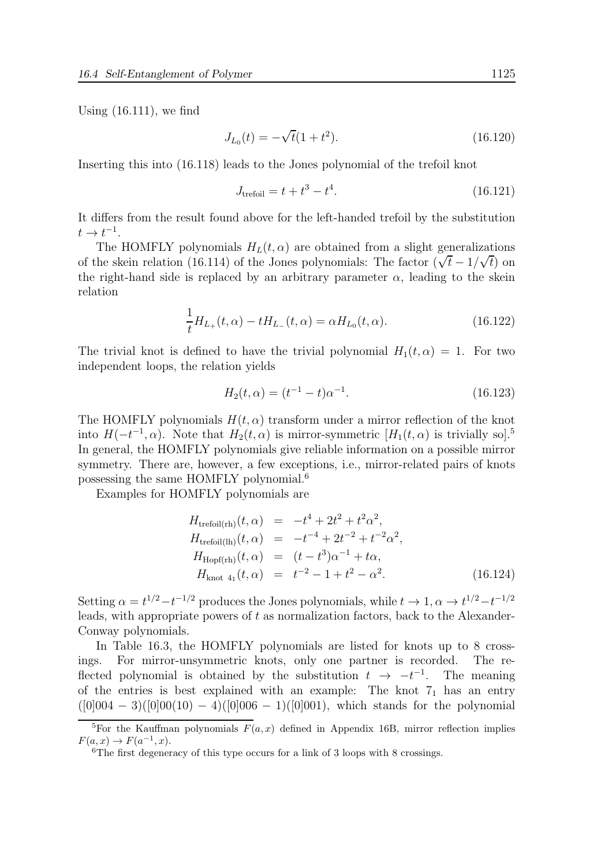Using  $(16.111)$ , we find

$$
J_{L_0}(t) = -\sqrt{t}(1+t^2). \tag{16.120}
$$

Inserting this into (16.118) leads to the Jones polynomial of the trefoil knot

$$
J_{\text{trefoil}} = t + t^3 - t^4. \tag{16.121}
$$

It differs from the result found above for the left-handed trefoil by the substitution  $t \to t^{-1}$ .

The HOMFLY polynomials  $H_L(t, \alpha)$  are obtained from a slight generalizations of the skein relation (16.114) of the Jones polynomials: The factor  $(\sqrt{t} - 1/\sqrt{t})$  on the right-hand side is replaced by an arbitrary parameter  $\alpha$ , leading to the skein relation

$$
\frac{1}{t}H_{L_{+}}(t,\alpha) - tH_{L_{-}}(t,\alpha) = \alpha H_{L_{0}}(t,\alpha).
$$
\n(16.122)

The trivial knot is defined to have the trivial polynomial  $H_1(t, \alpha) = 1$ . For two independent loops, the relation yields

$$
H_2(t,\alpha) = (t^{-1} - t)\alpha^{-1}.
$$
\n(16.123)

The HOMFLY polynomials  $H(t, \alpha)$  transform under a mirror reflection of the knot into  $H(-t^{-1}, \alpha)$ . Note that  $H_2(t, \alpha)$  is mirror-symmetric  $[H_1(t, \alpha)]$  is trivially so.<sup>5</sup> In general, the HOMFLY polynomials give reliable information on a possible mirror symmetry. There are, however, a few exceptions, i.e., mirror-related pairs of knots possessing the same HOMFLY polynomial.<sup>6</sup>

Examples for HOMFLY polynomials are

$$
H_{\text{trefoil}}(t, \alpha) = -t^4 + 2t^2 + t^2 \alpha^2,
$$
  
\n
$$
H_{\text{trefoil}}(t, \alpha) = -t^{-4} + 2t^{-2} + t^{-2} \alpha^2,
$$
  
\n
$$
H_{\text{Hopf(rh)}}(t, \alpha) = (t - t^3) \alpha^{-1} + t \alpha,
$$
  
\n
$$
H_{\text{kont 4}_1}(t, \alpha) = t^{-2} - 1 + t^2 - \alpha^2.
$$
\n(16.124)

Setting  $\alpha = t^{1/2} - t^{-1/2}$  produces the Jones polynomials, while  $t \to 1, \alpha \to t^{1/2} - t^{-1/2}$ leads, with appropriate powers of  $t$  as normalization factors, back to the Alexander-Conway polynomials.

In Table 16.3, the HOMFLY polynomials are listed for knots up to 8 crossings. For mirror-unsymmetric knots, only one partner is recorded. The reflected polynomial is obtained by the substitution  $t \to -t^{-1}$ . The meaning of the entries is best explained with an example: The knot  $7<sub>1</sub>$  has an entry  $([0]004 - 3)([0]00(10) - 4)([0]006 - 1)([0]001)$ , which stands for the polynomial

<sup>&</sup>lt;sup>5</sup>For the Kauffman polynomials  $F(a, x)$  defined in Appendix 16B, mirror reflection implies  $F(a, x) \rightarrow F(a^{-1}, x).$ 

<sup>&</sup>lt;sup>6</sup>The first degeneracy of this type occurs for a link of 3 loops with 8 crossings.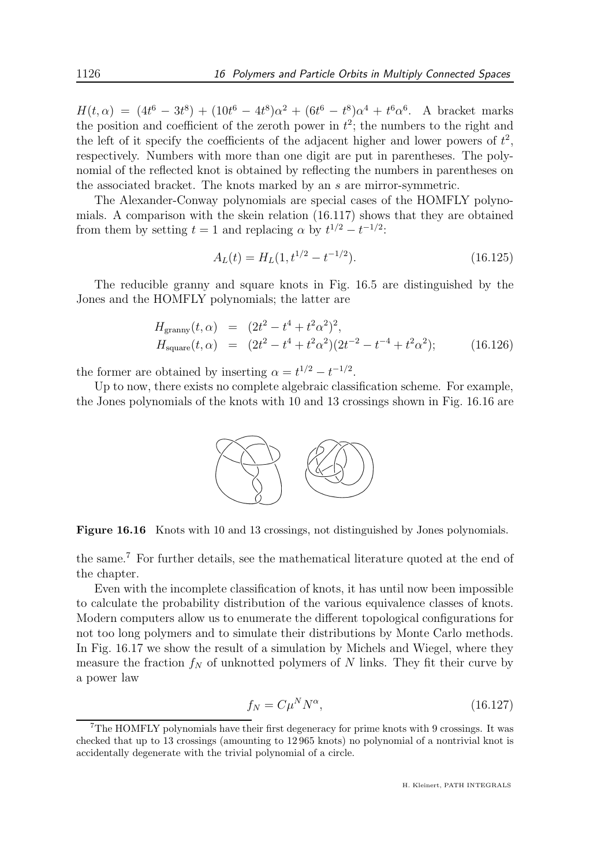$H(t, \alpha) = (4t^6 - 3t^8) + (10t^6 - 4t^8)\alpha^2 + (6t^6 - t^8)\alpha^4 + t^6\alpha^6$ . A bracket marks the position and coefficient of the zeroth power in  $t^2$ ; the numbers to the right and the left of it specify the coefficients of the adjacent higher and lower powers of  $t^2$ , respectively. Numbers with more than one digit are put in parentheses. The polynomial of the reflected knot is obtained by reflecting the numbers in parentheses on the associated bracket. The knots marked by an s are mirror-symmetric.

The Alexander-Conway polynomials are special cases of the HOMFLY polynomials. A comparison with the skein relation (16.117) shows that they are obtained from them by setting  $t = 1$  and replacing  $\alpha$  by  $t^{1/2} - t^{-1/2}$ .

$$
A_L(t) = H_L(1, t^{1/2} - t^{-1/2}).
$$
\n(16.125)

The reducible granny and square knots in Fig. 16.5 are distinguished by the Jones and the HOMFLY polynomials; the latter are

$$
H_{\text{granny}}(t,\alpha) = (2t^2 - t^4 + t^2 \alpha^2)^2,
$$
  
\n
$$
H_{\text{square}}(t,\alpha) = (2t^2 - t^4 + t^2 \alpha^2)(2t^{-2} - t^{-4} + t^2 \alpha^2);
$$
 (16.126)

the former are obtained by inserting  $\alpha = t^{1/2} - t^{-1/2}$ .

Up to now, there exists no complete algebraic classification scheme. For example, the Jones polynomials of the knots with 10 and 13 crossings shown in Fig. 16.16 are



Figure 16.16 Knots with 10 and 13 crossings, not distinguished by Jones polynomials.

the same.<sup>7</sup> For further details, see the mathematical literature quoted at the end of the chapter.

Even with the incomplete classification of knots, it has until now been impossible to calculate the probability distribution of the various equivalence classes of knots. Modern computers allow us to enumerate the different topological configurations for not too long polymers and to simulate their distributions by Monte Carlo methods. In Fig. 16.17 we show the result of a simulation by Michels and Wiegel, where they measure the fraction  $f_N$  of unknotted polymers of N links. They fit their curve by a power law

$$
f_N = C\mu^N N^{\alpha},\tag{16.127}
$$

<sup>7</sup>The HOMFLY polynomials have their first degeneracy for prime knots with 9 crossings. It was checked that up to 13 crossings (amounting to 12 965 knots) no polynomial of a nontrivial knot is accidentally degenerate with the trivial polynomial of a circle.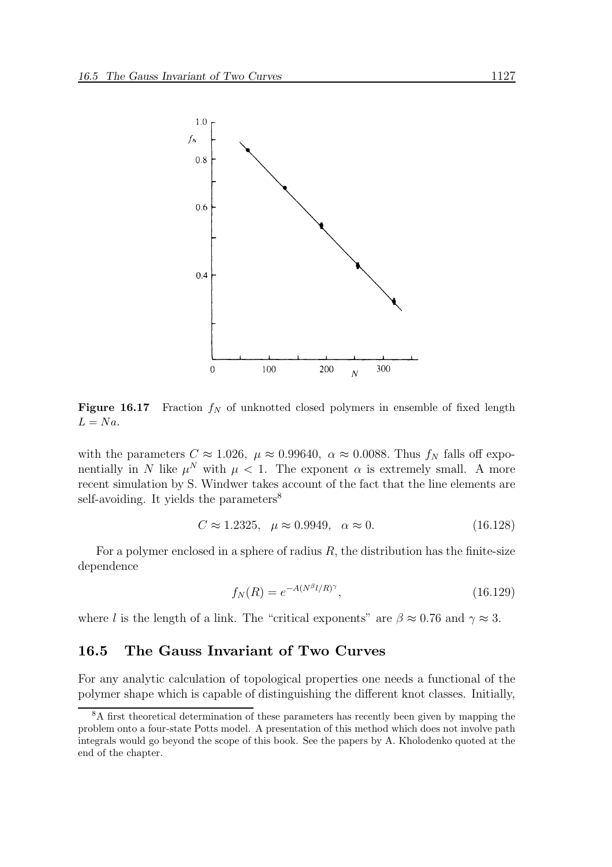

Figure 16.17 Fraction  $f_N$  of unknotted closed polymers in ensemble of fixed length  $L = Na$ .

with the parameters  $C \approx 1.026$ ,  $\mu \approx 0.99640$ ,  $\alpha \approx 0.0088$ . Thus  $f_N$  falls off exponentially in N like  $\mu^N$  with  $\mu < 1$ . The exponent  $\alpha$  is extremely small. A more recent simulation by S. Windwer takes account of the fact that the line elements are self-avoiding. It yields the parameters<sup>8</sup>

$$
C \approx 1.2325, \ \mu \approx 0.9949, \ \alpha \approx 0.
$$
 (16.128)

For a polymer enclosed in a sphere of radius  $R$ , the distribution has the finite-size dependence

$$
f_N(R) = e^{-A(N^\beta l/R)^\gamma},\tag{16.129}
$$

where l is the length of a link. The "critical exponents" are  $\beta \approx 0.76$  and  $\gamma \approx 3$ .

#### 16.5 The Gauss Invariant of Two Curves

For any analytic calculation of topological properties one needs a functional of the polymer shape which is capable of distinguishing the different knot classes. Initially,

<sup>&</sup>lt;sup>8</sup>A first theoretical determination of these parameters has recently been given by mapping the problem onto a four-state Potts model. A presentation of this method which does not involve path integrals would go beyond the scope of this book. See the papers by A. Kholodenko quoted at the end of the chapter.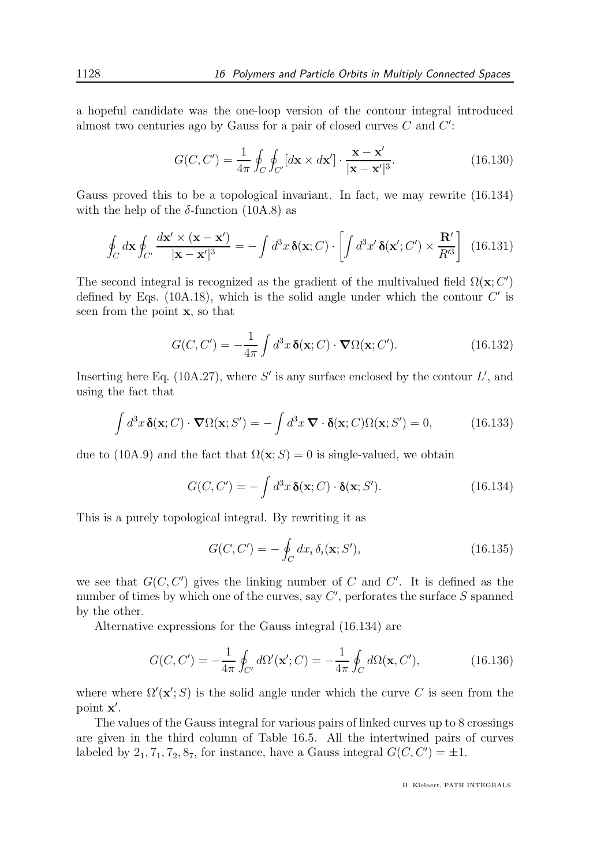a hopeful candidate was the one-loop version of the contour integral introduced almost two centuries ago by Gauss for a pair of closed curves  $C$  and  $C'$ :

$$
G(C, C') = \frac{1}{4\pi} \oint_C \oint_{C'} [d\mathbf{x} \times d\mathbf{x}'] \cdot \frac{\mathbf{x} - \mathbf{x}'}{|\mathbf{x} - \mathbf{x}'|^3}.
$$
 (16.130)

Gauss proved this to be a topological invariant. In fact, we may rewrite (16.134) with the help of the  $\delta$ -function (10A.8) as

$$
\oint_C d\mathbf{x} \oint_{C'} \frac{d\mathbf{x}' \times (\mathbf{x} - \mathbf{x}')}{|\mathbf{x} - \mathbf{x}'|^3} = -\int d^3x \, \delta(\mathbf{x}; C) \cdot \left[ \int d^3x' \, \delta(\mathbf{x}'; C') \times \frac{\mathbf{R}'}{R'^3} \right] \tag{16.131}
$$

The second integral is recognized as the gradient of the multivalued field  $\Omega(\mathbf{x}; C')$ defined by Eqs. (10A.18), which is the solid angle under which the contour  $C'$  is seen from the point x, so that

$$
G(C, C') = -\frac{1}{4\pi} \int d^3x \, \delta(\mathbf{x}; C) \cdot \nabla \Omega(\mathbf{x}; C'). \tag{16.132}
$$

Inserting here Eq. (10A.27), where  $S'$  is any surface enclosed by the contour  $L'$ , and using the fact that

$$
\int d^3x \, \delta(\mathbf{x}; C) \cdot \nabla \Omega(\mathbf{x}; S') = -\int d^3x \, \nabla \cdot \delta(\mathbf{x}; C) \Omega(\mathbf{x}; S') = 0,\tag{16.133}
$$

due to (10A.9) and the fact that  $\Omega(\mathbf{x}; S) = 0$  is single-valued, we obtain

$$
G(C, C') = -\int d^3x \, \delta(\mathbf{x}; C) \cdot \delta(\mathbf{x}; S'). \tag{16.134}
$$

This is a purely topological integral. By rewriting it as

$$
G(C, C') = -\oint_C dx_i \,\delta_i(\mathbf{x}; S'),\tag{16.135}
$$

we see that  $G(C, C')$  gives the linking number of C and C'. It is defined as the number of times by which one of the curves, say  $C'$ , perforates the surface S spanned by the other.

Alternative expressions for the Gauss integral (16.134) are

$$
G(C, C') = -\frac{1}{4\pi} \oint_{C'} d\Omega'(\mathbf{x}'; C) = -\frac{1}{4\pi} \oint_C d\Omega(\mathbf{x}, C'), \qquad (16.136)
$$

where where  $\Omega'(\mathbf{x}';S)$  is the solid angle under which the curve C is seen from the point **x'**.

The values of the Gauss integral for various pairs of linked curves up to 8 crossings are given in the third column of Table 16.5. All the intertwined pairs of curves labeled by  $2_1, 7_1, 7_2, 8_7$ , for instance, have a Gauss integral  $G(C, C') = \pm 1$ .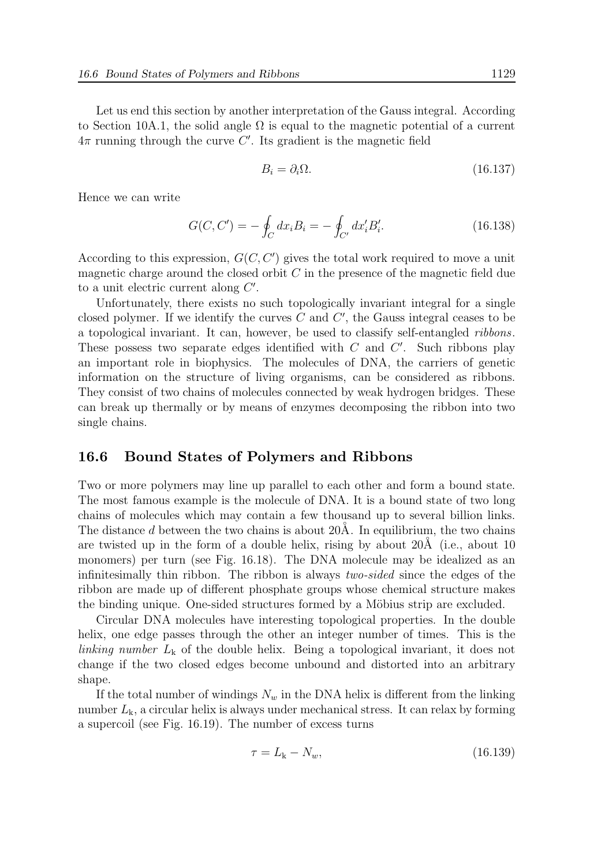Let us end this section by another interpretation of the Gauss integral. According to Section 10A.1, the solid angle  $\Omega$  is equal to the magnetic potential of a current  $4\pi$  running through the curve C'. Its gradient is the magnetic field

$$
B_i = \partial_i \Omega. \tag{16.137}
$$

Hence we can write

$$
G(C, C') = -\oint_C dx_i B_i = -\oint_{C'} dx'_i B'_i.
$$
 (16.138)

According to this expression,  $G(C, C')$  gives the total work required to move a unit magnetic charge around the closed orbit  $C$  in the presence of the magnetic field due to a unit electric current along  $C'$ .

Unfortunately, there exists no such topologically invariant integral for a single closed polymer. If we identify the curves  $C$  and  $C'$ , the Gauss integral ceases to be a topological invariant. It can, however, be used to classify self-entangled ribbons. These possess two separate edges identified with  $C$  and  $C'$ . Such ribbons play an important role in biophysics. The molecules of DNA, the carriers of genetic information on the structure of living organisms, can be considered as ribbons. They consist of two chains of molecules connected by weak hydrogen bridges. These can break up thermally or by means of enzymes decomposing the ribbon into two single chains.

#### 16.6 Bound States of Polymers and Ribbons

Two or more polymers may line up parallel to each other and form a bound state. The most famous example is the molecule of DNA. It is a bound state of two long chains of molecules which may contain a few thousand up to several billion links. The distance d between the two chains is about  $20\text{\AA}$ . In equilibrium, the two chains are twisted up in the form of a double helix, rising by about  $20\text{\AA}^{\circ}$  (i.e., about 10 monomers) per turn (see Fig. 16.18). The DNA molecule may be idealized as an infinitesimally thin ribbon. The ribbon is always two-sided since the edges of the ribbon are made up of different phosphate groups whose chemical structure makes the binding unique. One-sided structures formed by a Möbius strip are excluded.

Circular DNA molecules have interesting topological properties. In the double helix, one edge passes through the other an integer number of times. This is the linking number  $L_k$  of the double helix. Being a topological invariant, it does not change if the two closed edges become unbound and distorted into an arbitrary shape.

If the total number of windings  $N_w$  in the DNA helix is different from the linking number  $L_k$ , a circular helix is always under mechanical stress. It can relax by forming a supercoil (see Fig. 16.19). The number of excess turns

$$
\tau = L_{\mathbf{k}} - N_w,\tag{16.139}
$$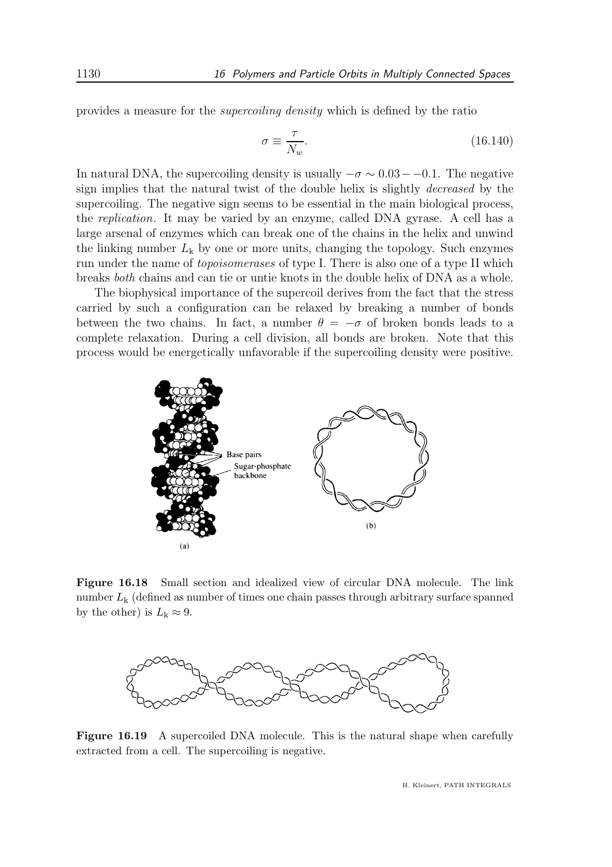provides a measure for the supercoiling density which is defined by the ratio

$$
\sigma \equiv \frac{\tau}{N_w}.\tag{16.140}
$$

In natural DNA, the supercoiling density is usually  $-\sigma \sim 0.03 - 0.1$ . The negative sign implies that the natural twist of the double helix is slightly decreased by the supercoiling. The negative sign seems to be essential in the main biological process, the replication. It may be varied by an enzyme, called DNA gyrase. A cell has a large arsenal of enzymes which can break one of the chains in the helix and unwind the linking number  $L_k$  by one or more units, changing the topology. Such enzymes run under the name of topoisomerases of type I. There is also one of a type II which breaks both chains and can tie or untie knots in the double helix of DNA as a whole.

The biophysical importance of the supercoil derives from the fact that the stress carried by such a configuration can be relaxed by breaking a number of bonds between the two chains. In fact, a number  $\theta = -\sigma$  of broken bonds leads to a complete relaxation. During a cell division, all bonds are broken. Note that this process would be energetically unfavorable if the supercoiling density were positive.



Figure 16.18 Small section and idealized view of circular DNA molecule. The link number  $L_k$  (defined as number of times one chain passes through arbitrary surface spanned by the other) is  $L_k \approx 9$ .



Figure 16.19 A supercoiled DNA molecule. This is the natural shape when carefully extracted from a cell. The supercoiling is negative.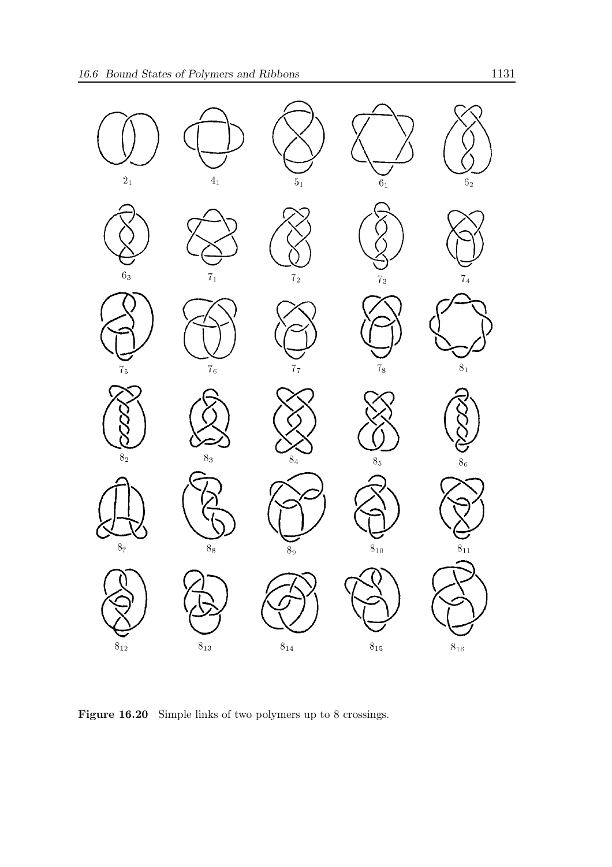

Figure 16.20 Simple links of two polymers up to 8 crossings.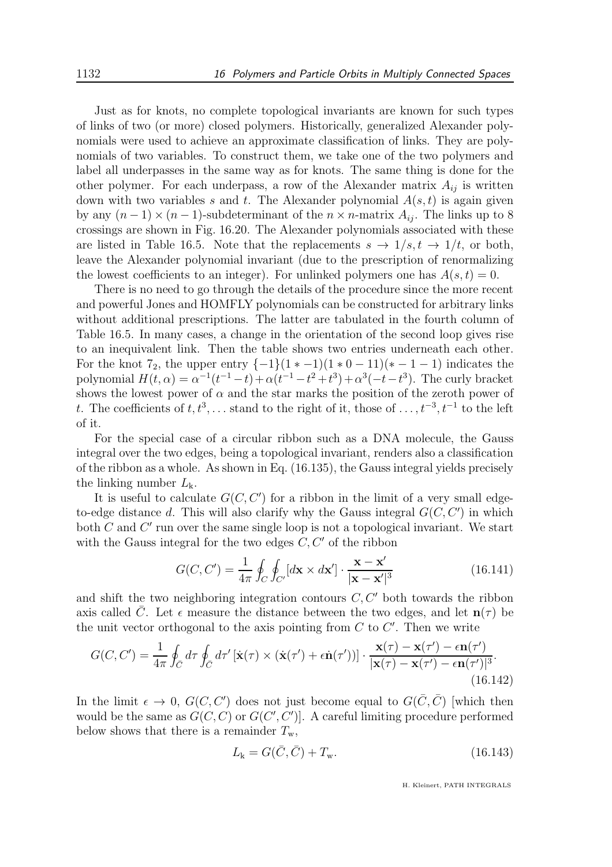Just as for knots, no complete topological invariants are known for such types of links of two (or more) closed polymers. Historically, generalized Alexander polynomials were used to achieve an approximate classification of links. They are polynomials of two variables. To construct them, we take one of the two polymers and label all underpasses in the same way as for knots. The same thing is done for the other polymer. For each underpass, a row of the Alexander matrix  $A_{ij}$  is written down with two variables s and t. The Alexander polynomial  $A(s, t)$  is again given by any  $(n-1) \times (n-1)$ -subdeterminant of the  $n \times n$ -matrix  $A_{ij}$ . The links up to 8 crossings are shown in Fig. 16.20. The Alexander polynomials associated with these are listed in Table 16.5. Note that the replacements  $s \to 1/s, t \to 1/t$ , or both, leave the Alexander polynomial invariant (due to the prescription of renormalizing the lowest coefficients to an integer). For unlinked polymers one has  $A(s, t) = 0$ .

There is no need to go through the details of the procedure since the more recent and powerful Jones and HOMFLY polynomials can be constructed for arbitrary links without additional prescriptions. The latter are tabulated in the fourth column of Table 16.5. In many cases, a change in the orientation of the second loop gives rise to an inequivalent link. Then the table shows two entries underneath each other. For the knot  $7_2$ , the upper entry  $\{-1\}(1 - 1)(1 + 0 - 11)(1 - 1 - 1)$  indicates the polynomial  $H(t, \alpha) = \alpha^{-1}(t^{-1} - t) + \alpha(t^{-1} - t^2 + t^3) + \alpha^3(-t - t^3)$ . The curly bracket shows the lowest power of  $\alpha$  and the star marks the position of the zeroth power of t. The coefficients of  $t, t^3, \ldots$  stand to the right of it, those of  $\ldots, t^{-3}, t^{-1}$  to the left of it.

For the special case of a circular ribbon such as a DNA molecule, the Gauss integral over the two edges, being a topological invariant, renders also a classification of the ribbon as a whole. As shown in Eq. (16.135), the Gauss integral yields precisely the linking number  $L_{k}$ .

It is useful to calculate  $G(C, C')$  for a ribbon in the limit of a very small edgeto-edge distance  $d$ . This will also clarify why the Gauss integral  $G(C, C')$  in which both  $C$  and  $C'$  run over the same single loop is not a topological invariant. We start with the Gauss integral for the two edges  $C, C'$  of the ribbon

$$
G(C, C') = \frac{1}{4\pi} \oint_C \oint_{C'} [d\mathbf{x} \times d\mathbf{x'}] \cdot \frac{\mathbf{x} - \mathbf{x'}}{|\mathbf{x} - \mathbf{x'}|^3}
$$
(16.141)

and shift the two neighboring integration contours  $C, C'$  both towards the ribbon axis called  $\bar{C}$ . Let  $\epsilon$  measure the distance between the two edges, and let  $\mathbf{n}(\tau)$  be the unit vector orthogonal to the axis pointing from  $C$  to  $C'$ . Then we write

$$
G(C, C') = \frac{1}{4\pi} \oint_{\overline{C}} d\tau \oint_{\overline{C}} d\tau' \left[ \dot{\mathbf{x}}(\tau) \times (\dot{\mathbf{x}}(\tau') + \epsilon \dot{\mathbf{n}}(\tau')) \right] \cdot \frac{\mathbf{x}(\tau) - \mathbf{x}(\tau') - \epsilon \mathbf{n}(\tau')}{|\mathbf{x}(\tau) - \mathbf{x}(\tau') - \epsilon \mathbf{n}(\tau')|^3}.
$$
\n(16.142)

In the limit  $\epsilon \to 0$ ,  $G(C, C')$  does not just become equal to  $G(\overline{C}, \overline{C})$  [which then would be the same as  $G(C, C)$  or  $G(C', C')$ . A careful limiting procedure performed below shows that there is a remainder  $T_w$ ,

$$
L_{\rm k} = G(\bar{C}, \bar{C}) + T_{\rm w}.
$$
\n(16.143)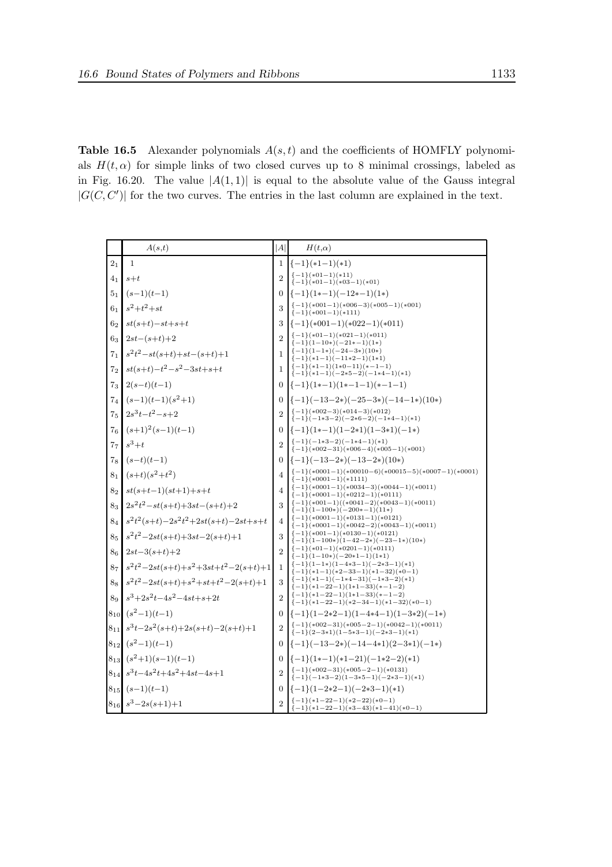**Table 16.5** Alexander polynomials  $A(s, t)$  and the coefficients of HOMFLY polynomials  $H(t, \alpha)$  for simple links of two closed curves up to 8 minimal crossings, labeled as in Fig. 16.20. The value  $|A(1,1)|$  is equal to the absolute value of the Gauss integral  $|G(C, C')|$  for the two curves. The entries in the last column are explained in the text.

|                       | A(s,t)                                         | A              | $H(t,\alpha)$                                                                                |
|-----------------------|------------------------------------------------|----------------|----------------------------------------------------------------------------------------------|
| 2 <sub>1</sub>        | 1                                              | $\mathbf{1}$   | $\{-1\}(*1-1)(*1)$                                                                           |
| 4 <sub>1</sub>        | $s+t$                                          | $\overline{2}$ | $\{-1\}$ (* 01 - 1) (* 11)<br>$\{-1\}$ (*01-1)(*03-1)(*01)                                   |
| 51                    | $(s-1)(t-1)$                                   | $\theta$       | $\{-1\}(1*-1)(-12*-1)(1*)$                                                                   |
| 6 <sub>1</sub>        | $s^2+t^2+st$                                   | 3              | $\{-1\}$ (* 001 - 1)(* 006 - 3)(* 005 - 1)(* 001)<br>$\{-1\}$ (* 001 – 1)(* 111)             |
| 6 <sub>2</sub>        | $st(s+t)-st+s+t$                               | 3              | $\{-1\}$ (*001-1)(*022-1)(*011)                                                              |
| 63                    | $2st-(s+t)+2$                                  | $\mathfrak{D}$ | $\{-1\}$ $(*01-1)$ $(*021-1)$ $(*011)$<br>$\{-1\}(1-10*)(-21*-1)(1*)$                        |
| 7 <sub>1</sub>        | $s^2t^2 - st(s+t) + st - (s+t) + 1$            | $\mathbf{1}$   | $\{-1\}(1-1*)(-24-3*)(10*)$<br>$\{-1\}$ $(*1-1)$ $(-11*2-1)$ $(1*1)$                         |
| 7 <sub>2</sub>        | $st(s+t)-t^2-s^2-3st+s+t$                      | 1              | $\{-1\}$ $(*1-1)$ $(1*0-11)$ $(*-1-1)$<br>$\{-1\}$ (*1-1)(-2*5-2)(-1*4-1)(*1)                |
| 7 <sub>3</sub>        | $2(s-t)(t-1)$                                  | $\Omega$       | $\{-1\}(1*-1)(1*-1-1)*(1-1-1)$                                                               |
| 7 <sub>4</sub>        | $(s-1)(t-1)(s^2+1)$                            | $\Omega$       | $\{-1\}(-13-2*)(-25-3*)(-14-1*)(10*)$                                                        |
| 7 <sub>5</sub>        | $2s^3t-t^2-s+2$                                | $\mathfrak{D}$ | $\{-1\}$ (* 002 – 3)(* 014 – 3)(* 012)<br>$\{-1\}(-1*3-2)(-2*6-2)(-1*4-1)(*1)$               |
| 7 <sub>6</sub>        | $(s+1)^2(s-1)(t-1)$                            | $\Omega$       | $\{-1\}(1*-1)(1-2*1)(1-3*1)(-1*)$                                                            |
| 7 <sub>7</sub>        | $s^3+t$                                        | $\mathcal{D}$  | $\{-1\}(-1*3-2)(-1*4-1)*(1)$<br>$\{-1\}$ (*002-31)(*006-4)(*005-1)(*001)                     |
| 7 <sub>8</sub>        | $(s-t)(t-1)$                                   | $\Omega$       | $\{-1\}(-13-2*)(-13-2*)(10*)$                                                                |
| 8 <sub>1</sub>        | $(s+t)(s^2+t^2)$                               | $\overline{4}$ | $\{-1\}$ (*0001-1)(*00010-6)(*00015-5)(*0007-1)(*0001)<br>$\{-1\}$ (*0001-1)(*1111)          |
| 82                    | $st(s+t-1)(st+1)+s+t$                          | $\overline{4}$ | $\{-1\}$ (*0001-1)(*0034-3)(*0044-1)(*0011)<br>$\{-1\}$ (*0001-1)(*0212-1)(*0111)            |
| 83                    | $2s^2t^2 - st(s+t) + 3st - (s+t) + 2$          | 3              | $\{-1\}$ (*001-1)((*0041-2)(*0043-1)(*0011)<br>$\{-1\}(1-100*)(-200*-1)(11*)$                |
| 8 <sub>4</sub>        | $s^{2}t^{2}(s+t)-2s^{2}t^{2}+2st(s+t)-2st+s+t$ | $\overline{4}$ | $\{-1\}$ (*0001-1)(*0131-1)(*0121)<br>$\{-1\}$ (*0001-1)(*0042-2)(*0043-1)(*0011)            |
| 8 <sub>5</sub>        | $s^{2}t^{2}-2st(s+t)+3st-2(s+t)+1$             | 3              | $\{-1\}$ (*001-1)(*0130-1)(*0121)<br>$\{-1\}(1-100*)(1-42-2*)(-23-1*)(10*)$                  |
| 86                    | $2st - 3(s+t) + 2$                             | $\overline{2}$ | $\{-1\}$ (*01-1)(*0201-1)(*0111)<br>$\{-1\}(1-10*)(-20*1-1)(1*1)$                            |
| 8 <sub>7</sub>        | $s^{2}t^{2}-2st(s+t)+s^{2}+3st+t^{2}-2(s+t)+1$ | $\mathbf{1}$   | $\{-1\}(1-1*)(1-4*3-1)(-2*3-1)(*1)$<br>$\{-1\}$ (*1-1)(*2-33-1)(*1-32)(*0-1)                 |
| 88                    | $s^{2}t^{2}-2st(s+t)+s^{2}+st+t^{2}-2(s+t)+1$  | 3              | $\{-1\}$ (*1-1)(-1*4-31)(-1*3-2)(*1)<br>$\{-1\}$ (*1-22-1)(1*1-33)(*-1-2)                    |
| 89                    | $s^3+2s^2t-4s^2-4st+s+2t$                      | $\mathfrak{D}$ | $\{-1\}$ (*1-22-1)(1*1-33)(*-1-2)<br>$\{-1\}$ $(*1-22-1)$ $(*2-34-1)$ $(*1-32)$ $(*0-1)$     |
| $8_{\scriptstyle 10}$ | $(s^2-1)(t-1)$                                 | $\Omega$       | $\{-1\}(1-2*2-1)(1-4*4-1)(1-3*2)(-1*)$                                                       |
| $8_{11}$              | $s^3t-2s^2(s+t)+2s(s+t)-2(s+t)+1$              | $\overline{2}$ | $\{-1\}$ (*002-31)(*005-2-1)(*0042-1)(*0011)<br>$\{-1\}(2-3*1)(1-5*3-1)(-2*3-1)(*1)$         |
| $8_{12}$              | $(s^2-1)(t-1)$                                 | $\overline{0}$ | $\{-1\}(-13-2*)(-14-4*1)(2-3*1)(-1*)$                                                        |
| $8_{13}$              | $(s^2+1)(s-1)(t-1)$                            | $\overline{0}$ | $\{-1\}(1*-1)(*1-21)(-1*2-2)(*1)$                                                            |
| 814                   | $s^3t - 4s^2t + 4s^2 + 4st - 4s + 1$           | $\mathfrak{D}$ | $\{-1\}$ (*002-31)(*005-2-1)(*0131)<br>$\{-1\}(-1*3-2)(1-3*5-1)(-2*3-1)(*1)$                 |
| 815                   | $(s-1)(t-1)$                                   | $\Omega$       | $\{-1\}(1-2*2-1)(-2*3-1)(*1)$                                                                |
|                       | $8_{16}$ $s^3 - 2s(s+1) + 1$                   | $\overline{2}$ | $\{-1\}$ $(*1-22-1)$ $(*2-22)$ $(*0-1)$<br>$\{-1\}$ $(*1-22-1)$ $(*3-43)$ $(*1-41)$ $(*0-1)$ |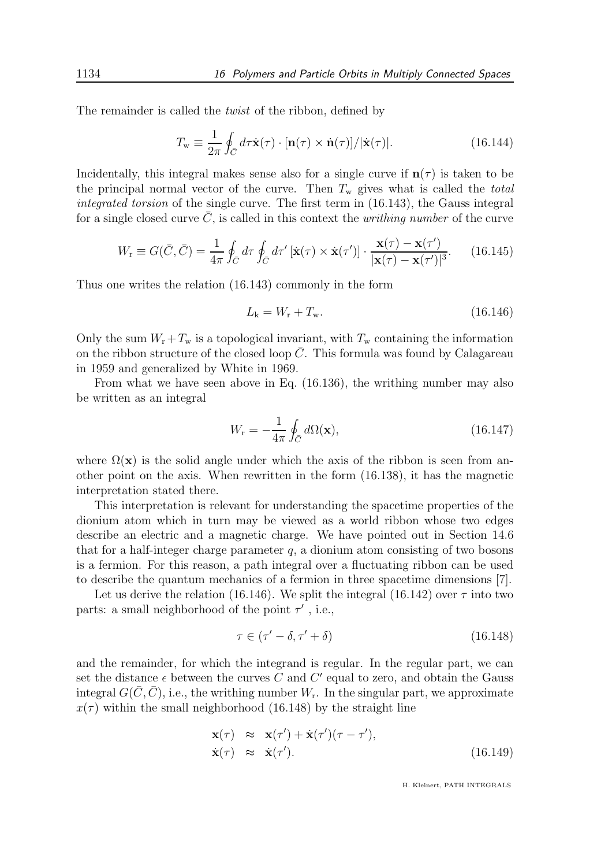The remainder is called the twist of the ribbon, defined by

$$
T_{\mathbf{w}} \equiv \frac{1}{2\pi} \oint_{\bar{C}} d\tau \dot{\mathbf{x}}(\tau) \cdot [\mathbf{n}(\tau) \times \dot{\mathbf{n}}(\tau)] / |\dot{\mathbf{x}}(\tau)|. \tag{16.144}
$$

Incidentally, this integral makes sense also for a single curve if  $n(\tau)$  is taken to be the principal normal vector of the curve. Then  $T_w$  gives what is called the *total* integrated torsion of the single curve. The first term in (16.143), the Gauss integral for a single closed curve  $C$ , is called in this context the *writhing number* of the curve

$$
W_{\mathbf{r}} \equiv G(\bar{C}, \bar{C}) = \frac{1}{4\pi} \oint_{\bar{C}} d\tau \oint_{\bar{C}} d\tau' \left[ \dot{\mathbf{x}}(\tau) \times \dot{\mathbf{x}}(\tau') \right] \cdot \frac{\mathbf{x}(\tau) - \mathbf{x}(\tau')}{|\mathbf{x}(\tau) - \mathbf{x}(\tau')|^3}.
$$
 (16.145)

Thus one writes the relation (16.143) commonly in the form

$$
L_{\rm k} = W_{\rm r} + T_{\rm w}.\tag{16.146}
$$

Only the sum  $W_r + T_w$  is a topological invariant, with  $T_w$  containing the information on the ribbon structure of the closed loop  $C$ . This formula was found by Calagareau in 1959 and generalized by White in 1969.

From what we have seen above in Eq. (16.136), the writhing number may also be written as an integral

$$
W_{\mathbf{r}} = -\frac{1}{4\pi} \oint_{\bar{C}} d\Omega(\mathbf{x}),\tag{16.147}
$$

where  $\Omega(x)$  is the solid angle under which the axis of the ribbon is seen from another point on the axis. When rewritten in the form (16.138), it has the magnetic interpretation stated there.

This interpretation is relevant for understanding the spacetime properties of the dionium atom which in turn may be viewed as a world ribbon whose two edges describe an electric and a magnetic charge. We have pointed out in Section 14.6 that for a half-integer charge parameter  $q$ , a dionium atom consisting of two bosons is a fermion. For this reason, a path integral over a fluctuating ribbon can be used to describe the quantum mechanics of a fermion in three spacetime dimensions [7].

Let us derive the relation (16.146). We split the integral (16.142) over  $\tau$  into two parts: a small neighborhood of the point  $\tau'$  , i.e.,

$$
\tau \in (\tau' - \delta, \tau' + \delta) \tag{16.148}
$$

and the remainder, for which the integrand is regular. In the regular part, we can set the distance  $\epsilon$  between the curves C and C' equal to zero, and obtain the Gauss integral  $G(\bar{C}, \bar{C})$ , i.e., the writhing number  $W_r$ . In the singular part, we approximate  $x(\tau)$  within the small neighborhood (16.148) by the straight line

$$
\mathbf{x}(\tau) \approx \mathbf{x}(\tau') + \dot{\mathbf{x}}(\tau')(\tau - \tau'),
$$
  
\n
$$
\dot{\mathbf{x}}(\tau) \approx \dot{\mathbf{x}}(\tau').
$$
\n(16.149)

H. Kleinert, PATH INTEGRALS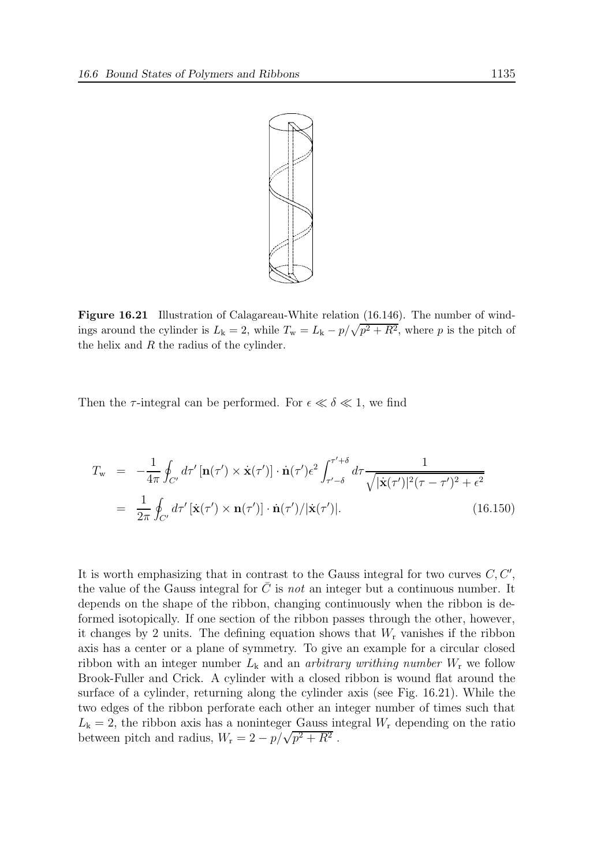

Figure 16.21 Illustration of Calagareau-White relation (16.146). The number of windings around the cylinder is  $L_k = 2$ , while  $T_w = L_k - p/\sqrt{p^2 + R^2}$ , where p is the pitch of the helix and  $R$  the radius of the cylinder.

Then the  $\tau$ -integral can be performed. For  $\epsilon \ll \delta \ll 1$ , we find

$$
T_{\mathbf{w}} = -\frac{1}{4\pi} \oint_{C'} d\tau' \left[ \mathbf{n}(\tau') \times \dot{\mathbf{x}}(\tau') \right] \cdot \dot{\mathbf{n}}(\tau') \epsilon^2 \int_{\tau'-\delta}^{\tau'+\delta} d\tau \frac{1}{\sqrt{|\dot{\mathbf{x}}(\tau')|^2 (\tau-\tau')^2 + \epsilon^2}}
$$
  
= 
$$
\frac{1}{2\pi} \oint_{C'} d\tau' \left[ \dot{\mathbf{x}}(\tau') \times \mathbf{n}(\tau') \right] \cdot \dot{\mathbf{n}}(\tau') / |\dot{\mathbf{x}}(\tau')|.
$$
 (16.150)

It is worth emphasizing that in contrast to the Gauss integral for two curves  $C, C',$ the value of the Gauss integral for  $\overline{C}$  is not an integer but a continuous number. It depends on the shape of the ribbon, changing continuously when the ribbon is deformed isotopically. If one section of the ribbon passes through the other, however, it changes by 2 units. The defining equation shows that  $W_r$  vanishes if the ribbon axis has a center or a plane of symmetry. To give an example for a circular closed ribbon with an integer number  $L_k$  and an *arbitrary writhing number*  $W_r$  we follow Brook-Fuller and Crick. A cylinder with a closed ribbon is wound flat around the surface of a cylinder, returning along the cylinder axis (see Fig. 16.21). While the two edges of the ribbon perforate each other an integer number of times such that  $L_{\rm k} = 2$ , the ribbon axis has a noninteger Gauss integral  $W_{\rm r}$  depending on the ratio between pitch and radius,  $W_{\rm r} = 2 - p/\sqrt{p^2 + R^2}$ .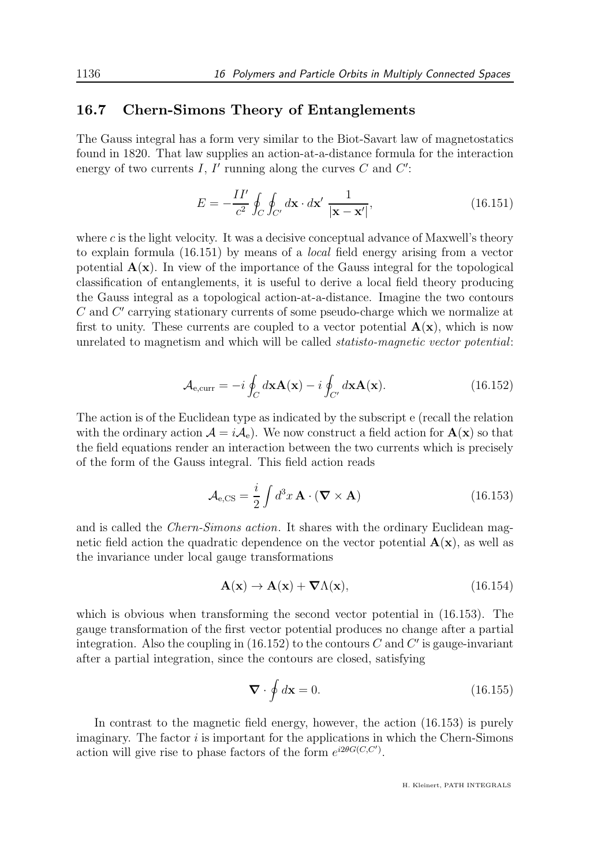### 16.7 Chern-Simons Theory of Entanglements

The Gauss integral has a form very similar to the Biot-Savart law of magnetostatics found in 1820. That law supplies an action-at-a-distance formula for the interaction energy of two currents  $I, I'$  running along the curves  $C$  and  $C'$ :

$$
E = -\frac{II'}{c^2} \oint_C \oint_{C'} d\mathbf{x} \cdot d\mathbf{x'} \frac{1}{|\mathbf{x} - \mathbf{x'}|},
$$
(16.151)

where  $c$  is the light velocity. It was a decisive conceptual advance of Maxwell's theory to explain formula (16.151) by means of a local field energy arising from a vector potential  $\mathbf{A}(\mathbf{x})$ . In view of the importance of the Gauss integral for the topological classification of entanglements, it is useful to derive a local field theory producing the Gauss integral as a topological action-at-a-distance. Imagine the two contours C and C' carrying stationary currents of some pseudo-charge which we normalize at first to unity. These currents are coupled to a vector potential  $\mathbf{A}(\mathbf{x})$ , which is now unrelated to magnetism and which will be called statisto-magnetic vector potential:

$$
\mathcal{A}_{e, \text{curr}} = -i \oint_C d\mathbf{x} \mathbf{A}(\mathbf{x}) - i \oint_{C'} d\mathbf{x} \mathbf{A}(\mathbf{x}). \qquad (16.152)
$$

The action is of the Euclidean type as indicated by the subscript e (recall the relation with the ordinary action  $A = iA_e$ . We now construct a field action for  $A(x)$  so that the field equations render an interaction between the two currents which is precisely of the form of the Gauss integral. This field action reads

$$
\mathcal{A}_{e, \text{CS}} = \frac{i}{2} \int d^3 x \, \mathbf{A} \cdot (\mathbf{\nabla} \times \mathbf{A}) \tag{16.153}
$$

and is called the *Chern-Simons action*. It shares with the ordinary Euclidean magnetic field action the quadratic dependence on the vector potential  $\mathbf{A}(\mathbf{x})$ , as well as the invariance under local gauge transformations

$$
\mathbf{A}(\mathbf{x}) \to \mathbf{A}(\mathbf{x}) + \nabla \Lambda(\mathbf{x}), \tag{16.154}
$$

which is obvious when transforming the second vector potential in (16.153). The gauge transformation of the first vector potential produces no change after a partial integration. Also the coupling in  $(16.152)$  to the contours C and C' is gauge-invariant after a partial integration, since the contours are closed, satisfying

$$
\nabla \cdot \oint d\mathbf{x} = 0. \tag{16.155}
$$

In contrast to the magnetic field energy, however, the action (16.153) is purely imaginary. The factor  $i$  is important for the applications in which the Chern-Simons action will give rise to phase factors of the form  $e^{i2\theta G(C,C')}$ .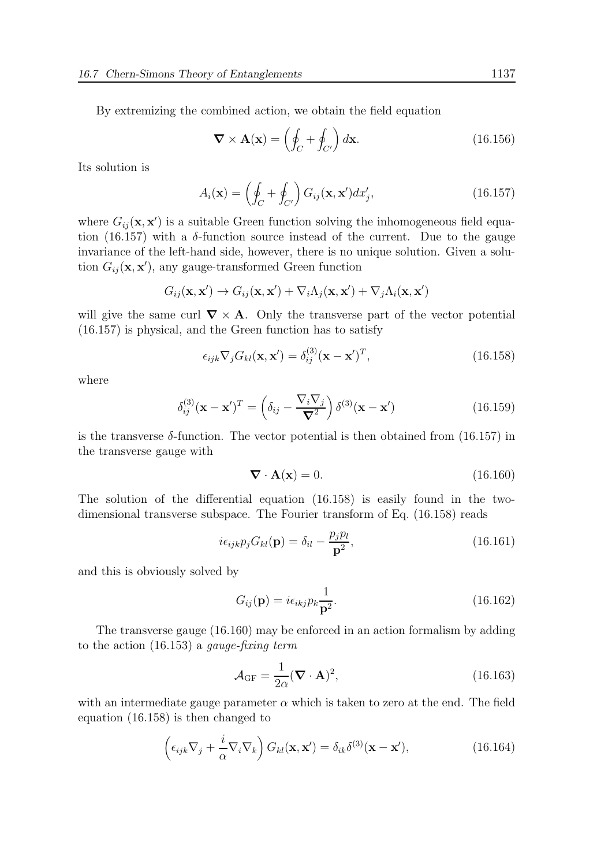By extremizing the combined action, we obtain the field equation

$$
\nabla \times \mathbf{A}(\mathbf{x}) = \left(\oint_C + \oint_{C'}\right) d\mathbf{x}.\tag{16.156}
$$

Its solution is

$$
A_i(\mathbf{x}) = \left(\oint_C + \oint_{C'}\right) G_{ij}(\mathbf{x}, \mathbf{x'}) dx'_j,
$$
\n(16.157)

where  $G_{ij}(\mathbf{x}, \mathbf{x}')$  is a suitable Green function solving the inhomogeneous field equation (16.157) with a  $\delta$ -function source instead of the current. Due to the gauge invariance of the left-hand side, however, there is no unique solution. Given a solution  $G_{ij}(\mathbf{x}, \mathbf{x}')$ , any gauge-transformed Green function

$$
G_{ij}(\mathbf{x}, \mathbf{x}') \rightarrow G_{ij}(\mathbf{x}, \mathbf{x}') + \nabla_i \Lambda_j(\mathbf{x}, \mathbf{x}') + \nabla_j \Lambda_i(\mathbf{x}, \mathbf{x}')
$$

will give the same curl  $\nabla \times A$ . Only the transverse part of the vector potential (16.157) is physical, and the Green function has to satisfy

$$
\epsilon_{ijk} \nabla_j G_{kl}(\mathbf{x}, \mathbf{x}') = \delta_{ij}^{(3)} (\mathbf{x} - \mathbf{x}')^T,
$$
\n(16.158)

where

$$
\delta_{ij}^{(3)}(\mathbf{x} - \mathbf{x}')^T = \left(\delta_{ij} - \frac{\nabla_i \nabla_j}{\nabla^2}\right) \delta^{(3)}(\mathbf{x} - \mathbf{x}') \tag{16.159}
$$

is the transverse  $\delta$ -function. The vector potential is then obtained from (16.157) in the transverse gauge with

$$
\nabla \cdot \mathbf{A}(\mathbf{x}) = 0. \tag{16.160}
$$

The solution of the differential equation (16.158) is easily found in the twodimensional transverse subspace. The Fourier transform of Eq. (16.158) reads

$$
i\epsilon_{ijk}p_jG_{kl}(\mathbf{p}) = \delta_{il} - \frac{p_jp_l}{\mathbf{p}^2},\tag{16.161}
$$

and this is obviously solved by

$$
G_{ij}(\mathbf{p}) = i\epsilon_{ikj}p_k \frac{1}{\mathbf{p}^2}.
$$
\n(16.162)

The transverse gauge (16.160) may be enforced in an action formalism by adding to the action (16.153) a gauge-fixing term

$$
\mathcal{A}_{\rm GF} = \frac{1}{2\alpha} (\mathbf{\nabla} \cdot \mathbf{A})^2, \tag{16.163}
$$

with an intermediate gauge parameter  $\alpha$  which is taken to zero at the end. The field equation (16.158) is then changed to

$$
\left(\epsilon_{ijk}\nabla_j + \frac{i}{\alpha}\nabla_i\nabla_k\right)G_{kl}(\mathbf{x}, \mathbf{x}') = \delta_{ik}\delta^{(3)}(\mathbf{x} - \mathbf{x}'),\tag{16.164}
$$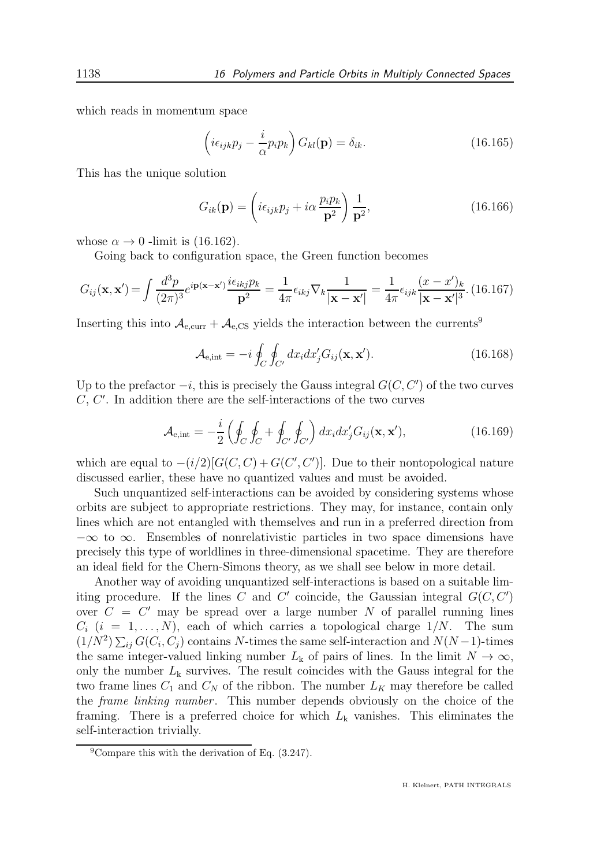which reads in momentum space

$$
\left(i\epsilon_{ijk}p_j - \frac{i}{\alpha}p_ip_k\right)G_{kl}(\mathbf{p}) = \delta_{ik}.\tag{16.165}
$$

This has the unique solution

$$
G_{ik}(\mathbf{p}) = \left( i\epsilon_{ijk}p_j + i\alpha \frac{p_ip_k}{\mathbf{p}^2} \right) \frac{1}{\mathbf{p}^2},\tag{16.166}
$$

whose  $\alpha \rightarrow 0$  -limit is (16.162).

Going back to configuration space, the Green function becomes

$$
G_{ij}(\mathbf{x}, \mathbf{x}') = \int \frac{d^3 p}{(2\pi)^3} e^{i\mathbf{p}(\mathbf{x} - \mathbf{x}')} \frac{i\epsilon_{ikj} p_k}{\mathbf{p}^2} = \frac{1}{4\pi} \epsilon_{ikj} \nabla_k \frac{1}{|\mathbf{x} - \mathbf{x}'|} = \frac{1}{4\pi} \epsilon_{ijk} \frac{(x - x')_k}{|\mathbf{x} - \mathbf{x}'|^3}.
$$
(16.167)

Inserting this into  $A_{\text{e,curr}} + A_{\text{e,CS}}$  yields the interaction between the currents<sup>9</sup>

$$
\mathcal{A}_{e, int} = -i \oint_C \oint_{C'} dx_i dx'_j G_{ij}(\mathbf{x}, \mathbf{x}').
$$
\n(16.168)

Up to the prefactor  $-i$ , this is precisely the Gauss integral  $G(C, C')$  of the two curves  $C, C'$ . In addition there are the self-interactions of the two curves

$$
\mathcal{A}_{\text{e,int}} = -\frac{i}{2} \left( \oint_C \oint_C + \oint_{C'} \oint_{C'} \right) dx_i dx'_j G_{ij}(\mathbf{x}, \mathbf{x}'), \tag{16.169}
$$

which are equal to  $-(i/2)[G(C, C) + G(C', C')]$ . Due to their nontopological nature discussed earlier, these have no quantized values and must be avoided.

Such unquantized self-interactions can be avoided by considering systems whose orbits are subject to appropriate restrictions. They may, for instance, contain only lines which are not entangled with themselves and run in a preferred direction from  $-\infty$  to  $\infty$ . Ensembles of nonrelativistic particles in two space dimensions have precisely this type of worldlines in three-dimensional spacetime. They are therefore an ideal field for the Chern-Simons theory, as we shall see below in more detail.

Another way of avoiding unquantized self-interactions is based on a suitable limiting procedure. If the lines C and C' coincide, the Gaussian integral  $G(C, C')$ over  $C = C'$  may be spread over a large number N of parallel running lines  $C_i$   $(i = 1, \ldots, N)$ , each of which carries a topological charge  $1/N$ . The sum  $(1/N^2) \sum_{ij} G(C_i, C_j)$  contains N-times the same self-interaction and  $N(N-1)$ -times the same integer-valued linking number  $L_k$  of pairs of lines. In the limit  $N \to \infty$ , only the number  $L_k$  survives. The result coincides with the Gauss integral for the two frame lines  $C_1$  and  $C_N$  of the ribbon. The number  $L_K$  may therefore be called the *frame linking number*. This number depends obviously on the choice of the framing. There is a preferred choice for which  $L<sub>k</sub>$  vanishes. This eliminates the self-interaction trivially.

<sup>&</sup>lt;sup>9</sup>Compare this with the derivation of Eq.  $(3.247)$ .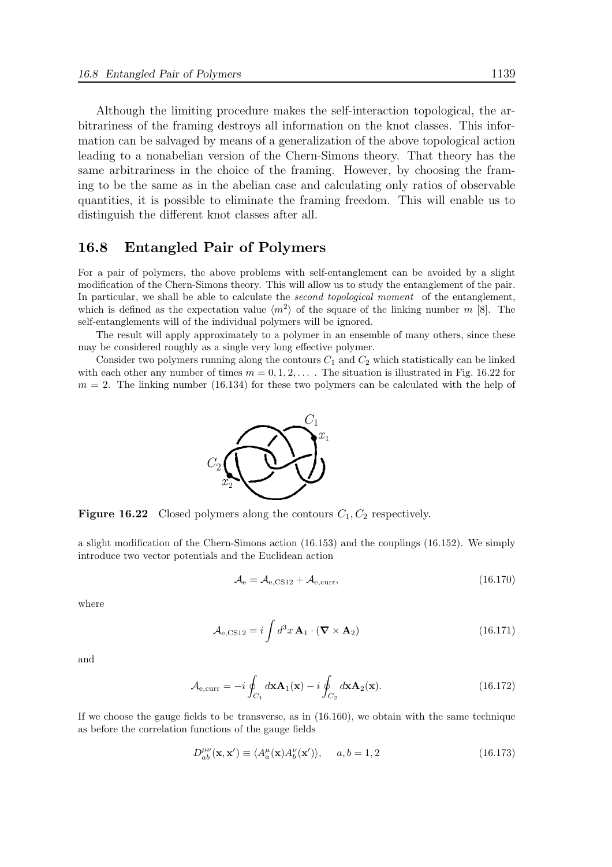Although the limiting procedure makes the self-interaction topological, the arbitrariness of the framing destroys all information on the knot classes. This information can be salvaged by means of a generalization of the above topological action leading to a nonabelian version of the Chern-Simons theory. That theory has the same arbitrariness in the choice of the framing. However, by choosing the framing to be the same as in the abelian case and calculating only ratios of observable quantities, it is possible to eliminate the framing freedom. This will enable us to distinguish the different knot classes after all.

# 16.8 Entangled Pair of Polymers

For a pair of polymers, the above problems with self-entanglement can be avoided by a slight modification of the Chern-Simons theory. This will allow us to study the entanglement of the pair. In particular, we shall be able to calculate the *second topological moment* of the entanglement, which is defined as the expectation value  $\langle m^2 \rangle$  of the square of the linking number m [8]. The self-entanglements will of the individual polymers will be ignored.

The result will apply approximately to a polymer in an ensemble of many others, since these may be considered roughly as a single very long effective polymer.

Consider two polymers running along the contours  $C_1$  and  $C_2$  which statistically can be linked with each other any number of times  $m = 0, 1, 2, \ldots$ . The situation is illustrated in Fig. 16.22 for  $m = 2$ . The linking number (16.134) for these two polymers can be calculated with the help of



**Figure 16.22** Closed polymers along the contours  $C_1$ ,  $C_2$  respectively.

a slight modification of the Chern-Simons action (16.153) and the couplings (16.152). We simply introduce two vector potentials and the Euclidean action

$$
\mathcal{A}_{\rm e} = \mathcal{A}_{\rm e,CS12} + \mathcal{A}_{\rm e,curr},\tag{16.170}
$$

where

$$
\mathcal{A}_{e,\text{CS12}} = i \int d^3 x \, \mathbf{A}_1 \cdot (\mathbf{\nabla} \times \mathbf{A}_2) \tag{16.171}
$$

and

$$
\mathcal{A}_{e, \text{curr}} = -i \oint_{C_1} d\mathbf{x} \mathbf{A}_1(\mathbf{x}) - i \oint_{C_2} d\mathbf{x} \mathbf{A}_2(\mathbf{x}). \tag{16.172}
$$

If we choose the gauge fields to be transverse, as in (16.160), we obtain with the same technique as before the correlation functions of the gauge fields

$$
D_{ab}^{\mu\nu}(\mathbf{x}, \mathbf{x}') \equiv \langle A_a^{\mu}(\mathbf{x}) A_b^{\nu}(\mathbf{x}') \rangle, \quad a, b = 1, 2 \tag{16.173}
$$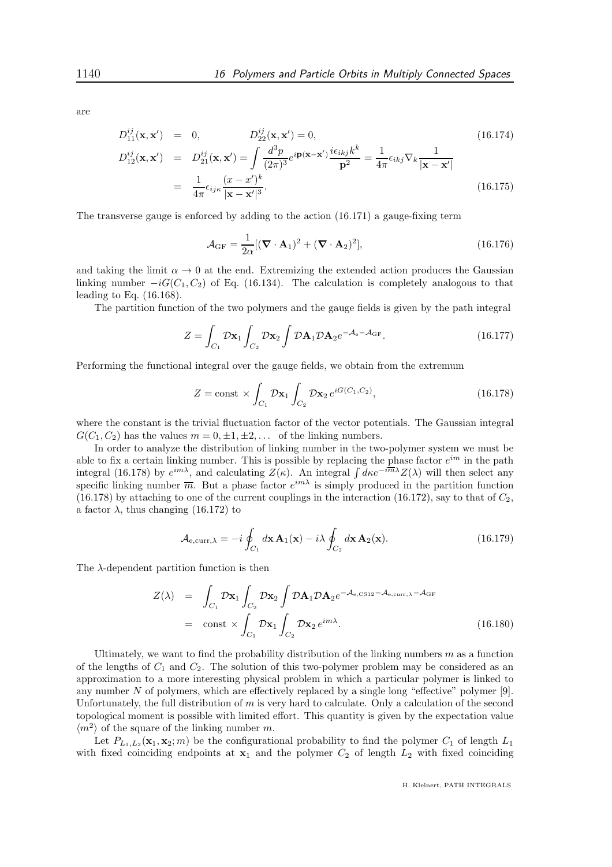are

$$
D_{11}^{ij}(\mathbf{x}, \mathbf{x}') = 0, \qquad D_{22}^{ij}(\mathbf{x}, \mathbf{x}') = 0,
$$
\n
$$
D_{12}^{ij}(\mathbf{x}, \mathbf{x}') = D_{21}^{ij}(\mathbf{x}, \mathbf{x}') = \int \frac{d^3 p}{(2\pi)^3} e^{i\mathbf{p}(\mathbf{x} - \mathbf{x}')} \frac{i\epsilon_{ikj}k^k}{\mathbf{p}^2} = \frac{1}{4\pi} \epsilon_{ikj} \nabla_k \frac{1}{|\mathbf{x} - \mathbf{x}'|}
$$
\n
$$
= \frac{1}{4\pi} \epsilon_{ij\kappa} \frac{(x - x')^k}{|\mathbf{x} - \mathbf{x}'|^3}.
$$
\n(16.175)

The transverse gauge is enforced by adding to the action (16.171) a gauge-fixing term

$$
\mathcal{A}_{\rm GF} = \frac{1}{2\alpha} [(\mathbf{\nabla} \cdot \mathbf{A}_1)^2 + (\mathbf{\nabla} \cdot \mathbf{A}_2)^2],\tag{16.176}
$$

and taking the limit  $\alpha \to 0$  at the end. Extremizing the extended action produces the Gaussian linking number  $-iG(C_1, C_2)$  of Eq. (16.134). The calculation is completely analogous to that leading to Eq. (16.168).

The partition function of the two polymers and the gauge fields is given by the path integral

$$
Z = \int_{C_1} \mathcal{D} \mathbf{x}_1 \int_{C_2} \mathcal{D} \mathbf{x}_2 \int \mathcal{D} \mathbf{A}_1 \mathcal{D} \mathbf{A}_2 e^{-\mathcal{A}_e - \mathcal{A}_{GF}}.
$$
 (16.177)

Performing the functional integral over the gauge fields, we obtain from the extremum

$$
Z = \text{const} \times \int_{C_1} \mathcal{D} \mathbf{x}_1 \int_{C_2} \mathcal{D} \mathbf{x}_2 e^{iG(C_1, C_2)}, \qquad (16.178)
$$

where the constant is the trivial fluctuation factor of the vector potentials. The Gaussian integral  $G(C_1, C_2)$  has the values  $m = 0, \pm 1, \pm 2, \ldots$  of the linking numbers.

In order to analyze the distribution of linking number in the two-polymer system we must be able to fix a certain linking number. This is possible by replacing the phase factor  $e^{im}$  in the path integral (16.178) by  $e^{im\lambda}$ , and calculating  $Z(\kappa)$ . An integral  $\int d\kappa e^{-i\overline{m}\lambda}Z(\lambda)$  will then select any specific linking number  $\overline{m}$ . But a phase factor  $e^{im\lambda}$  is simply produced in the partition function (16.178) by attaching to one of the current couplings in the interaction (16.172), say to that of  $C_2$ , a factor  $\lambda$ , thus changing (16.172) to

$$
\mathcal{A}_{e, \text{curr}, \lambda} = -i \oint_{C_1} d\mathbf{x} \, \mathbf{A}_1(\mathbf{x}) - i\lambda \oint_{C_2} d\mathbf{x} \, \mathbf{A}_2(\mathbf{x}). \tag{16.179}
$$

The  $\lambda$ -dependent partition function is then

$$
Z(\lambda) = \int_{C_1} \mathcal{D} \mathbf{x}_1 \int_{C_2} \mathcal{D} \mathbf{x}_2 \int \mathcal{D} \mathbf{A}_1 \mathcal{D} \mathbf{A}_2 e^{-\mathcal{A}_{e,\text{CS12}} - \mathcal{A}_{e,\text{curr},\lambda} - \mathcal{A}_{\text{GF}}}
$$
  
= const \times \int\_{C\_1} \mathcal{D} \mathbf{x}\_1 \int\_{C\_2} \mathcal{D} \mathbf{x}\_2 e^{im\lambda}. (16.180)

Ultimately, we want to find the probability distribution of the linking numbers  $m$  as a function of the lengths of  $C_1$  and  $C_2$ . The solution of this two-polymer problem may be considered as an approximation to a more interesting physical problem in which a particular polymer is linked to any number N of polymers, which are effectively replaced by a single long "effective" polymer [9]. Unfortunately, the full distribution of  $m$  is very hard to calculate. Only a calculation of the second topological moment is possible with limited effort. This quantity is given by the expectation value  $\langle m^2 \rangle$  of the square of the linking number m.

Let  $P_{L_1,L_2}(\mathbf{x}_1,\mathbf{x}_2;m)$  be the configurational probability to find the polymer  $C_1$  of length  $L_1$ with fixed coinciding endpoints at  $x_1$  and the polymer  $C_2$  of length  $L_2$  with fixed coinciding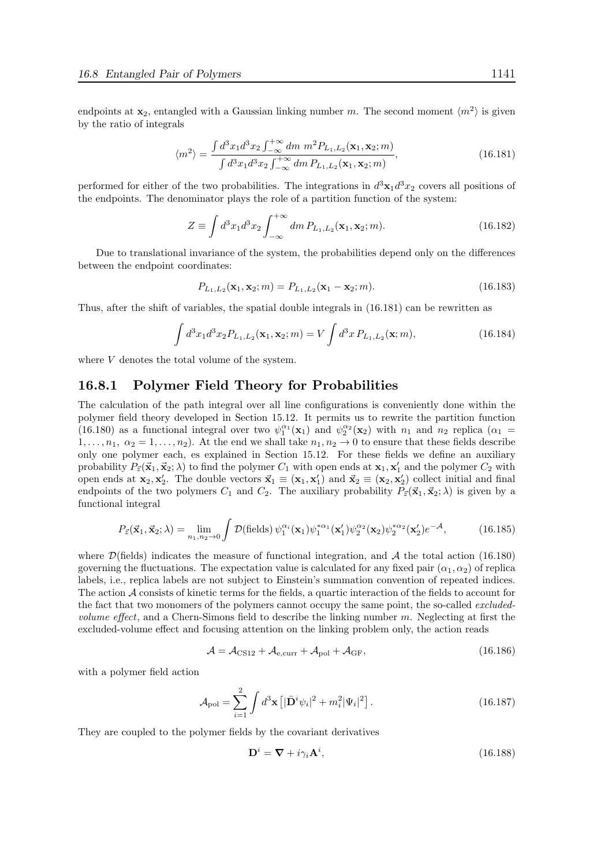endpoints at  $\mathbf{x}_2$ , entangled with a Gaussian linking number m. The second moment  $\langle m^2 \rangle$  is given by the ratio of integrals

$$
\langle m^2 \rangle = \frac{\int d^3 x_1 d^3 x_2 \int_{-\infty}^{+\infty} dm \; m^2 P_{L_1, L_2}(\mathbf{x}_1, \mathbf{x}_2; m)}{\int d^3 x_1 d^3 x_2 \int_{-\infty}^{+\infty} dm \, P_{L_1, L_2}(\mathbf{x}_1, \mathbf{x}_2; m)},
$$
(16.181)

performed for either of the two probabilities. The integrations in  $d^3\mathbf{x}_1 d^3x_2$  covers all positions of the endpoints. The denominator plays the role of a partition function of the system:

$$
Z \equiv \int d^3x_1 d^3x_2 \int_{-\infty}^{+\infty} dm \, P_{L_1, L_2}(\mathbf{x}_1, \mathbf{x}_2; m). \tag{16.182}
$$

Due to translational invariance of the system, the probabilities depend only on the differences between the endpoint coordinates:

$$
P_{L_1, L_2}(\mathbf{x}_1, \mathbf{x}_2; m) = P_{L_1, L_2}(\mathbf{x}_1 - \mathbf{x}_2; m). \tag{16.183}
$$

Thus, after the shift of variables, the spatial double integrals in (16.181) can be rewritten as

$$
\int d^3x_1 d^3x_2 P_{L_1, L_2}(\mathbf{x}_1, \mathbf{x}_2; m) = V \int d^3x P_{L_1, L_2}(\mathbf{x}; m), \qquad (16.184)
$$

where V denotes the total volume of the system.

#### 16.8.1 Polymer Field Theory for Probabilities

The calculation of the path integral over all line configurations is conveniently done within the polymer field theory developed in Section 15.12. It permits us to rewrite the partition function (16.180) as a functional integral over two  $\psi_1^{\alpha_1}(\mathbf{x}_1)$  and  $\psi_2^{\alpha_2}(\mathbf{x}_2)$  with  $n_1$  and  $n_2$  replica ( $\alpha_1$  =  $1, \ldots, n_1, \alpha_2 = 1, \ldots, n_2$ . At the end we shall take  $n_1, n_2 \to 0$  to ensure that these fields describe only one polymer each, es explained in Section 15.12. For these fields we define an auxiliary probability  $P_{\vec{z}}(\vec{x}_1, \vec{x}_2; \lambda)$  to find the polymer  $C_1$  with open ends at  $\mathbf{x}_1, \mathbf{x}'_1$  and the polymer  $C_2$  with open ends at  $\mathbf{x}_2, \mathbf{x}'_2$ . The double vectors  $\vec{\mathbf{x}}_1 \equiv (\mathbf{x}_1, \mathbf{x}'_1)$  and  $\vec{\mathbf{x}}_2 \equiv (\mathbf{x}_2, \mathbf{x}'_2)$  collect initial and final endpoints of the two polymers  $C_1$  and  $C_2$ . The auxiliary probability  $P_{\vec{z}}(\vec{x}_1, \vec{x}_2; \lambda)$  is given by a functional integral

$$
P_{\vec{z}}(\vec{\mathbf{x}}_1, \vec{\mathbf{x}}_2; \lambda) = \lim_{n_1, n_2 \to 0} \int \mathcal{D}(\text{fields}) \, \psi_1^{\alpha_1}(\mathbf{x}_1) \psi_1^{*\alpha_1}(\mathbf{x}_1') \psi_2^{\alpha_2}(\mathbf{x}_2) \psi_2^{*\alpha_2}(\mathbf{x}_2') e^{-\mathcal{A}},\tag{16.185}
$$

where  $\mathcal{D}$ (fields) indicates the measure of functional integration, and A the total action (16.180) governing the fluctuations. The expectation value is calculated for any fixed pair  $(\alpha_1, \alpha_2)$  of replica labels, i.e., replica labels are not subject to Einstein's summation convention of repeated indices. The action  $A$  consists of kinetic terms for the fields, a quartic interaction of the fields to account for the fact that two monomers of the polymers cannot occupy the same point, the so-called *excludedvolume effect*, and a Chern-Simons field to describe the linking number  $m$ . Neglecting at first the excluded-volume effect and focusing attention on the linking problem only, the action reads

$$
\mathcal{A} = \mathcal{A}_{\text{CS12}} + \mathcal{A}_{\text{e,curr}} + \mathcal{A}_{\text{pol}} + \mathcal{A}_{\text{GF}},\tag{16.186}
$$

with a polymer field action

$$
\mathcal{A}_{\text{pol}} = \sum_{i=1}^{2} \int d^3 \mathbf{x} \left[ |\mathbf{D}^i \psi_i|^2 + m_i^2 |\Psi_i|^2 \right].
$$
 (16.187)

They are coupled to the polymer fields by the covariant derivatives

$$
\mathbf{D}^i = \nabla + i\gamma_i \mathbf{A}^i, \tag{16.188}
$$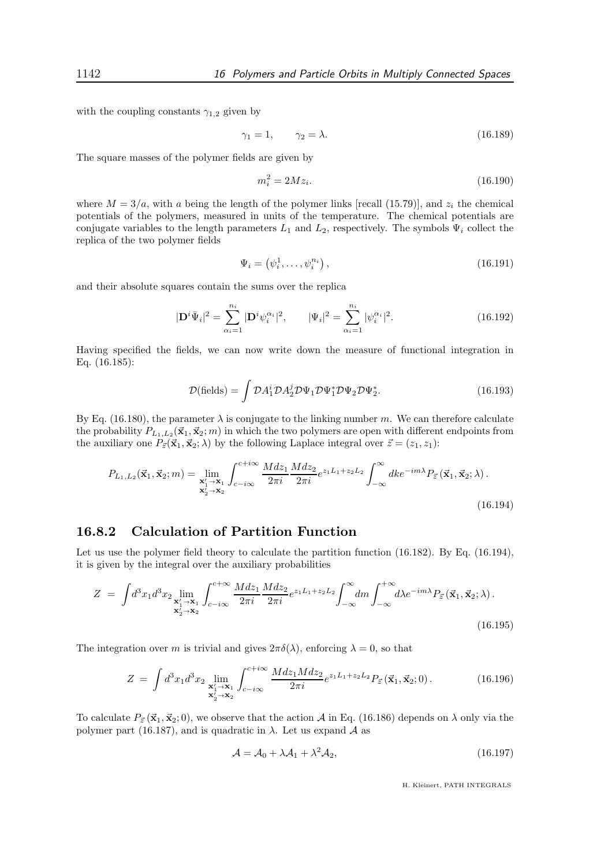with the coupling constants  $\gamma_{1,2}$  given by

$$
\gamma_1 = 1, \qquad \gamma_2 = \lambda. \tag{16.189}
$$

The square masses of the polymer fields are given by

$$
m_i^2 = 2Mz_i.
$$
\n(16.190)

where  $M = 3/a$ , with a being the length of the polymer links [recall (15.79)], and  $z_i$  the chemical potentials of the polymers, measured in units of the temperature. The chemical potentials are conjugate variables to the length parameters  $L_1$  and  $L_2$ , respectively. The symbols  $\Psi_i$  collect the replica of the two polymer fields

$$
\Psi_i = \left(\psi_i^1, \dots, \psi_i^{n_i}\right),\tag{16.191}
$$

and their absolute squares contain the sums over the replica

$$
|\mathbf{D}^i \bar{\Psi}_i|^2 = \sum_{\alpha_i=1}^{n_i} |\mathbf{D}^i \psi_i^{\alpha_i}|^2, \qquad |\Psi_i|^2 = \sum_{\alpha_i=1}^{n_i} |\psi_i^{\alpha_i}|^2.
$$
 (16.192)

Having specified the fields, we can now write down the measure of functional integration in Eq. (16.185):

$$
\mathcal{D}(\text{fields}) = \int \mathcal{D}A_1^i \mathcal{D}A_2^j \mathcal{D}\Psi_1 \mathcal{D}\Psi_1^* \mathcal{D}\Psi_2 \mathcal{D}\Psi_2^*.
$$
 (16.193)

By Eq. (16.180), the parameter  $\lambda$  is conjugate to the linking number m. We can therefore calculate the probability  $P_{L_1,L_2}(\vec{x}_1, \vec{x}_2; m)$  in which the two polymers are open with different endpoints from the auxiliary one  $P_{\vec{z}}(\vec{x}_1, \vec{x}_2; \lambda)$  by the following Laplace integral over  $\vec{z} = (z_1, z_1)$ :

$$
P_{L_1,L_2}(\vec{\mathbf{x}}_1,\vec{\mathbf{x}}_2;m) = \lim_{\substack{\mathbf{x}_1' \to \mathbf{x}_1 \\ \mathbf{x}_2' \to \mathbf{x}_2}} \int_{c-i\infty}^{c+i\infty} \frac{M dz_1}{2\pi i} \frac{M dz_2}{2\pi i} e^{z_1 L_1 + z_2 L_2} \int_{-\infty}^{\infty} dk e^{-im\lambda} P_{\vec{z}}(\vec{\mathbf{x}}_1,\vec{\mathbf{x}}_2;\lambda).
$$
\n(16.194)

#### 16.8.2 Calculation of Partition Function

Let us use the polymer field theory to calculate the partition function (16.182). By Eq. (16.194), it is given by the integral over the auxiliary probabilities

$$
Z = \int d^3 x_1 d^3 x_2 \lim_{\substack{\mathbf{x}_1' \to \mathbf{x}_1 \\ \mathbf{x}_2' \to \mathbf{x}_2}} \int_{c-i\infty}^{c+\infty} \frac{M dz_1}{2\pi i} \frac{M dz_2}{2\pi i} e^{z_1 L_1 + z_2 L_2} \int_{-\infty}^{\infty} dm \int_{-\infty}^{+\infty} d\lambda e^{-im\lambda} P_{\vec{z}}(\vec{\mathbf{x}}_1, \vec{\mathbf{x}}_2; \lambda). \tag{16.195}
$$

The integration over m is trivial and gives  $2\pi\delta(\lambda)$ , enforcing  $\lambda = 0$ , so that

$$
Z = \int d^3 x_1 d^3 x_2 \lim_{\substack{\mathbf{x}'_1 \to \mathbf{x}_1 \\ \mathbf{x}'_2 \to \mathbf{x}_2}} \int_{c-i\infty}^{c+i\infty} \frac{M dz_1 M dz_2}{2\pi i} e^{z_1 L_1 + z_2 L_2} P_{\vec{z}} (\vec{\mathbf{x}}_1, \vec{\mathbf{x}}_2; 0).
$$
 (16.196)

To calculate  $P_{\vec{z}}(\vec{x}_1, \vec{x}_2; 0)$ , we observe that the action A in Eq. (16.186) depends on  $\lambda$  only via the polymer part (16.187), and is quadratic in  $\lambda$ . Let us expand A as

$$
\mathcal{A} = \mathcal{A}_0 + \lambda \mathcal{A}_1 + \lambda^2 \mathcal{A}_2, \tag{16.197}
$$

H. Kleinert, PATH INTEGRALS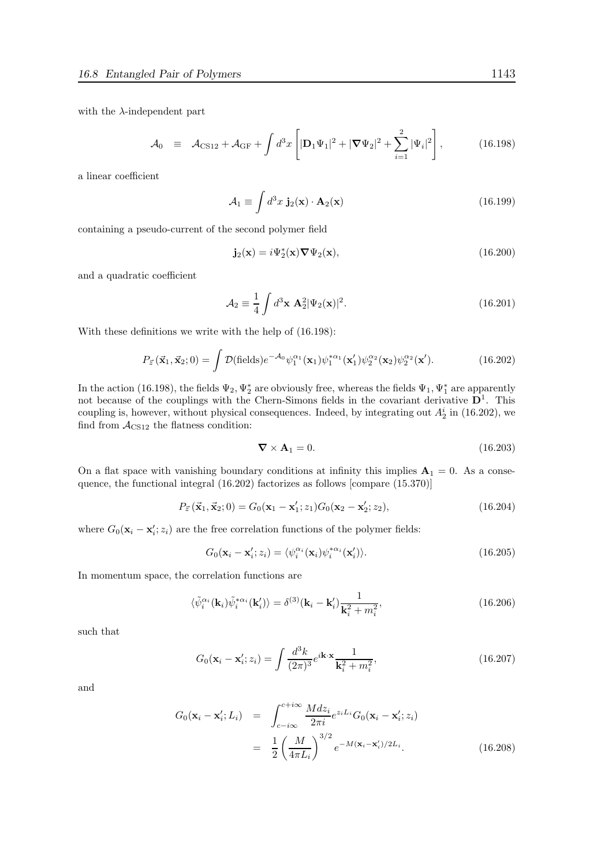with the  $\lambda$ -independent part

$$
\mathcal{A}_0 \equiv \mathcal{A}_{\text{CS12}} + \mathcal{A}_{\text{GF}} + \int d^3x \left[ |\mathbf{D}_1 \Psi_1|^2 + |\mathbf{\nabla} \Psi_2|^2 + \sum_{i=1}^2 |\Psi_i|^2 \right], \quad (16.198)
$$

a linear coefficient

$$
\mathcal{A}_1 \equiv \int d^3x \mathbf{j}_2(\mathbf{x}) \cdot \mathbf{A}_2(\mathbf{x}) \tag{16.199}
$$

containing a pseudo-current of the second polymer field

$$
\mathbf{j}_2(\mathbf{x}) = i\Psi_2^*(\mathbf{x})\nabla\Psi_2(\mathbf{x}),\tag{16.200}
$$

and a quadratic coefficient

$$
\mathcal{A}_2 \equiv \frac{1}{4} \int d^3 \mathbf{x} \ \mathbf{A}_2^2 |\Psi_2(\mathbf{x})|^2. \tag{16.201}
$$

With these definitions we write with the help of (16.198):

$$
P_{\vec{z}}(\vec{\mathbf{x}}_1, \vec{\mathbf{x}}_2; 0) = \int \mathcal{D}(\text{fields}) e^{-\mathcal{A}_0} \psi_1^{\alpha_1}(\mathbf{x}_1) \psi_1^{*\alpha_1}(\mathbf{x}_1') \psi_2^{\alpha_2}(\mathbf{x}_2) \psi_2^{\alpha_2}(\mathbf{x}'). \tag{16.202}
$$

In the action (16.198), the fields  $\Psi_2, \Psi_2^*$  are obviously free, whereas the fields  $\Psi_1, \Psi_1^*$  are apparently not because of the couplings with the Chern-Simons fields in the covariant derivative  $D^1$ . This coupling is, however, without physical consequences. Indeed, by integrating out  $A_2^i$  in (16.202), we find from  $A_{CS12}$  the flatness condition:

$$
\nabla \times \mathbf{A}_1 = 0. \tag{16.203}
$$

On a flat space with vanishing boundary conditions at infinity this implies  $A_1 = 0$ . As a consequence, the functional integral (16.202) factorizes as follows [compare (15.370)]

$$
P_{\vec{z}}(\vec{\mathbf{x}}_1, \vec{\mathbf{x}}_2; 0) = G_0(\mathbf{x}_1 - \mathbf{x}_1'; z_1) G_0(\mathbf{x}_2 - \mathbf{x}_2'; z_2),
$$
(16.204)

where  $G_0(\mathbf{x}_i - \mathbf{x}'_i; z_i)$  are the free correlation functions of the polymer fields:

$$
G_0(\mathbf{x}_i - \mathbf{x}'_i; z_i) = \langle \psi_i^{\alpha_i}(\mathbf{x}_i) \psi_i^{*\alpha_i}(\mathbf{x}'_i) \rangle.
$$
 (16.205)

In momentum space, the correlation functions are

$$
\langle \tilde{\psi}_i^{\alpha_i}(\mathbf{k}_i)\tilde{\psi}_i^{*\alpha_i}(\mathbf{k}'_i)\rangle = \delta^{(3)}(\mathbf{k}_i - \mathbf{k}'_i)\frac{1}{\mathbf{k}_i^2 + m_i^2},\tag{16.206}
$$

such that

$$
G_0(\mathbf{x}_i - \mathbf{x}'_i; z_i) = \int \frac{d^3k}{(2\pi)^3} e^{i\mathbf{k}\cdot\mathbf{x}} \frac{1}{\mathbf{k}_i^2 + m_i^2},\tag{16.207}
$$

and

$$
G_0(\mathbf{x}_i - \mathbf{x}'_i; L_i) = \int_{c-i\infty}^{c+i\infty} \frac{M dz_i}{2\pi i} e^{z_i L_i} G_0(\mathbf{x}_i - \mathbf{x}'_i; z_i)
$$
  

$$
= \frac{1}{2} \left(\frac{M}{4\pi L_i}\right)^{3/2} e^{-M(\mathbf{x}_i - \mathbf{x}'_i)/2L_i}.
$$
 (16.208)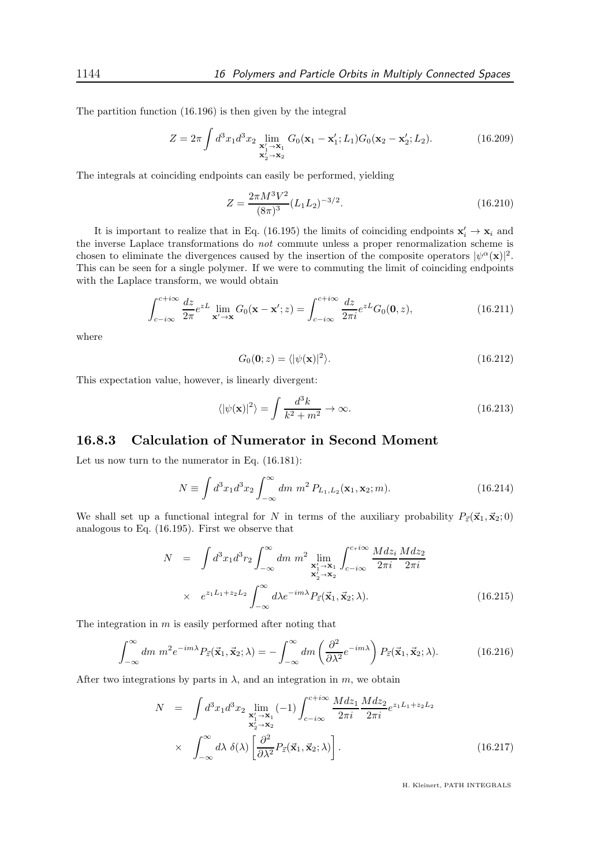The partition function (16.196) is then given by the integral

$$
Z = 2\pi \int d^3 x_1 d^3 x_2 \lim_{\substack{\mathbf{x}_1 \to \mathbf{x}_1 \\ \mathbf{x}_2 \to \mathbf{x}_2}} G_0(\mathbf{x}_1 - \mathbf{x}_1'; L_1) G_0(\mathbf{x}_2 - \mathbf{x}_2'; L_2).
$$
 (16.209)

The integrals at coinciding endpoints can easily be performed, yielding

$$
Z = \frac{2\pi M^3 V^2}{(8\pi)^3} (L_1 L_2)^{-3/2}.
$$
\n(16.210)

It is important to realize that in Eq. (16.195) the limits of coinciding endpoints  $\mathbf{x}'_i \to \mathbf{x}_i$  and the inverse Laplace transformations do not commute unless a proper renormalization scheme is chosen to eliminate the divergences caused by the insertion of the composite operators  $|\psi^{\alpha}(\mathbf{x})|^2$ . This can be seen for a single polymer. If we were to commuting the limit of coinciding endpoints with the Laplace transform, we would obtain

$$
\int_{c-i\infty}^{c+i\infty} \frac{dz}{2\pi} e^{zL} \lim_{\mathbf{x}' \to \mathbf{x}} G_0(\mathbf{x} - \mathbf{x}'; z) = \int_{c-i\infty}^{c+i\infty} \frac{dz}{2\pi i} e^{zL} G_0(\mathbf{0}, z), \tag{16.211}
$$

where

$$
G_0(\mathbf{0};z) = \langle |\psi(\mathbf{x})|^2 \rangle. \tag{16.212}
$$

This expectation value, however, is linearly divergent:

$$
\langle |\psi(\mathbf{x})|^2 \rangle = \int \frac{d^3k}{k^2 + m^2} \to \infty. \tag{16.213}
$$

### 16.8.3 Calculation of Numerator in Second Moment

Let us now turn to the numerator in Eq. (16.181):

$$
N \equiv \int d^3 x_1 d^3 x_2 \int_{-\infty}^{\infty} dm \; m^2 \, P_{L_1, L_2}(\mathbf{x}_1, \mathbf{x}_2; m). \tag{16.214}
$$

We shall set up a functional integral for N in terms of the auxiliary probability  $P_{z}(\vec{x}_1, \vec{x}_2; 0)$ analogous to Eq. (16.195). First we observe that

$$
N = \int d^3 x_1 d^3 r_2 \int_{-\infty}^{\infty} dm \ m^2 \lim_{\substack{\mathbf{x}_1' \to \mathbf{x}_1 \\ \mathbf{x}_2' \to \mathbf{x}_2}} \int_{c-i\infty}^{c_\tau i\infty} \frac{M dz_i}{2\pi i} \frac{M dz_2}{2\pi i}
$$
  
 
$$
\times e^{z_1 L_1 + z_2 L_2} \int_{-\infty}^{\infty} d\lambda e^{-im\lambda} P_{\vec{z}}(\vec{\mathbf{x}}_1, \vec{\mathbf{x}}_2; \lambda).
$$
 (16.215)

The integration in  $m$  is easily performed after noting that

$$
\int_{-\infty}^{\infty} dm \; m^2 e^{-im\lambda} P_{\vec{z}}(\vec{\mathbf{x}}_1, \vec{\mathbf{x}}_2; \lambda) = -\int_{-\infty}^{\infty} dm \left(\frac{\partial^2}{\partial \lambda^2} e^{-im\lambda}\right) P_{\vec{z}}(\vec{\mathbf{x}}_1, \vec{\mathbf{x}}_2; \lambda).
$$
 (16.216)

After two integrations by parts in  $\lambda$ , and an integration in m, we obtain

$$
N = \int d^3 x_1 d^3 x_2 \lim_{\substack{\mathbf{x}_1' \to \mathbf{x}_1 \\ \mathbf{x}_2' \to \mathbf{x}_2}} (-1) \int_{c-i\infty}^{c+i\infty} \frac{M dz_1}{2\pi i} \frac{M dz_2}{2\pi i} e^{z_1 L_1 + z_2 L_2}
$$
  
 
$$
\times \int_{-\infty}^{\infty} d\lambda \delta(\lambda) \left[ \frac{\partial^2}{\partial \lambda^2} P_{\vec{z}}(\vec{\mathbf{x}}_1, \vec{\mathbf{x}}_2; \lambda) \right].
$$
 (16.217)

H. Kleinert, PATH INTEGRALS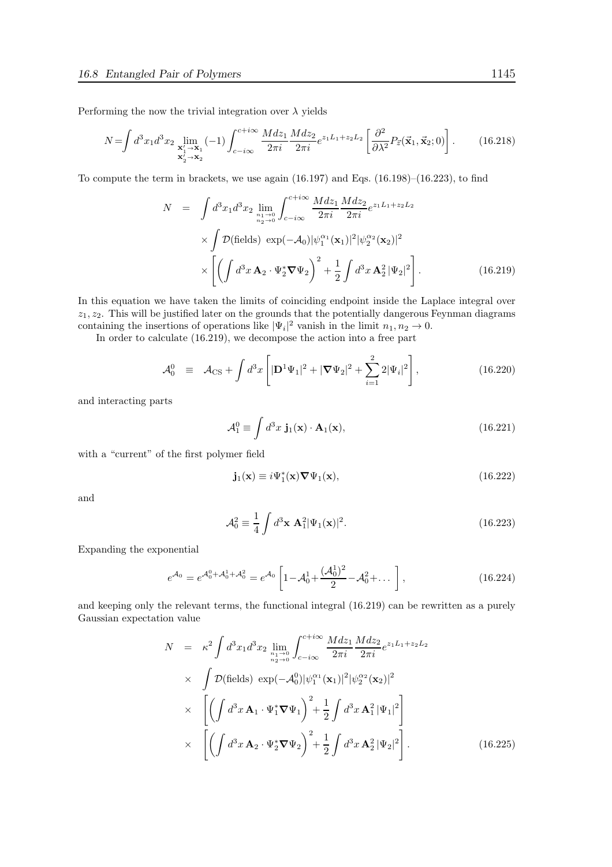Performing the now the trivial integration over  $\lambda$  yields

$$
N = \int d^3 x_1 d^3 x_2 \lim_{\substack{\mathbf{x}_1' \to \mathbf{x}_1 \\ \mathbf{x}_2' \to \mathbf{x}_2}} (-1) \int_{c-i\infty}^{c+i\infty} \frac{M dz_1}{2\pi i} \frac{M dz_2}{2\pi i} e^{z_1 L_1 + z_2 L_2} \left[ \frac{\partial^2}{\partial \lambda^2} P_{\vec{z}}(\vec{\mathbf{x}}_1, \vec{\mathbf{x}}_2; 0) \right].
$$
 (16.218)

To compute the term in brackets, we use again  $(16.197)$  and Eqs.  $(16.198)–(16.223)$ , to find

$$
N = \int d^{3}x_{1}d^{3}x_{2} \lim_{\substack{n_{1}\to 0 \\ n_{2}\to 0}} \int_{c-i\infty}^{c+i\infty} \frac{M dz_{1}}{2\pi i} \frac{M dz_{2}}{2\pi i} e^{z_{1}L_{1}+z_{2}L_{2}} \times \int \mathcal{D}(\text{fields}) \exp(-\mathcal{A}_{0}) |\psi_{1}^{\alpha_{1}}(\mathbf{x}_{1})|^{2} |\psi_{2}^{\alpha_{2}}(\mathbf{x}_{2})|^{2} \times \left[ \left( \int d^{3}x \mathbf{A}_{2} \cdot \Psi_{2}^{*} \nabla \Psi_{2} \right)^{2} + \frac{1}{2} \int d^{3}x \mathbf{A}_{2}^{2} |\Psi_{2}|^{2} \right].
$$
\n(16.219)

In this equation we have taken the limits of coinciding endpoint inside the Laplace integral over  $z_1, z_2$ . This will be justified later on the grounds that the potentially dangerous Feynman diagrams containing the insertions of operations like  $|\Psi_i|^2$  vanish in the limit  $n_1, n_2 \to 0$ .

In order to calculate (16.219), we decompose the action into a free part

$$
\mathcal{A}_0^0 \equiv \mathcal{A}_{\text{CS}} + \int d^3x \left[ |\mathbf{D}^1 \Psi_1|^2 + |\mathbf{\nabla} \Psi_2|^2 + \sum_{i=1}^2 2|\Psi_i|^2 \right], \tag{16.220}
$$

and interacting parts

$$
\mathcal{A}_1^0 \equiv \int d^3x \, \mathbf{j}_1(\mathbf{x}) \cdot \mathbf{A}_1(\mathbf{x}),\tag{16.221}
$$

with a "current" of the first polymer field

$$
\mathbf{j}_1(\mathbf{x}) \equiv i\Psi_1^*(\mathbf{x}) \nabla \Psi_1(\mathbf{x}),\tag{16.222}
$$

and

$$
\mathcal{A}_0^2 \equiv \frac{1}{4} \int d^3 \mathbf{x} \ \mathbf{A}_1^2 |\Psi_1(\mathbf{x})|^2. \tag{16.223}
$$

Expanding the exponential

$$
e^{\mathcal{A}_0} = e^{\mathcal{A}_0^0 + \mathcal{A}_0^1 + \mathcal{A}_0^2} = e^{\mathcal{A}_0} \left[ 1 - \mathcal{A}_0^1 + \frac{(\mathcal{A}_0^1)^2}{2} - \mathcal{A}_0^2 + \dots \right],
$$
\n(16.224)

and keeping only the relevant terms, the functional integral (16.219) can be rewritten as a purely Gaussian expectation value

$$
N = \kappa^2 \int d^3 x_1 d^3 x_2 \lim_{\substack{n_1 \to 0 \\ n_2 \to 0}} \int_{c-i\infty}^{c+i\infty} \frac{M dz_1}{2\pi i} \frac{M dz_2}{2\pi i} e^{z_1 L_1 + z_2 L_2}
$$
  
\n
$$
\times \int \mathcal{D}(\text{fields}) \exp(-\mathcal{A}_0^0) |\psi_1^{\alpha_1}(\mathbf{x}_1)|^2 |\psi_2^{\alpha_2}(\mathbf{x}_2)|^2
$$
  
\n
$$
\times \left[ \left( \int d^3 x \, \mathbf{A}_1 \cdot \Psi_1^* \nabla \Psi_1 \right)^2 + \frac{1}{2} \int d^3 x \, \mathbf{A}_1^2 |\Psi_1|^2 \right]
$$
  
\n
$$
\times \left[ \left( \int d^3 x \, \mathbf{A}_2 \cdot \Psi_2^* \nabla \Psi_2 \right)^2 + \frac{1}{2} \int d^3 x \, \mathbf{A}_2^2 |\Psi_2|^2 \right].
$$
 (16.225)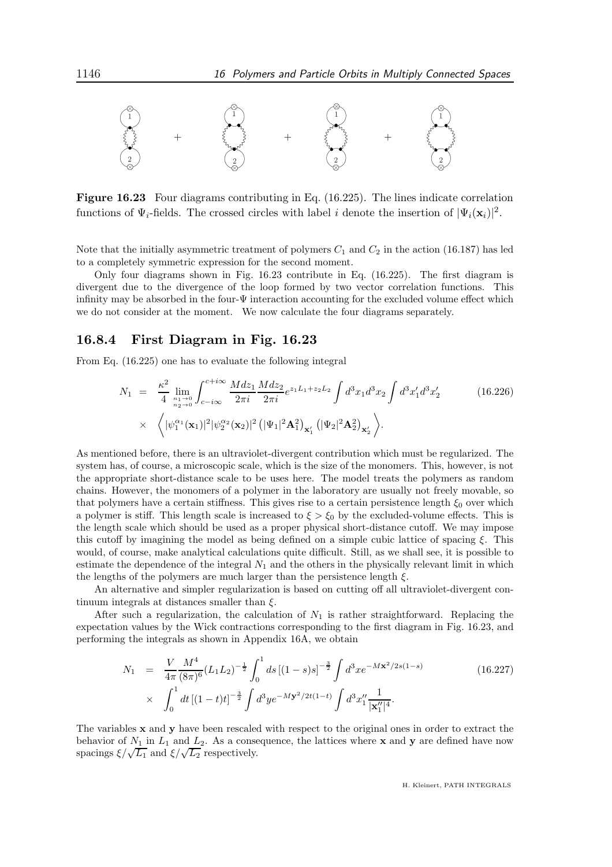

Figure 16.23 Four diagrams contributing in Eq. (16.225). The lines indicate correlation functions of  $\Psi_i$ -fields. The crossed circles with label *i* denote the insertion of  $|\Psi_i(\mathbf{x}_i)|^2$ .

Note that the initially asymmetric treatment of polymers  $C_1$  and  $C_2$  in the action (16.187) has led to a completely symmetric expression for the second moment.

Only four diagrams shown in Fig. 16.23 contribute in Eq. (16.225). The first diagram is divergent due to the divergence of the loop formed by two vector correlation functions. This infinity may be absorbed in the four-Ψ interaction accounting for the excluded volume effect which we do not consider at the moment. We now calculate the four diagrams separately.

#### 16.8.4 First Diagram in Fig. 16.23

From Eq. (16.225) one has to evaluate the following integral

$$
N_1 = \frac{\kappa^2}{4} \lim_{\substack{n_1 \to 0 \\ n_2 \to 0}} \int_{c-i\infty}^{c+i\infty} \frac{M dz_1}{2\pi i} \frac{M dz_2}{2\pi i} e^{z_1 L_1 + z_2 L_2} \int d^3 x_1 d^3 x_2 \int d^3 x'_1 d^3 x'_2
$$
(16.226)  
 
$$
\times \left( |\psi_1^{\alpha_1}(\mathbf{x}_1)|^2 |\psi_2^{\alpha_2}(\mathbf{x}_2)|^2 (|\Psi_1|^2 \mathbf{A}_1^2)_{\mathbf{x}'_1} (|\Psi_2|^2 \mathbf{A}_2^2)_{\mathbf{x}'_2} \right).
$$

As mentioned before, there is an ultraviolet-divergent contribution which must be regularized. The system has, of course, a microscopic scale, which is the size of the monomers. This, however, is not the appropriate short-distance scale to be uses here. The model treats the polymers as random chains. However, the monomers of a polymer in the laboratory are usually not freely movable, so that polymers have a certain stiffness. This gives rise to a certain persistence length  $\xi_0$  over which a polymer is stiff. This length scale is increased to  $\xi > \xi_0$  by the excluded-volume effects. This is the length scale which should be used as a proper physical short-distance cutoff. We may impose this cutoff by imagining the model as being defined on a simple cubic lattice of spacing ξ. This would, of course, make analytical calculations quite difficult. Still, as we shall see, it is possible to estimate the dependence of the integral  $N_1$  and the others in the physically relevant limit in which the lengths of the polymers are much larger than the persistence length  $\xi$ .

An alternative and simpler regularization is based on cutting off all ultraviolet-divergent continuum integrals at distances smaller than  $\xi$ .

After such a regularization, the calculation of  $N_1$  is rather straightforward. Replacing the expectation values by the Wick contractions corresponding to the first diagram in Fig. 16.23, and performing the integrals as shown in Appendix 16A, we obtain

$$
N_1 = \frac{V}{4\pi} \frac{M^4}{(8\pi)^6} (L_1 L_2)^{-\frac{1}{2}} \int_0^1 ds \left[ (1-s)s \right]^{-\frac{3}{2}} \int d^3 x e^{-M\mathbf{x}^2/2s(1-s)} \qquad (16.227)
$$
  
 
$$
\times \int_0^1 dt \left[ (1-t)t \right]^{-\frac{3}{2}} \int d^3 y e^{-M\mathbf{y}^2/2t(1-t)} \int d^3 x_1'' \frac{1}{|\mathbf{x}_1''|^4}.
$$

The variables  $x$  and  $y$  have been rescaled with respect to the original ones in order to extract the behavior of  $N_1$  in  $L_1$  and  $L_2$ . As a consequence, the lattices where **x** and **y** are defined have now spacings  $\xi/\sqrt{L_1}$  and  $\xi/\sqrt{L_2}$  respectively.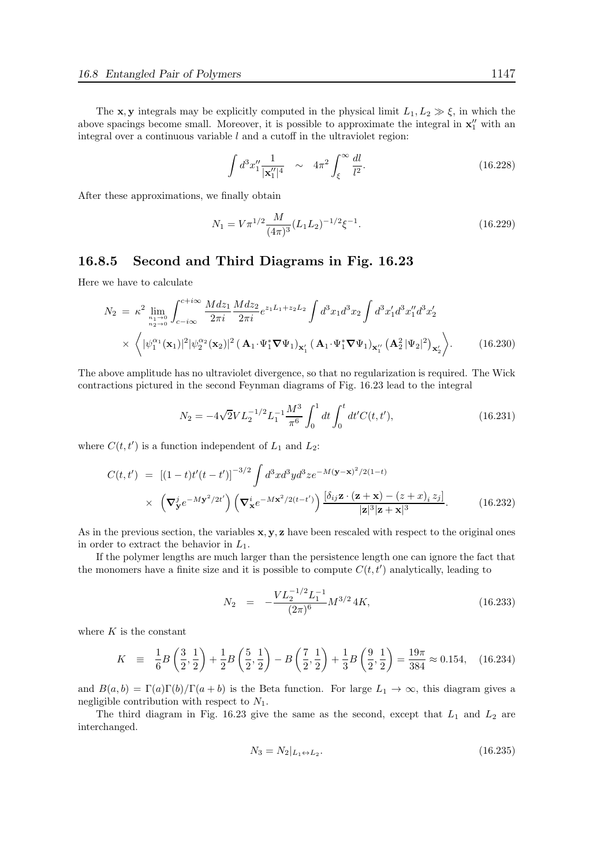The x, y integrals may be explicitly computed in the physical limit  $L_1, L_2 \gg \xi$ , in which the above spacings become small. Moreover, it is possible to approximate the integral in  $\mathbf{x}_1''$  with an integral over a continuous variable  $l$  and a cutoff in the ultraviolet region:

$$
\int d^3x_1'' \frac{1}{|\mathbf{x}_1''|^4} \sim 4\pi^2 \int_{\xi}^{\infty} \frac{dl}{l^2}.
$$
 (16.228)

After these approximations, we finally obtain

$$
N_1 = V \pi^{1/2} \frac{M}{(4\pi)^3} (L_1 L_2)^{-1/2} \xi^{-1}.
$$
\n(16.229)

#### 16.8.5 Second and Third Diagrams in Fig. 16.23

Here we have to calculate

$$
N_2 = \kappa^2 \lim_{\substack{n_1 \to 0 \\ n_2 \to 0}} \int_{c-i\infty}^{c+i\infty} \frac{M dz_1}{2\pi i} \frac{M dz_2}{2\pi i} e^{z_1 L_1 + z_2 L_2} \int d^3 x_1 d^3 x_2 \int d^3 x'_1 d^3 x''_1 d^3 x'_2
$$
  
 
$$
\times \left\langle |\psi_1^{\alpha_1}(\mathbf{x}_1)|^2 |\psi_2^{\alpha_2}(\mathbf{x}_2)|^2 (\mathbf{A}_1 \cdot \Psi_1^* \nabla \Psi_1)_{\mathbf{x}_1'} (\mathbf{A}_1 \cdot \Psi_1^* \nabla \Psi_1)_{\mathbf{x}_1''} (\mathbf{A}_2^2 |\Psi_2|^2)_{\mathbf{x}_2'} \right\rangle. \tag{16.230}
$$

The above amplitude has no ultraviolet divergence, so that no regularization is required. The Wick contractions pictured in the second Feynman diagrams of Fig. 16.23 lead to the integral

$$
N_2 = -4\sqrt{2}VL_2^{-1/2}L_1^{-1}\frac{M^3}{\pi^6}\int_0^1 dt \int_0^t dt' C(t, t'),\tag{16.231}
$$

where  $C(t, t')$  is a function independent of  $L_1$  and  $L_2$ :

$$
C(t,t') = \left[ (1-t)t'(t-t') \right]^{-3/2} \int d^3x d^3y d^3z e^{-M(\mathbf{y}-\mathbf{x})^2/2(1-t)} \times \left( \nabla_{\mathbf{y}}^j e^{-M\mathbf{y}^2/2t'} \right) \left( \nabla_{\mathbf{x}}^i e^{-M\mathbf{x}^2/2(t-t')} \right) \frac{\left[ \delta_{ij} \mathbf{z} \cdot (\mathbf{z}+\mathbf{x}) - (z+x)_i \, z_j \right]}{|\mathbf{z}|^3 |\mathbf{z}+\mathbf{x}|^3}.
$$
 (16.232)

As in the previous section, the variables  $x, y, z$  have been rescaled with respect to the original ones in order to extract the behavior in  $L_1$ .

If the polymer lengths are much larger than the persistence length one can ignore the fact that the monomers have a finite size and it is possible to compute  $C(t, t')$  analytically, leading to

$$
N_2 = -\frac{VL_2^{-1/2}L_1^{-1}}{(2\pi)^6}M^{3/2}4K,\tag{16.233}
$$

where  $K$  is the constant

$$
K \equiv \frac{1}{6}B\left(\frac{3}{2},\frac{1}{2}\right) + \frac{1}{2}B\left(\frac{5}{2},\frac{1}{2}\right) - B\left(\frac{7}{2},\frac{1}{2}\right) + \frac{1}{3}B\left(\frac{9}{2},\frac{1}{2}\right) = \frac{19\pi}{384} \approx 0.154, \quad (16.234)
$$

and  $B(a, b) = \Gamma(a)\Gamma(b)/\Gamma(a + b)$  is the Beta function. For large  $L_1 \rightarrow \infty$ , this diagram gives a negligible contribution with respect to  $N_1$ .

The third diagram in Fig. 16.23 give the same as the second, except that  $L_1$  and  $L_2$  are interchanged.

$$
N_3 = N_2|_{L_1 \leftrightarrow L_2}.\tag{16.235}
$$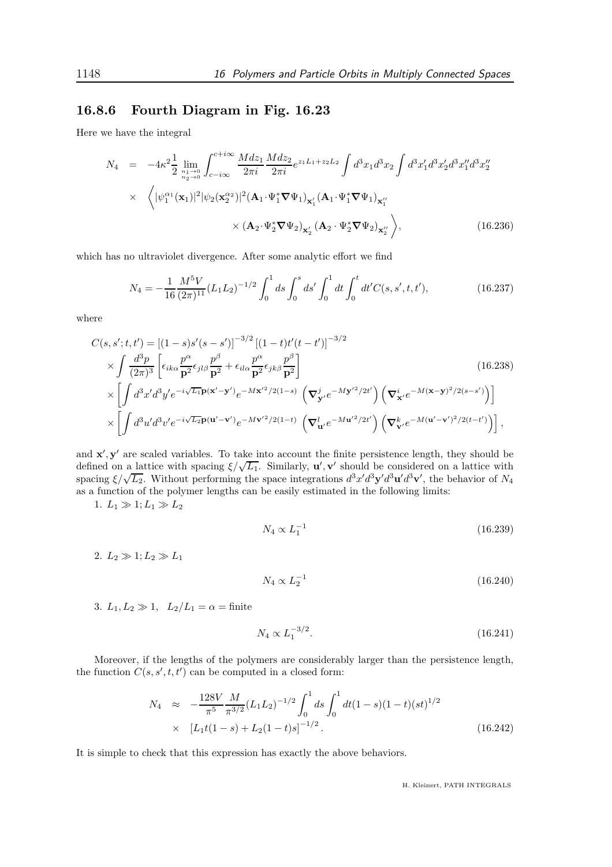#### 16.8.6 Fourth Diagram in Fig. 16.23

Here we have the integral

$$
N_4 = -4\kappa^2 \frac{1}{2} \lim_{\substack{n_1 \to 0 \\ n_2 \to 0}} \int_{c-i\infty}^{c+i\infty} \frac{M dz_1}{2\pi i} \frac{M dz_2}{2\pi i} e^{z_1 L_1 + z_2 L_2} \int d^3 x_1 d^3 x_2 \int d^3 x'_1 d^3 x'_2 d^3 x''_1 d^3 x''_2
$$
  
 
$$
\times \left( |\psi_1^{\alpha_1}(\mathbf{x}_1)|^2 |\psi_2(\mathbf{x}_2^{\alpha_2})|^2 (\mathbf{A}_1 \cdot \Psi_1^* \nabla \Psi_1)_{\mathbf{x}_1'} (\mathbf{A}_1 \cdot \Psi_1^* \nabla \Psi_1)_{\mathbf{x}_1''} \right. \times (\mathbf{A}_2 \cdot \Psi_2^* \nabla \Psi_2)_{\mathbf{x}_2'} (\mathbf{A}_2 \cdot \Psi_2^* \nabla \Psi_2)_{\mathbf{x}_2''} \right), \tag{16.236}
$$

which has no ultraviolet divergence. After some analytic effort we find

$$
N_4 = -\frac{1}{16} \frac{M^5 V}{(2\pi)^{11}} (L_1 L_2)^{-1/2} \int_0^1 ds \int_0^s ds' \int_0^1 dt \int_0^t dt' C(s, s', t, t'), \tag{16.237}
$$

where

$$
C(s, s'; t, t') = [(1 - s)s'(s - s')]^{-3/2} [(1 - t)t'(t - t')]^{-3/2}
$$
  
\n
$$
\times \int \frac{d^3 p}{(2\pi)^3} \left[ \epsilon_{ik\alpha} \frac{p^{\alpha}}{\mathbf{p}^2} \epsilon_{jl\beta} \frac{p^{\beta}}{\mathbf{p}^2} + \epsilon_{il\alpha} \frac{p^{\alpha}}{\mathbf{p}^2} \epsilon_{jk\beta} \frac{p^{\beta}}{\mathbf{p}^2} \right]
$$
(16.238)  
\n
$$
\times \left[ \int d^3 x' d^3 y' e^{-i\sqrt{L_1} \mathbf{p}(\mathbf{x}' - \mathbf{y}')} e^{-M\mathbf{x}'^2/2(1-s)} \left( \nabla_{\mathbf{y}'}^j e^{-M\mathbf{y}'^2/2t'} \right) \left( \nabla_{\mathbf{x}'}^i e^{-M(\mathbf{x} - \mathbf{y})^2/2(s - s')} \right) \right]
$$
  
\n
$$
\times \left[ \int d^3 u' d^3 v' e^{-i\sqrt{L_2} \mathbf{p}(\mathbf{u}' - \mathbf{v}')} e^{-M\mathbf{v}'^2/2(1-t)} \left( \nabla_{\mathbf{u}'}^l e^{-M\mathbf{u}'^2/2t'} \right) \left( \nabla_{\mathbf{v}'}^k e^{-M(\mathbf{u}' - \mathbf{v}')^2/2(t - t')} \right) \right],
$$

and  $\mathbf{x}'$ ,  $\mathbf{y}'$  are scaled variables. To take into account the finite persistence length, they should be defined on a lattice with spacing  $\xi/\sqrt{L_1}$ . Similarly,  $\mathbf{u}'$ ,  $\mathbf{v}'$  should be considered on a lattice with spacing  $\xi/\sqrt{L_2}$ . Without performing the space integrations  $d^3x'd^3y'd^3u'd^3v'$ , the behavior of  $N_4$ as a function of the polymer lengths can be easily estimated in the following limits:

1.  $L_1 \gg 1; L_1 \gg L_2$ 

$$
N_4 \propto L_1^{-1} \tag{16.239}
$$

2.  $L_2 \gg 1; L_2 \gg L_1$ 

$$
N_4 \propto L_2^{-1} \tag{16.240}
$$

3.  $L_1, L_2 \gg 1$ ,  $L_2/L_1 = \alpha = \text{finite}$ 

$$
N_4 \propto L_1^{-3/2}.\tag{16.241}
$$

Moreover, if the lengths of the polymers are considerably larger than the persistence length, the function  $C(s, s', t, t')$  can be computed in a closed form:

$$
N_4 \approx -\frac{128V}{\pi^5} \frac{M}{\pi^{3/2}} (L_1 L_2)^{-1/2} \int_0^1 ds \int_0^1 dt (1-s)(1-t)(st)^{1/2}
$$
  
 
$$
\times \left[ L_1 t (1-s) + L_2 (1-t)s \right]^{-1/2}.
$$
 (16.242)

It is simple to check that this expression has exactly the above behaviors.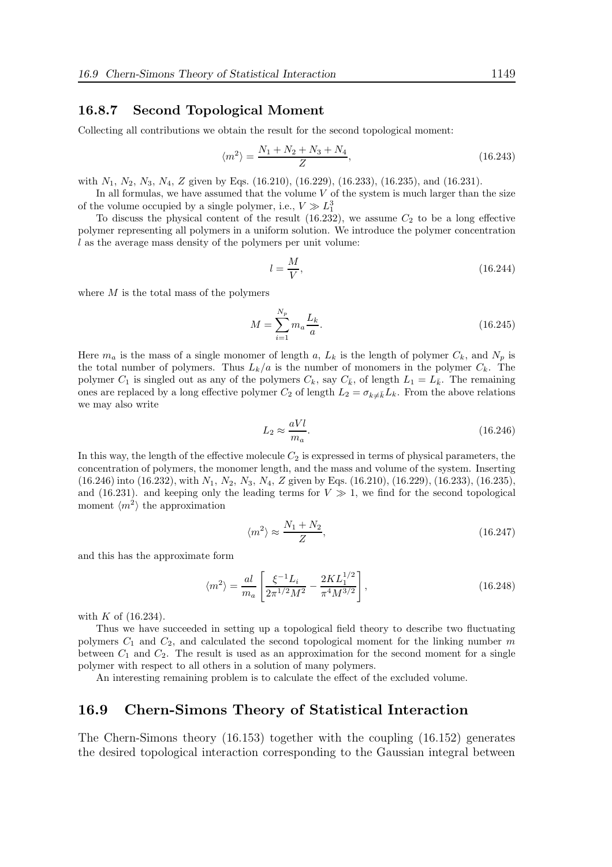#### 16.8.7 Second Topological Moment

Collecting all contributions we obtain the result for the second topological moment:

$$
\langle m^2 \rangle = \frac{N_1 + N_2 + N_3 + N_4}{Z}, \tag{16.243}
$$

with  $N_1$ ,  $N_2$ ,  $N_3$ ,  $N_4$ , Z given by Eqs. (16.210), (16.229), (16.233), (16.235), and (16.231).

In all formulas, we have assumed that the volume  $V$  of the system is much larger than the size of the volume occupied by a single polymer, i.e.,  $V \gg L_1^3$ 

To discuss the physical content of the result  $(16.232)$ , we assume  $C_2$  to be a long effective polymer representing all polymers in a uniform solution. We introduce the polymer concentration l as the average mass density of the polymers per unit volume:

$$
l = \frac{M}{V},\tag{16.244}
$$

where  $M$  is the total mass of the polymers

$$
M = \sum_{i=1}^{N_p} m_a \frac{L_k}{a}.
$$
\n(16.245)

Here  $m_a$  is the mass of a single monomer of length a,  $L_k$  is the length of polymer  $C_k$ , and  $N_p$  is the total number of polymers. Thus  $L_k/a$  is the number of monomers in the polymer  $C_k$ . The polymer  $C_1$  is singled out as any of the polymers  $C_k$ , say  $C_{\bar{k}}$ , of length  $L_1 = L_{\bar{k}}$ . The remaining ones are replaced by a long effective polymer  $C_2$  of length  $L_2 = \sigma_{k\neq \bar{k}}L_k$ . From the above relations we may also write

$$
L_2 \approx \frac{aVl}{m_a}.\tag{16.246}
$$

In this way, the length of the effective molecule  $C_2$  is expressed in terms of physical parameters, the concentration of polymers, the monomer length, and the mass and volume of the system. Inserting  $(16.246)$  into  $(16.232)$ , with  $N_1$ ,  $N_2$ ,  $N_3$ ,  $N_4$ , Z given by Eqs.  $(16.210)$ ,  $(16.229)$ ,  $(16.233)$ ,  $(16.235)$ , and (16.231). and keeping only the leading terms for  $V \gg 1$ , we find for the second topological moment  $\langle m^2 \rangle$  the approximation

$$
\langle m^2 \rangle \approx \frac{N_1 + N_2}{Z},\tag{16.247}
$$

and this has the approximate form

$$
\langle m^2 \rangle = \frac{al}{m_a} \left[ \frac{\xi^{-1} L_i}{2\pi^{1/2} M^2} - \frac{2KL_1^{1/2}}{\pi^4 M^{3/2}} \right],
$$
 (16.248)

with  $K$  of  $(16.234)$ .

Thus we have succeeded in setting up a topological field theory to describe two fluctuating polymers  $C_1$  and  $C_2$ , and calculated the second topological moment for the linking number m between  $C_1$  and  $C_2$ . The result is used as an approximation for the second moment for a single polymer with respect to all others in a solution of many polymers.

An interesting remaining problem is to calculate the effect of the excluded volume.

### 16.9 Chern-Simons Theory of Statistical Interaction

The Chern-Simons theory (16.153) together with the coupling (16.152) generates the desired topological interaction corresponding to the Gaussian integral between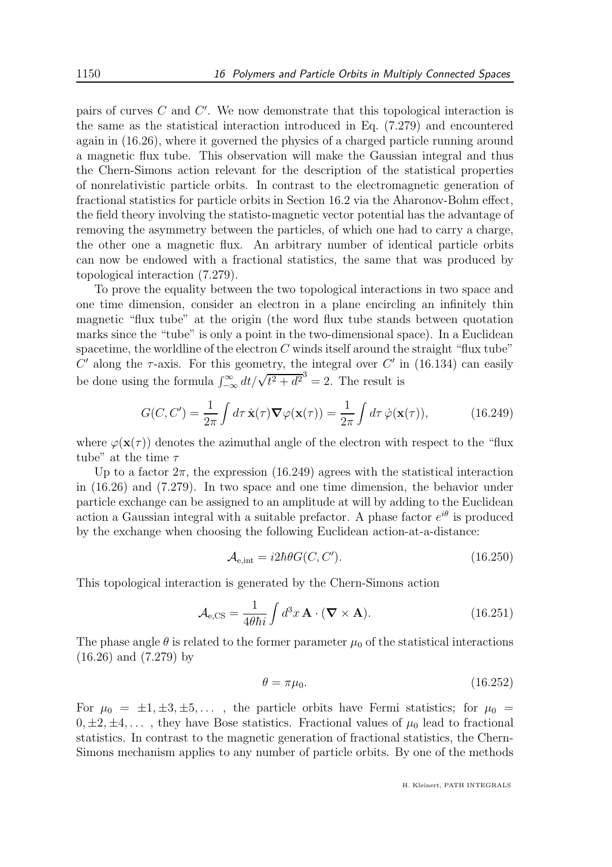pairs of curves  $C$  and  $C'$ . We now demonstrate that this topological interaction is the same as the statistical interaction introduced in Eq. (7.279) and encountered again in (16.26), where it governed the physics of a charged particle running around a magnetic flux tube. This observation will make the Gaussian integral and thus the Chern-Simons action relevant for the description of the statistical properties of nonrelativistic particle orbits. In contrast to the electromagnetic generation of fractional statistics for particle orbits in Section 16.2 via the Aharonov-Bohm effect, the field theory involving the statisto-magnetic vector potential has the advantage of removing the asymmetry between the particles, of which one had to carry a charge, the other one a magnetic flux. An arbitrary number of identical particle orbits can now be endowed with a fractional statistics, the same that was produced by topological interaction (7.279).

To prove the equality between the two topological interactions in two space and one time dimension, consider an electron in a plane encircling an infinitely thin magnetic "flux tube" at the origin (the word flux tube stands between quotation marks since the "tube" is only a point in the two-dimensional space). In a Euclidean spacetime, the worldline of the electron  $C$  winds itself around the straight "flux tube" C' along the  $\tau$ -axis. For this geometry, the integral over C' in (16.134) can easily be done using the formula  $\int_{-\infty}^{\infty} dt / \sqrt{t^2 + d^2}^3 = 2$ . The result is

$$
G(C, C') = \frac{1}{2\pi} \int d\tau \, \dot{\mathbf{x}}(\tau) \mathbf{\nabla} \varphi(\mathbf{x}(\tau)) = \frac{1}{2\pi} \int d\tau \, \dot{\varphi}(\mathbf{x}(\tau)), \tag{16.249}
$$

where  $\varphi(\mathbf{x}(\tau))$  denotes the azimuthal angle of the electron with respect to the "flux" tube" at the time  $\tau$ 

Up to a factor  $2\pi$ , the expression (16.249) agrees with the statistical interaction in (16.26) and (7.279). In two space and one time dimension, the behavior under particle exchange can be assigned to an amplitude at will by adding to the Euclidean action a Gaussian integral with a suitable prefactor. A phase factor  $e^{i\theta}$  is produced by the exchange when choosing the following Euclidean action-at-a-distance:

$$
\mathcal{A}_{\text{e,int}} = i2\hbar\theta G(C, C'). \tag{16.250}
$$

This topological interaction is generated by the Chern-Simons action

$$
\mathcal{A}_{e, CS} = \frac{1}{4\theta\hbar i} \int d^3 x \, \mathbf{A} \cdot (\mathbf{\nabla} \times \mathbf{A}). \tag{16.251}
$$

The phase angle  $\theta$  is related to the former parameter  $\mu_0$  of the statistical interactions (16.26) and (7.279) by

$$
\theta = \pi \mu_0. \tag{16.252}
$$

For  $\mu_0 = \pm 1, \pm 3, \pm 5, \ldots$ , the particle orbits have Fermi statistics; for  $\mu_0 =$  $0, \pm 2, \pm 4, \ldots$ , they have Bose statistics. Fractional values of  $\mu_0$  lead to fractional statistics. In contrast to the magnetic generation of fractional statistics, the Chern-Simons mechanism applies to any number of particle orbits. By one of the methods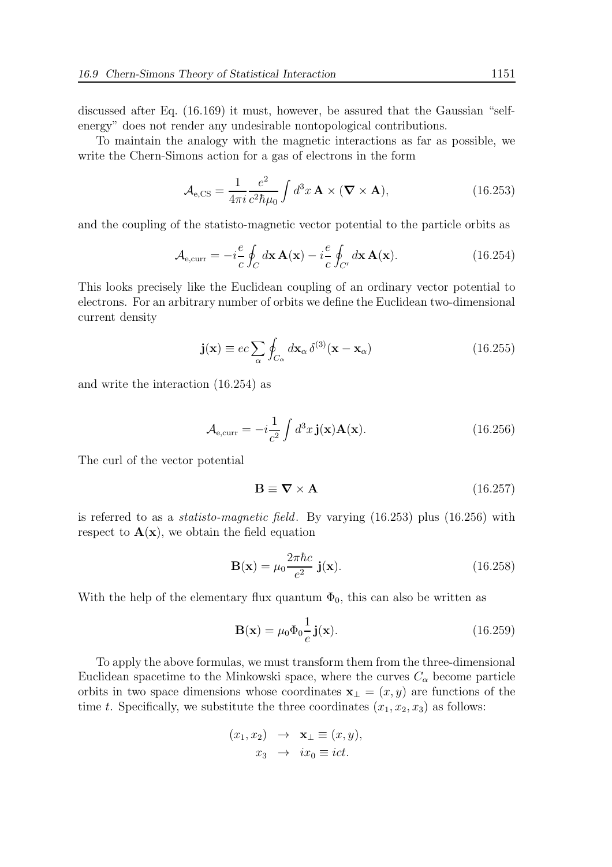discussed after Eq. (16.169) it must, however, be assured that the Gaussian "selfenergy" does not render any undesirable nontopological contributions.

To maintain the analogy with the magnetic interactions as far as possible, we write the Chern-Simons action for a gas of electrons in the form

$$
\mathcal{A}_{e, CS} = \frac{1}{4\pi i} \frac{e^2}{c^2 \hbar \mu_0} \int d^3 x \, \mathbf{A} \times (\mathbf{\nabla} \times \mathbf{A}), \tag{16.253}
$$

and the coupling of the statisto-magnetic vector potential to the particle orbits as

$$
\mathcal{A}_{e, \text{curr}} = -i\frac{e}{c} \oint_C d\mathbf{x} \mathbf{A}(\mathbf{x}) - i\frac{e}{c} \oint_{C'} d\mathbf{x} \mathbf{A}(\mathbf{x}). \tag{16.254}
$$

This looks precisely like the Euclidean coupling of an ordinary vector potential to electrons. For an arbitrary number of orbits we define the Euclidean two-dimensional current density

$$
\mathbf{j}(\mathbf{x}) \equiv ec \sum_{\alpha} \oint_{C_{\alpha}} d\mathbf{x}_{\alpha} \,\delta^{(3)}(\mathbf{x} - \mathbf{x}_{\alpha}) \tag{16.255}
$$

and write the interaction (16.254) as

$$
\mathcal{A}_{e, \text{curr}} = -i \frac{1}{c^2} \int d^3 x \, \mathbf{j}(\mathbf{x}) \mathbf{A}(\mathbf{x}). \tag{16.256}
$$

The curl of the vector potential

$$
\mathbf{B} \equiv \nabla \times \mathbf{A} \tag{16.257}
$$

is referred to as a *statisto-magnetic field*. By varying  $(16.253)$  plus  $(16.256)$  with respect to  $\mathbf{A}(\mathbf{x})$ , we obtain the field equation

$$
\mathbf{B}(\mathbf{x}) = \mu_0 \frac{2\pi\hbar c}{e^2} \mathbf{j}(\mathbf{x}).
$$
 (16.258)

With the help of the elementary flux quantum  $\Phi_0$ , this can also be written as

$$
\mathbf{B}(\mathbf{x}) = \mu_0 \Phi_0 \frac{1}{e} \mathbf{j}(\mathbf{x}).
$$
 (16.259)

To apply the above formulas, we must transform them from the three-dimensional Euclidean spacetime to the Minkowski space, where the curves  $C_{\alpha}$  become particle orbits in two space dimensions whose coordinates  $\mathbf{x}_{\perp} = (x, y)$  are functions of the time t. Specifically, we substitute the three coordinates  $(x_1, x_2, x_3)$  as follows:

$$
(x_1, x_2) \rightarrow \mathbf{x}_{\perp} \equiv (x, y),
$$
  
 $x_3 \rightarrow ix_0 \equiv ict.$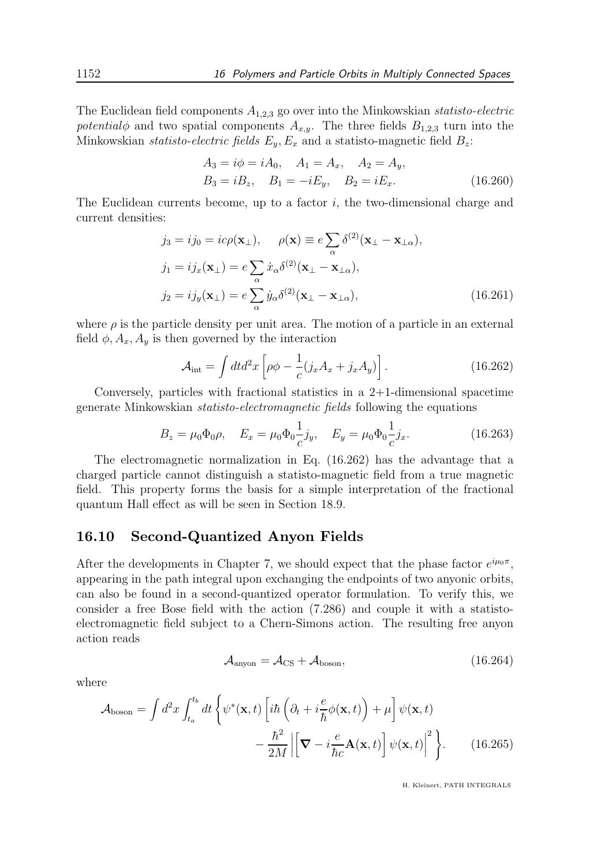The Euclidean field components  $A_{1,2,3}$  go over into the Minkowskian statisto-electric potential $\phi$  and two spatial components  $A_{x,y}$ . The three fields  $B_{1,2,3}$  turn into the Minkowskian *statisto-electric fields*  $E_y, E_x$  and a statisto-magnetic field  $B_z$ .

$$
A_3 = i\phi = iA_0, \quad A_1 = A_x, \quad A_2 = A_y, B_3 = iB_z, \quad B_1 = -iE_y, \quad B_2 = iE_x.
$$
 (16.260)

The Euclidean currents become, up to a factor  $i$ , the two-dimensional charge and current densities:

$$
j_3 = ij_0 = ic\rho(\mathbf{x}_\perp), \quad \rho(\mathbf{x}) \equiv e \sum_{\alpha} \delta^{(2)}(\mathbf{x}_\perp - \mathbf{x}_{\perp\alpha}),
$$
  
\n
$$
j_1 = ij_x(\mathbf{x}_\perp) = e \sum_{\alpha} \dot{x}_{\alpha} \delta^{(2)}(\mathbf{x}_\perp - \mathbf{x}_{\perp\alpha}),
$$
  
\n
$$
j_2 = ij_y(\mathbf{x}_\perp) = e \sum_{\alpha} \dot{y}_{\alpha} \delta^{(2)}(\mathbf{x}_\perp - \mathbf{x}_{\perp\alpha}),
$$
\n(16.261)

where  $\rho$  is the particle density per unit area. The motion of a particle in an external field  $\phi$ ,  $A_x$ ,  $A_y$  is then governed by the interaction

$$
\mathcal{A}_{\rm int} = \int dt d^2x \left[ \rho \phi - \frac{1}{c} (j_x A_x + j_x A_y) \right]. \tag{16.262}
$$

Conversely, particles with fractional statistics in a  $2+1$ -dimensional spacetime generate Minkowskian statisto-electromagnetic fields following the equations

$$
B_z = \mu_0 \Phi_0 \rho, \quad E_x = \mu_0 \Phi_0 \frac{1}{c} j_y, \quad E_y = \mu_0 \Phi_0 \frac{1}{c} j_x.
$$
 (16.263)

The electromagnetic normalization in Eq. (16.262) has the advantage that a charged particle cannot distinguish a statisto-magnetic field from a true magnetic field. This property forms the basis for a simple interpretation of the fractional quantum Hall effect as will be seen in Section 18.9.

### 16.10 Second-Quantized Anyon Fields

After the developments in Chapter 7, we should expect that the phase factor  $e^{i\mu_0\pi}$ , appearing in the path integral upon exchanging the endpoints of two anyonic orbits, can also be found in a second-quantized operator formulation. To verify this, we consider a free Bose field with the action (7.286) and couple it with a statistoelectromagnetic field subject to a Chern-Simons action. The resulting free anyon action reads

$$
\mathcal{A}_{\text{anyon}} = \mathcal{A}_{\text{CS}} + \mathcal{A}_{\text{boson}},\tag{16.264}
$$

where

$$
\mathcal{A}_{\text{boson}} = \int d^2x \int_{t_a}^{t_b} dt \left\{ \psi^*(\mathbf{x}, t) \left[ i\hbar \left( \partial_t + i\frac{e}{\hbar} \phi(\mathbf{x}, t) \right) + \mu \right] \psi(\mathbf{x}, t) \right. \\ \left. - \frac{\hbar^2}{2M} \left| \left[ \nabla - i\frac{e}{\hbar c} \mathbf{A}(\mathbf{x}, t) \right] \psi(\mathbf{x}, t) \right|^2 \right\} . \tag{16.265}
$$

H. Kleinert, PATH INTEGRALS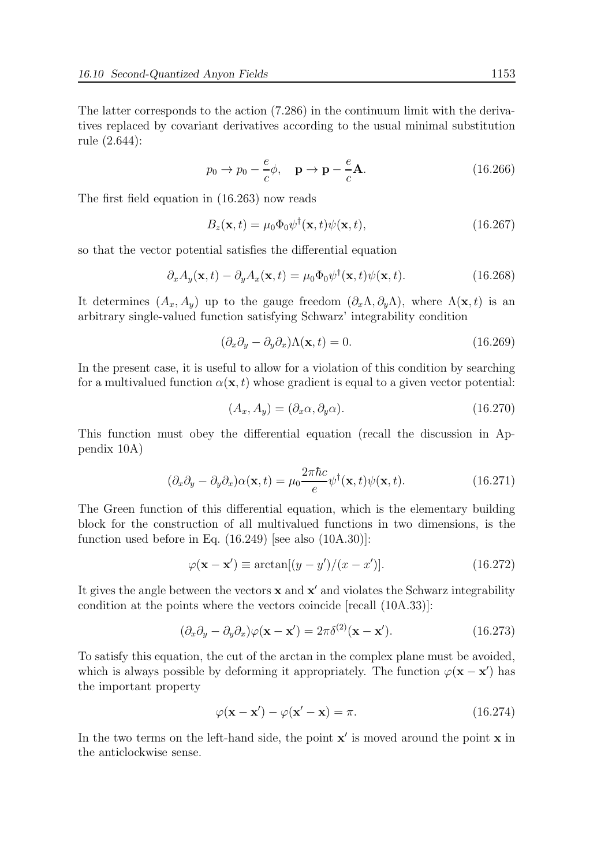The latter corresponds to the action (7.286) in the continuum limit with the derivatives replaced by covariant derivatives according to the usual minimal substitution rule (2.644):

$$
p_0 \to p_0 - \frac{e}{c}\phi, \quad \mathbf{p} \to \mathbf{p} - \frac{e}{c}\mathbf{A}.\tag{16.266}
$$

The first field equation in (16.263) now reads

$$
B_z(\mathbf{x},t) = \mu_0 \Phi_0 \psi^\dagger(\mathbf{x},t) \psi(\mathbf{x},t), \qquad (16.267)
$$

so that the vector potential satisfies the differential equation

$$
\partial_x A_y(\mathbf{x}, t) - \partial_y A_x(\mathbf{x}, t) = \mu_0 \Phi_0 \psi^\dagger(\mathbf{x}, t) \psi(\mathbf{x}, t). \tag{16.268}
$$

It determines  $(A_x, A_y)$  up to the gauge freedom  $(\partial_x \Lambda, \partial_y \Lambda)$ , where  $\Lambda(\mathbf{x}, t)$  is an arbitrary single-valued function satisfying Schwarz' integrability condition

$$
(\partial_x \partial_y - \partial_y \partial_x) \Lambda(\mathbf{x}, t) = 0. \tag{16.269}
$$

In the present case, it is useful to allow for a violation of this condition by searching for a multivalued function  $\alpha(\mathbf{x}, t)$  whose gradient is equal to a given vector potential:

$$
(A_x, A_y) = (\partial_x \alpha, \partial_y \alpha). \tag{16.270}
$$

This function must obey the differential equation (recall the discussion in Appendix 10A)

$$
(\partial_x \partial_y - \partial_y \partial_x)\alpha(\mathbf{x}, t) = \mu_0 \frac{2\pi \hbar c}{e} \psi^{\dagger}(\mathbf{x}, t) \psi(\mathbf{x}, t).
$$
 (16.271)

The Green function of this differential equation, which is the elementary building block for the construction of all multivalued functions in two dimensions, is the function used before in Eq.  $(16.249)$  [see also  $(10A.30)$ ]:

$$
\varphi(\mathbf{x} - \mathbf{x}') \equiv \arctan[(y - y')/(x - x')]. \tag{16.272}
$$

It gives the angle between the vectors  $x$  and  $x'$  and violates the Schwarz integrability condition at the points where the vectors coincide [recall (10A.33)]:

$$
(\partial_x \partial_y - \partial_y \partial_x)\varphi(\mathbf{x} - \mathbf{x}') = 2\pi \delta^{(2)}(\mathbf{x} - \mathbf{x}'). \tag{16.273}
$$

To satisfy this equation, the cut of the arctan in the complex plane must be avoided, which is always possible by deforming it appropriately. The function  $\varphi(\mathbf{x} - \mathbf{x}')$  has the important property

$$
\varphi(\mathbf{x} - \mathbf{x}') - \varphi(\mathbf{x}' - \mathbf{x}) = \pi.
$$
 (16.274)

In the two terms on the left-hand side, the point  $x'$  is moved around the point  $x$  in the anticlockwise sense.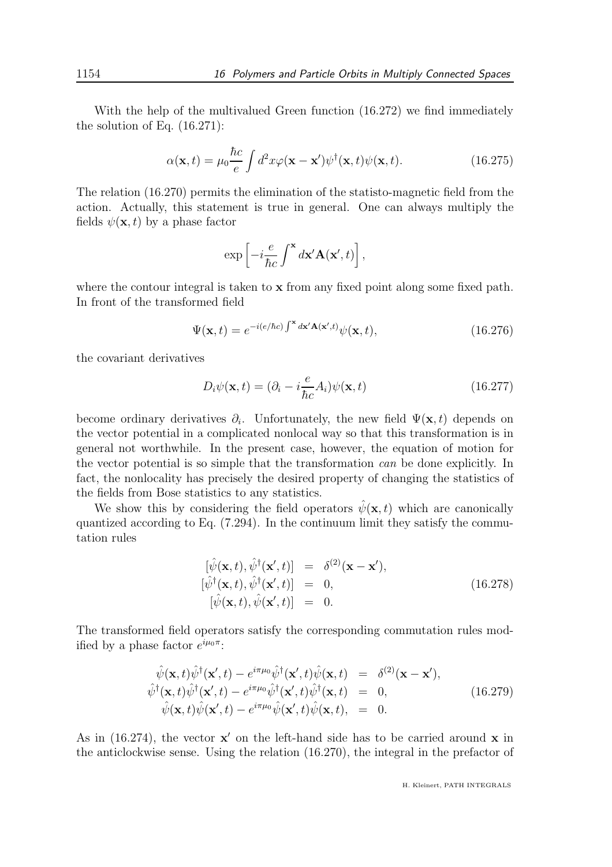With the help of the multivalued Green function (16.272) we find immediately the solution of Eq. (16.271):

$$
\alpha(\mathbf{x},t) = \mu_0 \frac{\hbar c}{e} \int d^2x \varphi(\mathbf{x} - \mathbf{x}') \psi^{\dagger}(\mathbf{x},t) \psi(\mathbf{x},t).
$$
 (16.275)

The relation (16.270) permits the elimination of the statisto-magnetic field from the action. Actually, this statement is true in general. One can always multiply the fields  $\psi(\mathbf{x}, t)$  by a phase factor

$$
\exp\left[-i\frac{e}{\hbar c}\int^{\mathbf{x}}d\mathbf{x}'\mathbf{A}(\mathbf{x}',t)\right],
$$

where the contour integral is taken to **x** from any fixed point along some fixed path. In front of the transformed field

$$
\Psi(\mathbf{x},t) = e^{-i(e/\hbar c)\int^{\mathbf{x}} d\mathbf{x}' \mathbf{A}(\mathbf{x}',t)} \psi(\mathbf{x},t),
$$
\n(16.276)

the covariant derivatives

$$
D_i \psi(\mathbf{x}, t) = (\partial_i - i \frac{e}{\hbar c} A_i) \psi(\mathbf{x}, t)
$$
\n(16.277)

become ordinary derivatives  $\partial_i$ . Unfortunately, the new field  $\Psi(\mathbf{x},t)$  depends on the vector potential in a complicated nonlocal way so that this transformation is in general not worthwhile. In the present case, however, the equation of motion for the vector potential is so simple that the transformation can be done explicitly. In fact, the nonlocality has precisely the desired property of changing the statistics of the fields from Bose statistics to any statistics.

We show this by considering the field operators  $\psi(\mathbf{x}, t)$  which are canonically quantized according to Eq. (7.294). In the continuum limit they satisfy the commutation rules

$$
\begin{array}{rcl}\n[\hat{\psi}(\mathbf{x},t),\hat{\psi}^{\dagger}(\mathbf{x}',t)] & = & \delta^{(2)}(\mathbf{x}-\mathbf{x}'),\\ \n[\hat{\psi}^{\dagger}(\mathbf{x},t),\hat{\psi}^{\dagger}(\mathbf{x}',t)] & = & 0,\\ \n[\hat{\psi}(\mathbf{x},t),\hat{\psi}(\mathbf{x}',t)] & = & 0.\n\end{array} \tag{16.278}
$$

The transformed field operators satisfy the corresponding commutation rules modified by a phase factor  $e^{i\mu_0\pi}$ :

$$
\hat{\psi}(\mathbf{x},t)\hat{\psi}^{\dagger}(\mathbf{x}',t) - e^{i\pi\mu_0}\hat{\psi}^{\dagger}(\mathbf{x}',t)\hat{\psi}(\mathbf{x},t) = \delta^{(2)}(\mathbf{x}-\mathbf{x}'),\n\hat{\psi}^{\dagger}(\mathbf{x},t)\hat{\psi}^{\dagger}(\mathbf{x}',t) - e^{i\pi\mu_0}\hat{\psi}^{\dagger}(\mathbf{x}',t)\hat{\psi}^{\dagger}(\mathbf{x},t) = 0,\n\hat{\psi}(\mathbf{x},t)\hat{\psi}(\mathbf{x}',t) - e^{i\pi\mu_0}\hat{\psi}(\mathbf{x}',t)\hat{\psi}(\mathbf{x},t), = 0.
$$
\n(16.279)

As in (16.274), the vector  $x'$  on the left-hand side has to be carried around  $x$  in the anticlockwise sense. Using the relation (16.270), the integral in the prefactor of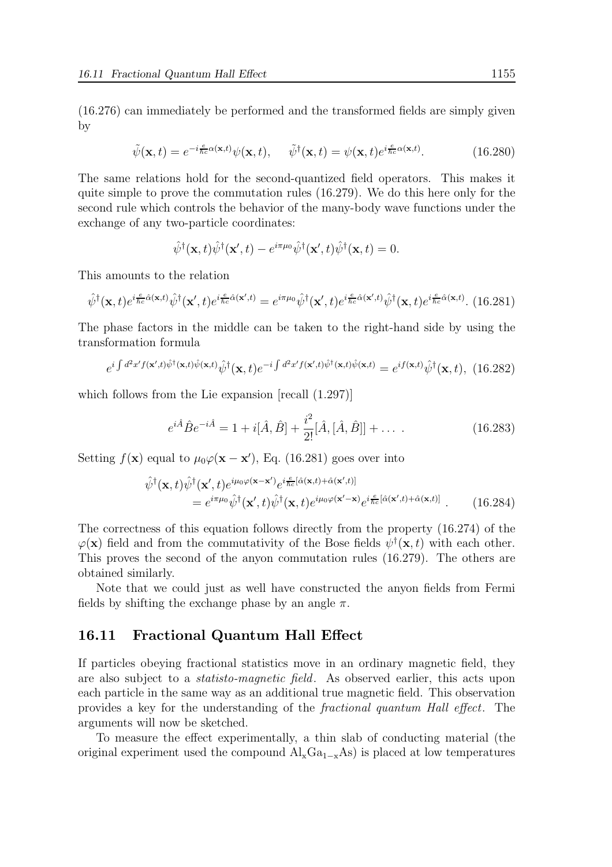(16.276) can immediately be performed and the transformed fields are simply given by

$$
\tilde{\psi}(\mathbf{x},t) = e^{-i\frac{e}{\hbar c}\alpha(\mathbf{x},t)}\psi(\mathbf{x},t), \quad \tilde{\psi}^{\dagger}(\mathbf{x},t) = \psi(\mathbf{x},t)e^{i\frac{e}{\hbar c}\alpha(\mathbf{x},t)}.
$$
\n(16.280)

The same relations hold for the second-quantized field operators. This makes it quite simple to prove the commutation rules (16.279). We do this here only for the second rule which controls the behavior of the many-body wave functions under the exchange of any two-particle coordinates:

$$
\hat{\psi}^{\dagger}(\mathbf{x},t)\hat{\psi}^{\dagger}(\mathbf{x}',t) - e^{i\pi\mu_0}\hat{\psi}^{\dagger}(\mathbf{x}',t)\hat{\psi}^{\dagger}(\mathbf{x},t) = 0.
$$

This amounts to the relation

$$
\hat{\psi}^{\dagger}(\mathbf{x},t)e^{i\frac{e}{\hbar c}\hat{\alpha}(\mathbf{x},t)}\hat{\psi}^{\dagger}(\mathbf{x}',t)e^{i\frac{e}{\hbar c}\hat{\alpha}(\mathbf{x}',t)} = e^{i\pi\mu_0}\hat{\psi}^{\dagger}(\mathbf{x}',t)e^{i\frac{e}{\hbar c}\hat{\alpha}(\mathbf{x}',t)}\hat{\psi}^{\dagger}(\mathbf{x},t)e^{i\frac{e}{\hbar c}\hat{\alpha}(\mathbf{x},t)}.
$$
(16.281)

The phase factors in the middle can be taken to the right-hand side by using the transformation formula

$$
e^{i\int d^2x' f(\mathbf{x}',t)\hat{\psi}^\dagger(\mathbf{x},t)\hat{\psi}(\mathbf{x},t)}\hat{\psi}^\dagger(\mathbf{x},t)e^{-i\int d^2x' f(\mathbf{x}',t)\hat{\psi}^\dagger(\mathbf{x},t)\hat{\psi}(\mathbf{x},t)} = e^{if(\mathbf{x},t)}\hat{\psi}^\dagger(\mathbf{x},t), \tag{16.282}
$$

which follows from the Lie expansion [recall (1.297)]

$$
e^{i\hat{A}}\hat{B}e^{-i\hat{A}} = 1 + i[\hat{A}, \hat{B}] + \frac{i^2}{2!}[\hat{A}, [\hat{A}, \hat{B}]] + \dots
$$
 (16.283)

Setting  $f(\mathbf{x})$  equal to  $\mu_0 \varphi(\mathbf{x} - \mathbf{x}')$ , Eq. (16.281) goes over into

$$
\hat{\psi}^{\dagger}(\mathbf{x},t)\hat{\psi}^{\dagger}(\mathbf{x}',t)e^{i\mu_{0}\varphi(\mathbf{x}-\mathbf{x}')}e^{i\frac{e}{\hbar c}[\hat{\alpha}(\mathbf{x},t)+\hat{\alpha}(\mathbf{x}',t)]}\n= e^{i\pi\mu_{0}}\hat{\psi}^{\dagger}(\mathbf{x}',t)\hat{\psi}^{\dagger}(\mathbf{x},t)e^{i\mu_{0}\varphi(\mathbf{x}'-\mathbf{x})}e^{i\frac{e}{\hbar c}[\hat{\alpha}(\mathbf{x}',t)+\hat{\alpha}(\mathbf{x},t)]}.
$$
\n(16.284)

The correctness of this equation follows directly from the property (16.274) of the  $\varphi(\mathbf{x})$  field and from the commutativity of the Bose fields  $\psi^{\dagger}(\mathbf{x},t)$  with each other. This proves the second of the anyon commutation rules (16.279). The others are obtained similarly.

Note that we could just as well have constructed the anyon fields from Fermi fields by shifting the exchange phase by an angle  $\pi$ .

### 16.11 Fractional Quantum Hall Effect

If particles obeying fractional statistics move in an ordinary magnetic field, they are also subject to a statisto-magnetic field. As observed earlier, this acts upon each particle in the same way as an additional true magnetic field. This observation provides a key for the understanding of the fractional quantum Hall effect. The arguments will now be sketched.

To measure the effect experimentally, a thin slab of conducting material (the original experiment used the compound  $Al_xGa_{1-x}As$ ) is placed at low temperatures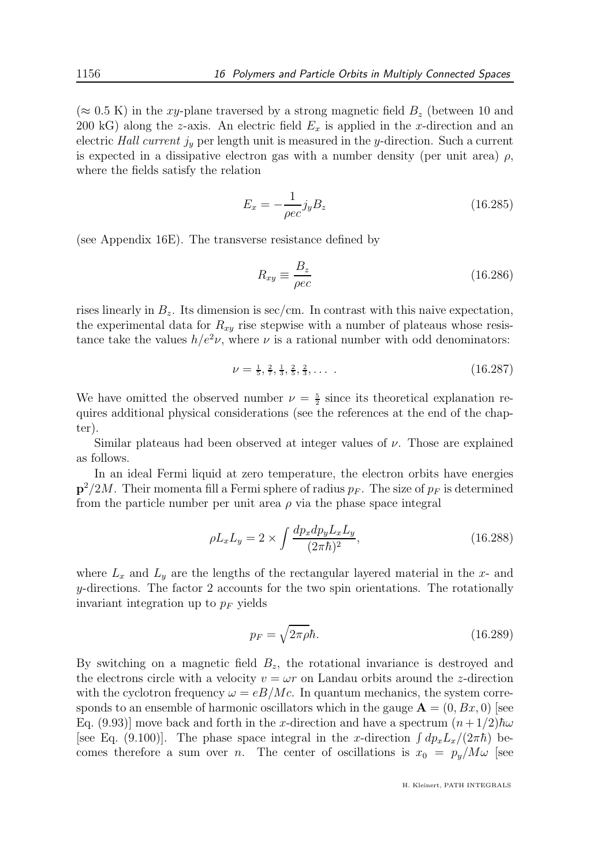$(\approx 0.5 \text{ K})$  in the xy-plane traversed by a strong magnetic field  $B<sub>z</sub>$  (between 10 and 200 kG) along the z-axis. An electric field  $E_x$  is applied in the x-direction and an electric Hall current  $j_y$  per length unit is measured in the y-direction. Such a current is expected in a dissipative electron gas with a number density (per unit area)  $\rho$ , where the fields satisfy the relation

$$
E_x = -\frac{1}{\rho e c} j_y B_z \tag{16.285}
$$

(see Appendix 16E). The transverse resistance defined by

$$
R_{xy} \equiv \frac{B_z}{\rho e c} \tag{16.286}
$$

rises linearly in  $B_z$ . Its dimension is sec/cm. In contrast with this naive expectation, the experimental data for  $R_{xy}$  rise stepwise with a number of plateaus whose resistance take the values  $h/e^2 \nu$ , where  $\nu$  is a rational number with odd denominators:

$$
\nu = \frac{1}{5}, \frac{2}{7}, \frac{1}{3}, \frac{2}{5}, \frac{2}{3}, \dots \tag{16.287}
$$

We have omitted the observed number  $\nu = \frac{5}{2}$  since its theoretical explanation requires additional physical considerations (see the references at the end of the chapter).

Similar plateaus had been observed at integer values of  $\nu$ . Those are explained as follows.

In an ideal Fermi liquid at zero temperature, the electron orbits have energies  $p^2/2M$ . Their momenta fill a Fermi sphere of radius  $p_F$ . The size of  $p_F$  is determined from the particle number per unit area  $\rho$  via the phase space integral

$$
\rho L_x L_y = 2 \times \int \frac{dp_x dp_y L_x L_y}{(2\pi\hbar)^2},\tag{16.288}
$$

where  $L_x$  and  $L_y$  are the lengths of the rectangular layered material in the x- and y-directions. The factor 2 accounts for the two spin orientations. The rotationally invariant integration up to  $p_F$  yields

$$
p_F = \sqrt{2\pi\rho} \hbar. \tag{16.289}
$$

By switching on a magnetic field  $B_z$ , the rotational invariance is destroyed and the electrons circle with a velocity  $v = \omega r$  on Landau orbits around the *z*-direction with the cyclotron frequency  $\omega = eB/Mc$ . In quantum mechanics, the system corresponds to an ensemble of harmonic oscillators which in the gauge  $\mathbf{A} = (0, Bx, 0)$  [see Eq. (9.93)] move back and forth in the x-direction and have a spectrum  $(n+1/2)$  $\hbar\omega$ [see Eq. (9.100)]. The phase space integral in the x-direction  $\int dp_x L_x/(2\pi\hbar)$  becomes therefore a sum over n. The center of oscillations is  $x_0 = p_y/M\omega$  [see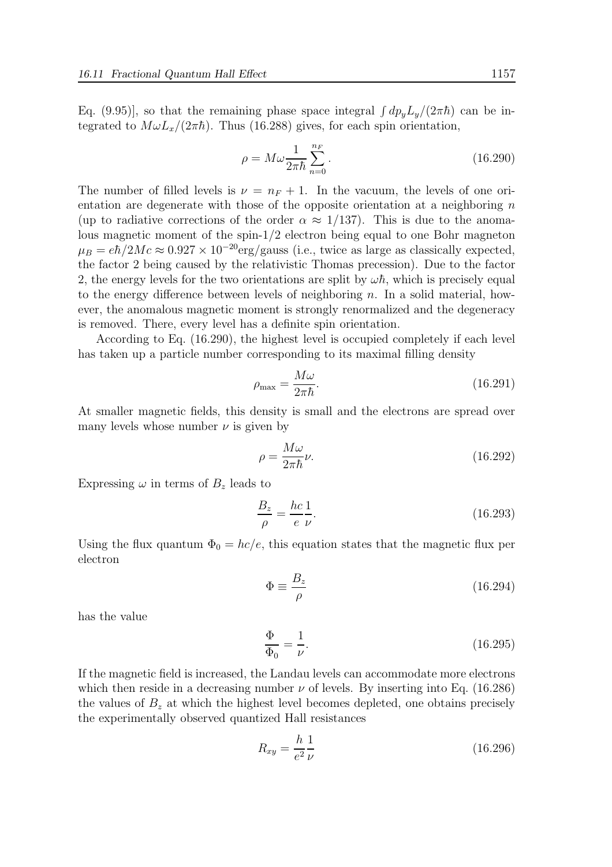Eq. (9.95)], so that the remaining phase space integral  $\int dp_y L_y/(2\pi\hbar)$  can be integrated to  $M\omega L_x/(2\pi\hbar)$ . Thus (16.288) gives, for each spin orientation,

$$
\rho = M\omega \frac{1}{2\pi\hbar} \sum_{n=0}^{n_F} .
$$
\n(16.290)

The number of filled levels is  $\nu = n_F + 1$ . In the vacuum, the levels of one orientation are degenerate with those of the opposite orientation at a neighboring  $n$ (up to radiative corrections of the order  $\alpha \approx 1/137$ ). This is due to the anomalous magnetic moment of the spin-1/2 electron being equal to one Bohr magneton  $\mu_B = e\hbar/2Mc \approx 0.927 \times 10^{-20} \text{erg/gauss}$  (i.e., twice as large as classically expected, the factor 2 being caused by the relativistic Thomas precession). Due to the factor 2, the energy levels for the two orientations are split by  $\omega\hbar$ , which is precisely equal to the energy difference between levels of neighboring n. In a solid material, however, the anomalous magnetic moment is strongly renormalized and the degeneracy is removed. There, every level has a definite spin orientation.

According to Eq. (16.290), the highest level is occupied completely if each level has taken up a particle number corresponding to its maximal filling density

$$
\rho_{\text{max}} = \frac{M\omega}{2\pi\hbar}.\tag{16.291}
$$

At smaller magnetic fields, this density is small and the electrons are spread over many levels whose number  $\nu$  is given by

$$
\rho = \frac{M\omega}{2\pi\hbar}\nu.
$$
\n(16.292)

Expressing  $\omega$  in terms of  $B_z$  leads to

$$
\frac{B_z}{\rho} = \frac{hc}{e} \frac{1}{\nu}.\tag{16.293}
$$

Using the flux quantum  $\Phi_0 = hc/e$ , this equation states that the magnetic flux per electron

$$
\Phi \equiv \frac{B_z}{\rho} \tag{16.294}
$$

has the value

$$
\frac{\Phi}{\Phi_0} = \frac{1}{\nu}.\tag{16.295}
$$

If the magnetic field is increased, the Landau levels can accommodate more electrons which then reside in a decreasing number  $\nu$  of levels. By inserting into Eq. (16.286) the values of  $B<sub>z</sub>$  at which the highest level becomes depleted, one obtains precisely the experimentally observed quantized Hall resistances

$$
R_{xy} = \frac{h}{e^2} \frac{1}{\nu} \tag{16.296}
$$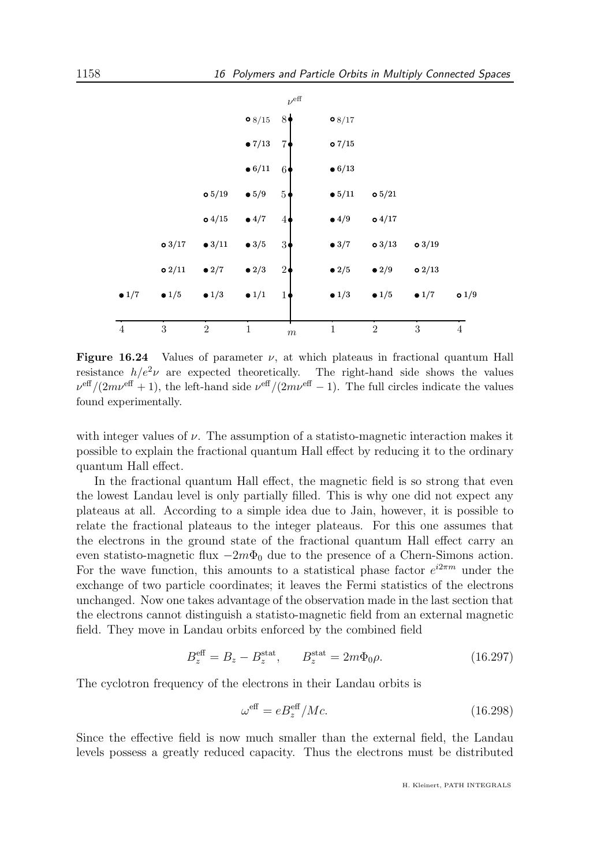

**Figure 16.24** Values of parameter  $\nu$ , at which plateaus in fractional quantum Hall resistance  $h/e^2 \nu$  are expected theoretically. The right-hand side shows the values  $\nu^{\text{eff}}/(2m\nu^{\text{eff}}+1)$ , the left-hand side  $\nu^{\text{eff}}/(2m\nu^{\text{eff}}-1)$ . The full circles indicate the values found experimentally.

with integer values of  $\nu$ . The assumption of a statisto-magnetic interaction makes it possible to explain the fractional quantum Hall effect by reducing it to the ordinary quantum Hall effect.

In the fractional quantum Hall effect, the magnetic field is so strong that even the lowest Landau level is only partially filled. This is why one did not expect any plateaus at all. According to a simple idea due to Jain, however, it is possible to relate the fractional plateaus to the integer plateaus. For this one assumes that the electrons in the ground state of the fractional quantum Hall effect carry an even statisto-magnetic flux  $-2m\Phi_0$  due to the presence of a Chern-Simons action. For the wave function, this amounts to a statistical phase factor  $e^{i2\pi m}$  under the exchange of two particle coordinates; it leaves the Fermi statistics of the electrons unchanged. Now one takes advantage of the observation made in the last section that the electrons cannot distinguish a statisto-magnetic field from an external magnetic field. They move in Landau orbits enforced by the combined field

$$
B_z^{\text{eff}} = B_z - B_z^{\text{stat}}, \qquad B_z^{\text{stat}} = 2m\Phi_0 \rho. \tag{16.297}
$$

The cyclotron frequency of the electrons in their Landau orbits is

$$
\omega^{\text{eff}} = eB_z^{\text{eff}}/Mc. \tag{16.298}
$$

Since the effective field is now much smaller than the external field, the Landau levels possess a greatly reduced capacity. Thus the electrons must be distributed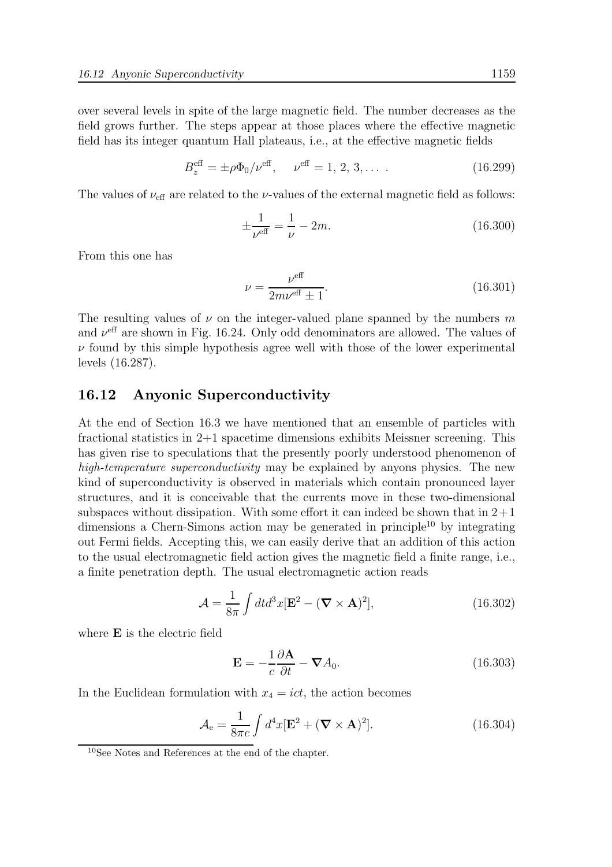over several levels in spite of the large magnetic field. The number decreases as the field grows further. The steps appear at those places where the effective magnetic field has its integer quantum Hall plateaus, i.e., at the effective magnetic fields

$$
B_z^{\text{eff}} = \pm \rho \Phi_0 / \nu^{\text{eff}}, \quad \nu^{\text{eff}} = 1, 2, 3, \dots \tag{16.299}
$$

The values of  $\nu_{\text{eff}}$  are related to the *v*-values of the external magnetic field as follows:

$$
\pm \frac{1}{\nu^{\text{eff}}} = \frac{1}{\nu} - 2m. \tag{16.300}
$$

From this one has

$$
\nu = \frac{\nu^{\text{eff}}}{2m\nu^{\text{eff}} \pm 1}.
$$
\n(16.301)

The resulting values of  $\nu$  on the integer-valued plane spanned by the numbers m and  $\nu^{\text{eff}}$  are shown in Fig. 16.24. Only odd denominators are allowed. The values of  $\nu$  found by this simple hypothesis agree well with those of the lower experimental levels (16.287).

### 16.12 Anyonic Superconductivity

At the end of Section 16.3 we have mentioned that an ensemble of particles with fractional statistics in 2+1 spacetime dimensions exhibits Meissner screening. This has given rise to speculations that the presently poorly understood phenomenon of high-temperature superconductivity may be explained by anyons physics. The new kind of superconductivity is observed in materials which contain pronounced layer structures, and it is conceivable that the currents move in these two-dimensional subspaces without dissipation. With some effort it can indeed be shown that in  $2+1$ dimensions a Chern-Simons action may be generated in principle<sup>10</sup> by integrating out Fermi fields. Accepting this, we can easily derive that an addition of this action to the usual electromagnetic field action gives the magnetic field a finite range, i.e., a finite penetration depth. The usual electromagnetic action reads

$$
\mathcal{A} = \frac{1}{8\pi} \int dt d^3x [\mathbf{E}^2 - (\mathbf{\nabla} \times \mathbf{A})^2], \tag{16.302}
$$

where E is the electric field

$$
\mathbf{E} = -\frac{1}{c} \frac{\partial \mathbf{A}}{\partial t} - \mathbf{\nabla} A_0.
$$
 (16.303)

In the Euclidean formulation with  $x_4 = ict$ , the action becomes

$$
\mathcal{A}_{\rm e} = \frac{1}{8\pi c} \int d^4x [\mathbf{E}^2 + (\mathbf{\nabla} \times \mathbf{A})^2]. \tag{16.304}
$$

<sup>10</sup>See Notes and References at the end of the chapter.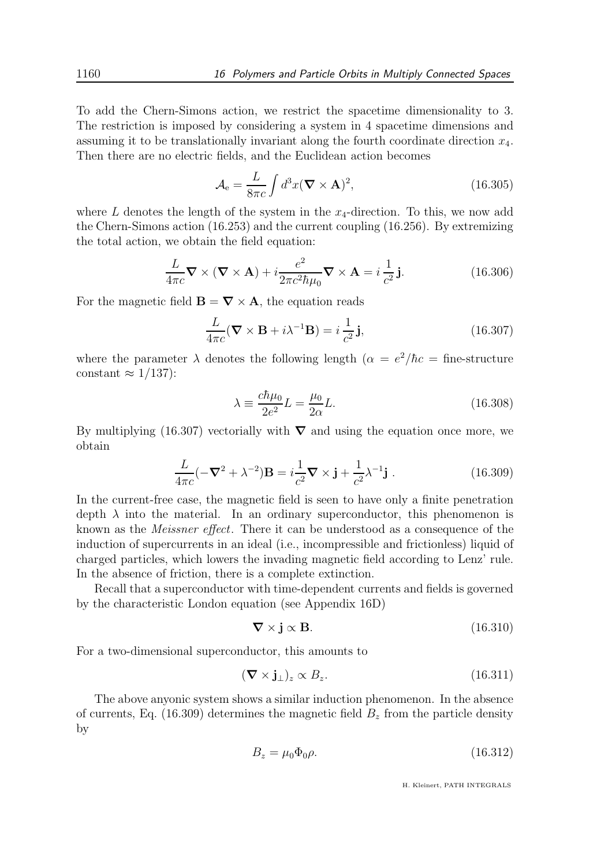To add the Chern-Simons action, we restrict the spacetime dimensionality to 3. The restriction is imposed by considering a system in 4 spacetime dimensions and assuming it to be translationally invariant along the fourth coordinate direction  $x_4$ . Then there are no electric fields, and the Euclidean action becomes

$$
\mathcal{A}_{\rm e} = \frac{L}{8\pi c} \int d^3x (\mathbf{\nabla} \times \mathbf{A})^2, \tag{16.305}
$$

where L denotes the length of the system in the  $x_4$ -direction. To this, we now add the Chern-Simons action (16.253) and the current coupling (16.256). By extremizing the total action, we obtain the field equation:

$$
\frac{L}{4\pi c}\nabla \times (\nabla \times \mathbf{A}) + i \frac{e^2}{2\pi c^2 \hbar \mu_0} \nabla \times \mathbf{A} = i \frac{1}{c^2} \mathbf{j}.
$$
 (16.306)

For the magnetic field  $\mathbf{B} = \nabla \times \mathbf{A}$ , the equation reads

$$
\frac{L}{4\pi c} (\mathbf{\nabla} \times \mathbf{B} + i\lambda^{-1} \mathbf{B}) = i \frac{1}{c^2} \mathbf{j},
$$
\n(16.307)

where the parameter  $\lambda$  denotes the following length  $(\alpha = e^2/\hbar c = \text{fine-structure})$ constant  $\approx 1/137$ :

$$
\lambda \equiv \frac{c\hbar\mu_0}{2e^2}L = \frac{\mu_0}{2\alpha}L.
$$
\n(16.308)

By multiplying (16.307) vectorially with  $\nabla$  and using the equation once more, we obtain

$$
\frac{L}{4\pi c}(-\nabla^2 + \lambda^{-2})\mathbf{B} = i\frac{1}{c^2}\nabla \times \mathbf{j} + \frac{1}{c^2}\lambda^{-1}\mathbf{j}.
$$
 (16.309)

In the current-free case, the magnetic field is seen to have only a finite penetration depth  $\lambda$  into the material. In an ordinary superconductor, this phenomenon is known as the Meissner effect. There it can be understood as a consequence of the induction of supercurrents in an ideal (i.e., incompressible and frictionless) liquid of charged particles, which lowers the invading magnetic field according to Lenz' rule. In the absence of friction, there is a complete extinction.

Recall that a superconductor with time-dependent currents and fields is governed by the characteristic London equation (see Appendix 16D)

$$
\nabla \times \mathbf{j} \propto \mathbf{B}.\tag{16.310}
$$

For a two-dimensional superconductor, this amounts to

$$
(\nabla \times \mathbf{j}_{\perp})_z \propto B_z. \tag{16.311}
$$

The above anyonic system shows a similar induction phenomenon. In the absence of currents, Eq. (16.309) determines the magnetic field  $B<sub>z</sub>$  from the particle density by

$$
B_z = \mu_0 \Phi_0 \rho. \tag{16.312}
$$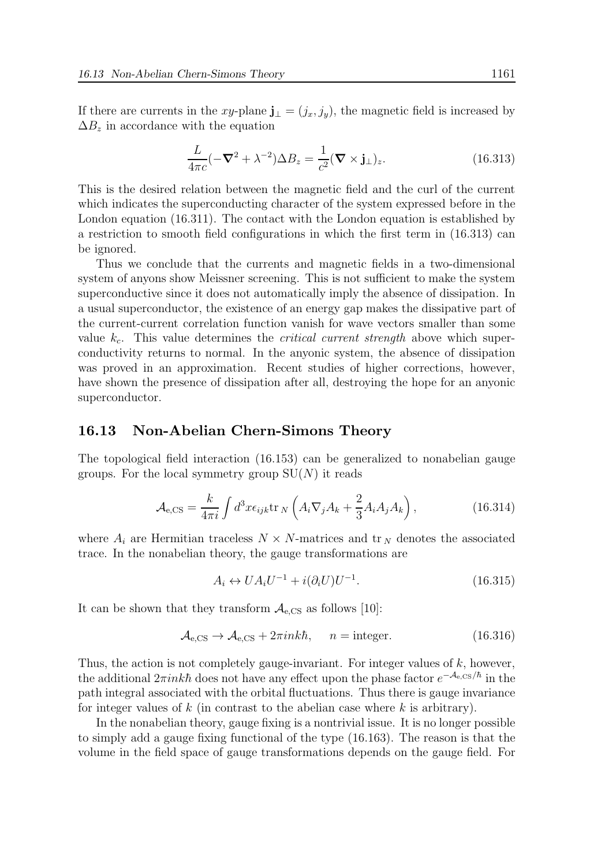If there are currents in the xy-plane  $\mathbf{j}_{\perp} = (j_x, j_y)$ , the magnetic field is increased by  $\Delta B_z$  in accordance with the equation

$$
\frac{L}{4\pi c}(-\nabla^2 + \lambda^{-2})\Delta B_z = \frac{1}{c^2}(\nabla \times \mathbf{j}_{\perp})_z.
$$
\n(16.313)

This is the desired relation between the magnetic field and the curl of the current which indicates the superconducting character of the system expressed before in the London equation (16.311). The contact with the London equation is established by a restriction to smooth field configurations in which the first term in (16.313) can be ignored.

Thus we conclude that the currents and magnetic fields in a two-dimensional system of anyons show Meissner screening. This is not sufficient to make the system superconductive since it does not automatically imply the absence of dissipation. In a usual superconductor, the existence of an energy gap makes the dissipative part of the current-current correlation function vanish for wave vectors smaller than some value  $k_c$ . This value determines the *critical current strength* above which superconductivity returns to normal. In the anyonic system, the absence of dissipation was proved in an approximation. Recent studies of higher corrections, however, have shown the presence of dissipation after all, destroying the hope for an anyonic superconductor.

#### 16.13 Non-Abelian Chern-Simons Theory

The topological field interaction (16.153) can be generalized to nonabelian gauge groups. For the local symmetry group  $SU(N)$  it reads

$$
\mathcal{A}_{e, \text{CS}} = \frac{k}{4\pi i} \int d^3x \epsilon_{ijk} \text{tr}_N \left( A_i \nabla_j A_k + \frac{2}{3} A_i A_j A_k \right), \tag{16.314}
$$

where  $A_i$  are Hermitian traceless  $N \times N$ -matrices and tr<sub>N</sub> denotes the associated trace. In the nonabelian theory, the gauge transformations are

$$
A_i \leftrightarrow UA_iU^{-1} + i(\partial_i U)U^{-1}.
$$
\n(16.315)

It can be shown that they transform  $A_{\rm e, CS}$  as follows [10]:

$$
\mathcal{A}_{e, \text{CS}} \to \mathcal{A}_{e, \text{CS}} + 2\pi i n k \hbar, \quad n = \text{integer.} \tag{16.316}
$$

Thus, the action is not completely gauge-invariant. For integer values of k, however, the additional  $2\pi i n k \hbar$  does not have any effect upon the phase factor  $e^{-\mathcal{A}_{e,CS}/\hbar}$  in the path integral associated with the orbital fluctuations. Thus there is gauge invariance for integer values of  $k$  (in contrast to the abelian case where  $k$  is arbitrary).

In the nonabelian theory, gauge fixing is a nontrivial issue. It is no longer possible to simply add a gauge fixing functional of the type (16.163). The reason is that the volume in the field space of gauge transformations depends on the gauge field. For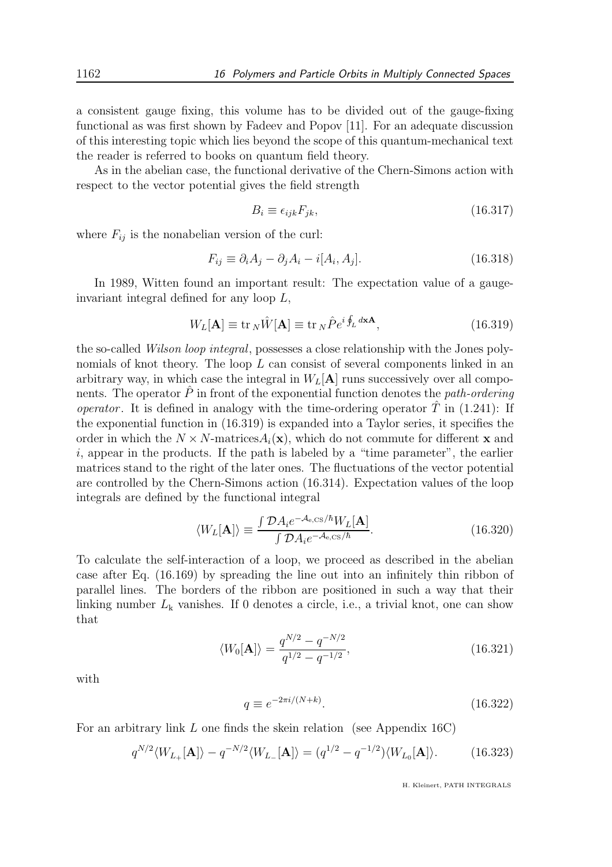a consistent gauge fixing, this volume has to be divided out of the gauge-fixing functional as was first shown by Fadeev and Popov [11]. For an adequate discussion of this interesting topic which lies beyond the scope of this quantum-mechanical text the reader is referred to books on quantum field theory.

As in the abelian case, the functional derivative of the Chern-Simons action with respect to the vector potential gives the field strength

$$
B_i \equiv \epsilon_{ijk} F_{jk}, \tag{16.317}
$$

where  $F_{ij}$  is the nonabelian version of the curl:

$$
F_{ij} \equiv \partial_i A_j - \partial_j A_i - i[A_i, A_j]. \tag{16.318}
$$

In 1989, Witten found an important result: The expectation value of a gaugeinvariant integral defined for any loop L,

$$
W_L[\mathbf{A}] \equiv \text{tr}_N \hat{W}[\mathbf{A}] \equiv \text{tr}_N \hat{P} e^{i \oint_L d\mathbf{x} \mathbf{A}}, \qquad (16.319)
$$

the so-called Wilson loop integral, possesses a close relationship with the Jones polynomials of knot theory. The loop L can consist of several components linked in an arbitrary way, in which case the integral in  $W_L[A]$  runs successively over all components. The operator  $\hat{P}$  in front of the exponential function denotes the *path-ordering operator*. It is defined in analogy with the time-ordering operator T in  $(1.241)$ : If the exponential function in (16.319) is expanded into a Taylor series, it specifies the order in which the  $N \times N$ -matrices $A_i(\mathbf{x})$ , which do not commute for different x and  $i$ , appear in the products. If the path is labeled by a "time parameter", the earlier matrices stand to the right of the later ones. The fluctuations of the vector potential are controlled by the Chern-Simons action (16.314). Expectation values of the loop integrals are defined by the functional integral

$$
\langle W_L[\mathbf{A}] \rangle \equiv \frac{\int \mathcal{D}A_i e^{-\mathcal{A}_{\text{e,CS}}/\hbar} W_L[\mathbf{A}]}{\int \mathcal{D}A_i e^{-\mathcal{A}_{\text{e,CS}}/\hbar}}.
$$
\n(16.320)

To calculate the self-interaction of a loop, we proceed as described in the abelian case after Eq. (16.169) by spreading the line out into an infinitely thin ribbon of parallel lines. The borders of the ribbon are positioned in such a way that their linking number  $L_k$  vanishes. If 0 denotes a circle, i.e., a trivial knot, one can show that

$$
\langle W_0[\mathbf{A}] \rangle = \frac{q^{N/2} - q^{-N/2}}{q^{1/2} - q^{-1/2}},\tag{16.321}
$$

with

$$
q \equiv e^{-2\pi i/(N+k)}.\tag{16.322}
$$

For an arbitrary link L one finds the skein relation (see Appendix 16C)

$$
q^{N/2}\langle W_{L_{+}}[\mathbf{A}]\rangle - q^{-N/2}\langle W_{L_{-}}[\mathbf{A}]\rangle = (q^{1/2} - q^{-1/2})\langle W_{L_{0}}[\mathbf{A}]\rangle.
$$
 (16.323)

H. Kleinert, PATH INTEGRALS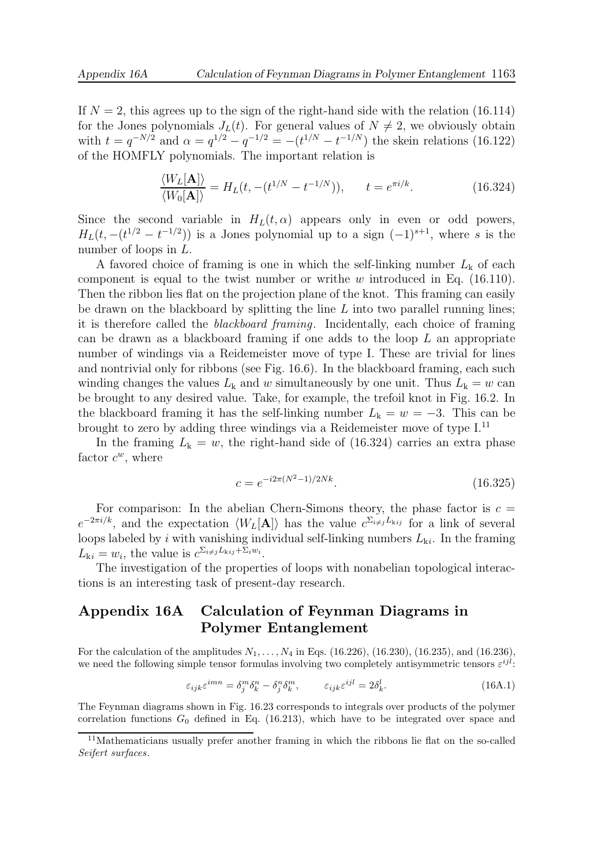If  $N = 2$ , this agrees up to the sign of the right-hand side with the relation (16.114) for the Jones polynomials  $J_L(t)$ . For general values of  $N \neq 2$ , we obviously obtain with  $t = q^{-N/2}$  and  $\alpha = q^{1/2} - q^{-1/2} = -(t^{1/N} - t^{-1/N})$  the skein relations (16.122) of the HOMFLY polynomials. The important relation is

$$
\frac{\langle W_L[\mathbf{A}]\rangle}{\langle W_0[\mathbf{A}]\rangle} = H_L(t, -(t^{1/N} - t^{-1/N})), \qquad t = e^{\pi i/k}.
$$
 (16.324)

Since the second variable in  $H_L(t, \alpha)$  appears only in even or odd powers,  $H_L(t, -(t^{1/2} - t^{-1/2}))$  is a Jones polynomial up to a sign  $(-1)^{s+1}$ , where s is the number of loops in L.

A favored choice of framing is one in which the self-linking number  $L_k$  of each component is equal to the twist number or writhe  $w$  introduced in Eq. (16.110). Then the ribbon lies flat on the projection plane of the knot. This framing can easily be drawn on the blackboard by splitting the line  $L$  into two parallel running lines; it is therefore called the blackboard framing. Incidentally, each choice of framing can be drawn as a blackboard framing if one adds to the loop L an appropriate number of windings via a Reidemeister move of type I. These are trivial for lines and nontrivial only for ribbons (see Fig. 16.6). In the blackboard framing, each such winding changes the values  $L_k$  and w simultaneously by one unit. Thus  $L_k = w$  can be brought to any desired value. Take, for example, the trefoil knot in Fig. 16.2. In the blackboard framing it has the self-linking number  $L_k = w = -3$ . This can be brought to zero by adding three windings via a Reidemeister move of type I.<sup>11</sup>

In the framing  $L_k = w$ , the right-hand side of (16.324) carries an extra phase factor  $c^w$ , where

$$
c = e^{-i2\pi (N^2 - 1)/2Nk}.\tag{16.325}
$$

For comparison: In the abelian Chern-Simons theory, the phase factor is  $c =$  $e^{-2\pi i/k}$ , and the expectation  $\langle W_L[\mathbf{A}] \rangle$  has the value  $c^{\sum_{i \neq j} L_{kij}}$  for a link of several loops labeled by *i* with vanishing individual self-linking numbers  $L_{\text{k}i}$ . In the framing  $L_{\mathbf{k}i} = w_i$ , the value is  $c^{\sum_{i \neq j} L_{\mathbf{k}ij} + \sum_i w_i}$ .

The investigation of the properties of loops with nonabelian topological interactions is an interesting task of present-day research.

# Appendix 16A Calculation of Feynman Diagrams in Polymer Entanglement

For the calculation of the amplitudes  $N_1, \ldots, N_4$  in Eqs. (16.226), (16.230), (16.235), and (16.236), we need the following simple tensor formulas involving two completely antisymmetric tensors  $\varepsilon^{ijl}$ :

$$
\varepsilon_{ijk}\varepsilon^{imn} = \delta_j^m \delta_k^n - \delta_j^n \delta_k^m, \qquad \varepsilon_{ijk}\varepsilon^{ijl} = 2\delta_k^l. \tag{16A.1}
$$

The Feynman diagrams shown in Fig. 16.23 corresponds to integrals over products of the polymer correlation functions  $G_0$  defined in Eq. (16.213), which have to be integrated over space and

<sup>&</sup>lt;sup>11</sup>Mathematicians usually prefer another framing in which the ribbons lie flat on the so-called Seifert surfaces.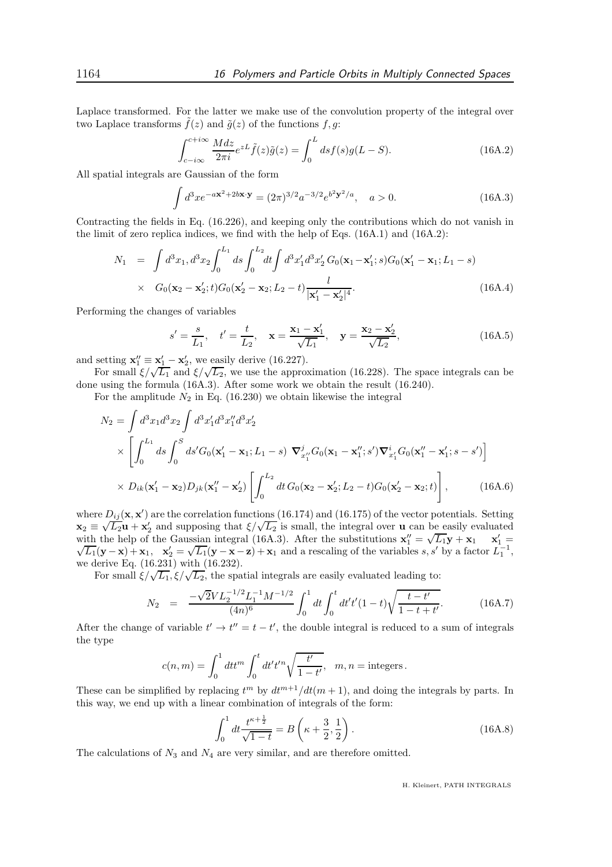Laplace transformed. For the latter we make use of the convolution property of the integral over two Laplace transforms  $\tilde{f}(z)$  and  $\tilde{g}(z)$  of the functions f, g:

$$
\int_{c-i\infty}^{c+i\infty} \frac{Mdz}{2\pi i} e^{zL} \tilde{f}(z)\tilde{g}(z) = \int_0^L ds f(s)g(L-S).
$$
 (16A.2)

All spatial integrals are Gaussian of the form

$$
\int d^3x e^{-a\mathbf{x}^2 + 2b\mathbf{x} \cdot \mathbf{y}} = (2\pi)^{3/2} a^{-3/2} e^{b^2 \mathbf{y}^2 / a}, \quad a > 0.
$$
 (16A.3)

Contracting the fields in Eq. (16.226), and keeping only the contributions which do not vanish in the limit of zero replica indices, we find with the help of Eqs.  $(16A.1)$  and  $(16A.2)$ :

$$
N_1 = \int d^3 x_1 \, d^3 x_2 \int_0^{L_1} ds \int_0^{L_2} dt \int d^3 x'_1 \, d^3 x'_2 \, G_0(\mathbf{x}_1 - \mathbf{x}'_1; s) G_0(\mathbf{x}'_1 - \mathbf{x}_1; L_1 - s)
$$
  
 
$$
\times G_0(\mathbf{x}_2 - \mathbf{x}'_2; t) G_0(\mathbf{x}'_2 - \mathbf{x}_2; L_2 - t) \frac{l}{|\mathbf{x}'_1 - \mathbf{x}'_2|^4}.
$$
 (16A.4)

Performing the changes of variables

$$
s' = \frac{s}{L_1}, \quad t' = \frac{t}{L_2}, \quad \mathbf{x} = \frac{\mathbf{x}_1 - \mathbf{x}_1'}{\sqrt{L_1}}, \quad \mathbf{y} = \frac{\mathbf{x}_2 - \mathbf{x}_2'}{\sqrt{L_2}},
$$
 (16A.5)

and setting  $\mathbf{x}_1'' \equiv \mathbf{x}_1' - \mathbf{x}_2'$ , we easily derive (16.227).

For small  $\xi/\sqrt{L_1}$  and  $\xi/\sqrt{L_2}$ , we use the approximation (16.228). The space integrals can be done using the formula (16A.3). After some work we obtain the result (16.240).

For the amplitude  $N_2$  in Eq. (16.230) we obtain likewise the integral

$$
N_2 = \int d^3x_1 d^3x_2 \int d^3x'_1 d^3x''_1 d^3x'_2
$$
  
 
$$
\times \left[ \int_0^{L_1} ds \int_0^S ds' G_0(\mathbf{x}'_1 - \mathbf{x}_1; L_1 - s) \nabla_{x'_1}^j G_0(\mathbf{x}_1 - \mathbf{x}''_1; s') \nabla_{x'_1}^i G_0(\mathbf{x}''_1 - \mathbf{x}'_1; s - s') \right]
$$
  
 
$$
\times D_{ik}(\mathbf{x}'_1 - \mathbf{x}_2) D_{jk}(\mathbf{x}''_1 - \mathbf{x}'_2) \left[ \int_0^{L_2} dt \, G_0(\mathbf{x}_2 - \mathbf{x}'_2; L_2 - t) G_0(\mathbf{x}'_2 - \mathbf{x}_2; t) \right], \qquad (16A.6)
$$

where  $D_{ij}(\mathbf{x}, \mathbf{x}')$  are the correlation functions (16.174) and (16.175) of the vector potentials. Setting  $\mathbf{x}_2 \equiv \sqrt{L_2} \mathbf{u} + \mathbf{x}'_2$  and supposing that  $\xi/\sqrt{L_2}$  is small, the integral over **u** can be easily evaluated with the help of the Gaussian integral (16A.3). After the substitutions  $\mathbf{x}_1'' = \sqrt{L_1}\mathbf{y} + \mathbf{x}_1 \quad \mathbf{x}_1'$ with the help of the Gaussian integral (16A.3). After the substitutions  $\mathbf{x}_1'' = \sqrt{L_1}\mathbf{y} + \mathbf{x}_1$   $\mathbf{x}_1' = \sqrt{L_1}(\mathbf{y} - \mathbf{x}) + \mathbf{x}_1$ ,  $\mathbf{x}_2' = \sqrt{L_1}(\mathbf{y} - \mathbf{x} - \mathbf{z}) + \mathbf{x}_1$  and a rescaling of the variables s, s we derive Eq. (16.231) with (16.232).

For small  $\xi/\sqrt{L_1}$ ,  $\xi/\sqrt{L_2}$ , the spatial integrals are easily evaluated leading to:

$$
N_2 = \frac{-\sqrt{2}VL_2^{-1/2}L_1^{-1}M^{-1/2}}{(4n)^6} \int_0^1 dt \int_0^t dt' t'(1-t) \sqrt{\frac{t-t'}{1-t+t'}}.
$$
 (16A.7)

After the change of variable  $t' \rightarrow t'' = t - t'$ , the double integral is reduced to a sum of integrals the type

$$
c(n,m) = \int_0^1 dt t^m \int_0^t dt' t'^n \sqrt{\frac{t'}{1-t'}}, \quad m, n = \text{integers}.
$$

These can be simplified by replacing  $t^m$  by  $dt^{m+1}/dt(m+1)$ , and doing the integrals by parts. In this way, we end up with a linear combination of integrals of the form:

$$
\int_0^1 dt \frac{t^{\kappa + \frac{1}{2}}}{\sqrt{1 - t}} = B\left(\kappa + \frac{3}{2}, \frac{1}{2}\right).
$$
 (16A.8)

The calculations of  $N_3$  and  $N_4$  are very similar, and are therefore omitted.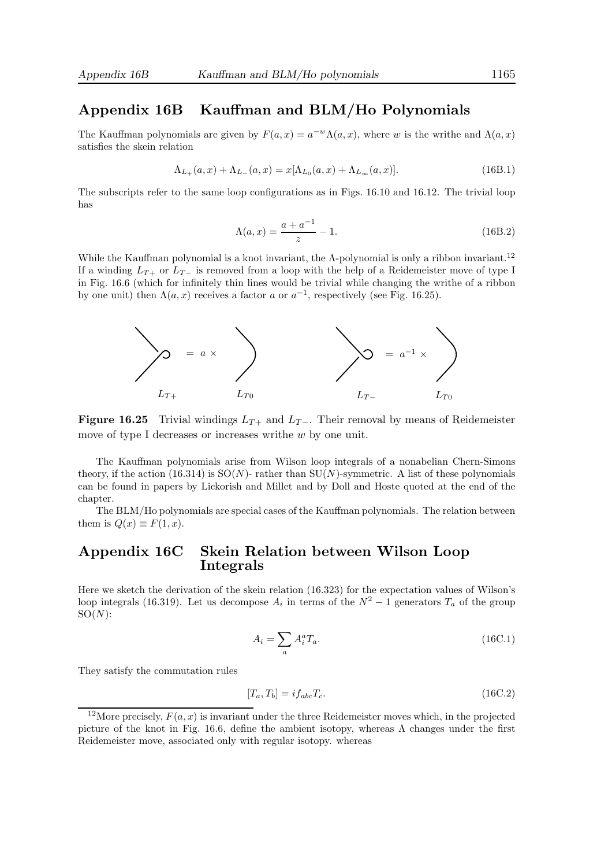# Appendix 16B Kauffman and BLM/Ho Polynomials

The Kauffman polynomials are given by  $F(a, x) = a^{-w} \Lambda(a, x)$ , where w is the writhe and  $\Lambda(a, x)$ satisfies the skein relation

$$
\Lambda_{L_{+}}(a,x) + \Lambda_{L_{-}}(a,x) = x[\Lambda_{L_{0}}(a,x) + \Lambda_{L_{\infty}}(a,x)].
$$
\n(16B.1)

The subscripts refer to the same loop configurations as in Figs. 16.10 and 16.12. The trivial loop has

$$
\Lambda(a,x) = \frac{a + a^{-1}}{z} - 1.
$$
\n(16B.2)

While the Kauffman polynomial is a knot invariant, the  $\Lambda$ -polynomial is only a ribbon invariant.<sup>12</sup> If a winding  $L_{T+}$  or  $L_{T-}$  is removed from a loop with the help of a Reidemeister move of type I in Fig. 16.6 (which for infinitely thin lines would be trivial while changing the writhe of a ribbon by one unit) then  $\Lambda(a,x)$  receives a factor a or  $a^{-1}$ , respectively (see Fig. 16.25).



Figure 16.25 Trivial windings  $L_{T+}$  and  $L_{T-}$ . Their removal by means of Reidemeister move of type I decreases or increases writhe w by one unit.

The Kauffman polynomials arise from Wilson loop integrals of a nonabelian Chern-Simons theory, if the action (16.314) is  $SO(N)$ - rather than  $SU(N)$ -symmetric. A list of these polynomials can be found in papers by Lickorish and Millet and by Doll and Hoste quoted at the end of the chapter.

The BLM/Ho polynomials are special cases of the Kauffman polynomials. The relation between them is  $Q(x) \equiv F(1, x)$ .

## Appendix 16C Skein Relation between Wilson Loop Integrals

Here we sketch the derivation of the skein relation (16.323) for the expectation values of Wilson's loop integrals (16.319). Let us decompose  $A_i$  in terms of the  $N^2 - 1$  generators  $T_a$  of the group  $SO(N)$ :

$$
A_i = \sum_a A_i^a T_a. \tag{16C.1}
$$

They satisfy the commutation rules

$$
[T_a, T_b] = i f_{abc} T_c. \tag{16C.2}
$$

<sup>&</sup>lt;sup>12</sup>More precisely,  $F(a, x)$  is invariant under the three Reidemeister moves which, in the projected picture of the knot in Fig. 16.6, define the ambient isotopy, whereas  $\Lambda$  changes under the first Reidemeister move, associated only with regular isotopy. whereas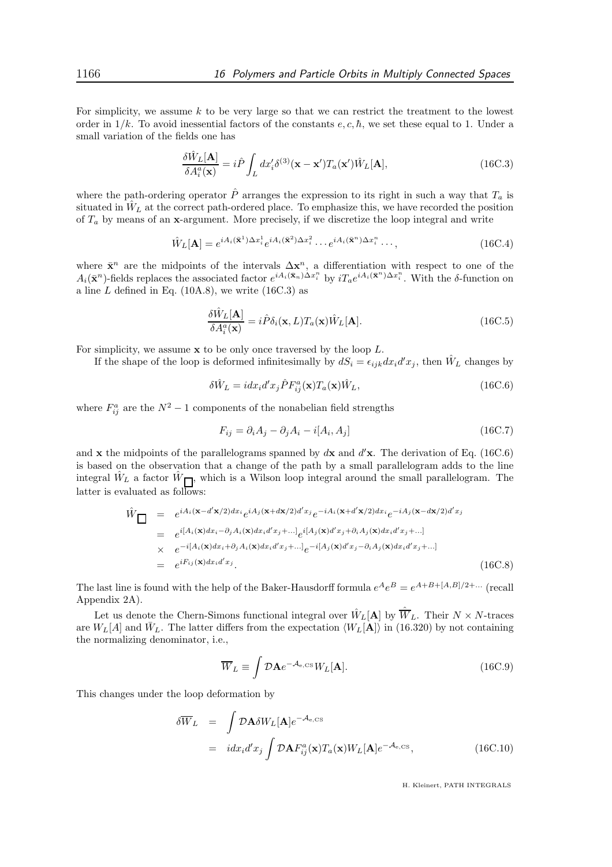For simplicity, we assume  $k$  to be very large so that we can restrict the treatment to the lowest order in  $1/k$ . To avoid inessential factors of the constants  $e, c, \hbar$ , we set these equal to 1. Under a small variation of the fields one has

$$
\frac{\delta \hat{W}_L[\mathbf{A}]}{\delta A_i^a(\mathbf{x})} = i\hat{P} \int_L dx_i' \delta^{(3)}(\mathbf{x} - \mathbf{x}') T_a(\mathbf{x}') \hat{W}_L[\mathbf{A}], \qquad (16C.3)
$$

where the path-ordering operator  $\hat{P}$  arranges the expression to its right in such a way that  $T_a$  is situated in  $\hat{W}_L$  at the correct path-ordered place. To emphasize this, we have recorded the position of  $T_a$  by means of an x-argument. More precisely, if we discretize the loop integral and write

$$
\hat{W}_L[\mathbf{A}] = e^{iA_i(\bar{\mathbf{x}}^1)\Delta x_i^1} e^{iA_i(\bar{\mathbf{x}}^2)\Delta x_i^2} \cdots e^{iA_i(\bar{\mathbf{x}}^n)\Delta x_i^n} \cdots,
$$
\n(16C.4)

where  $\bar{\mathbf{x}}^n$  are the midpoints of the intervals  $\Delta \mathbf{x}^n$ , a differentiation with respect to one of the  $A_i(\bar{\mathbf{x}}^n)$ -fields replaces the associated factor  $e^{iA_i(\bar{\mathbf{x}}_n)\Delta x_i^n}$  by  $iT_a e^{iA_i(\bar{\mathbf{x}}^n)\Delta x_i^n}$ . With the  $\delta$ -function on a line  $L$  defined in Eq. (10A.8), we write (16C.3) as

$$
\frac{\delta \hat{W}_L[\mathbf{A}]}{\delta A_i^a(\mathbf{x})} = i \hat{P} \delta_i(\mathbf{x}, L) T_a(\mathbf{x}) \hat{W}_L[\mathbf{A}]. \tag{16C.5}
$$

For simplicity, we assume  $x$  to be only once traversed by the loop  $L$ .

If the shape of the loop is deformed infinitesimally by  $dS_i = \epsilon_{ijk} dx_i d'x_j$ , then  $\hat{W}_L$  changes by

$$
\delta \hat{W}_L = i dx_i d' x_j \hat{P} F_{ij}^a(\mathbf{x}) T_a(\mathbf{x}) \hat{W}_L, \qquad (16C.6)
$$

where  $F_{ij}^a$  are the  $N^2 - 1$  components of the nonabelian field strengths

$$
F_{ij} = \partial_i A_j - \partial_j A_i - i[A_i, A_j] \tag{16C.7}
$$

and **x** the midpoints of the parallelograms spanned by  $d\mathbf{x}$  and  $d'\mathbf{x}$ . The derivation of Eq. (16C.6) is based on the observation that a change of the path by a small parallelogram adds to the line integral  $\hat{W}_L$  a factor  $\hat{W}_{\square}$ , which is a Wilson loop integral around the small parallelogram. The latter is evaluated as follows:

$$
\hat{W}_{\square} = e^{iA_i(\mathbf{x}-d'\mathbf{x}/2)dx_i}e^{iA_j(\mathbf{x}+d\mathbf{x}/2)d'x_j}e^{-iA_i(\mathbf{x}+d'\mathbf{x}/2)dx_i}e^{-iA_j(\mathbf{x}-d\mathbf{x}/2)d'x_j}
$$
\n
$$
= e^{i[A_i(\mathbf{x})dx_i - \partial_j A_i(\mathbf{x})dx_i d'x_j + \ldots]}e^{i[A_j(\mathbf{x})d'x_j + \partial_i A_j(\mathbf{x})dx_i d'x_j + \ldots]}
$$
\n
$$
\times e^{-i[A_i(\mathbf{x})dx_i + \partial_j A_i(\mathbf{x})dx_i d'x_j + \ldots]}e^{-i[A_j(\mathbf{x})d'x_j - \partial_i A_j(\mathbf{x})dx_i d'x_j + \ldots]}
$$
\n
$$
= e^{iF_{ij}(\mathbf{x})dx_i d'x_j}.
$$
\n(16C.8)

The last line is found with the help of the Baker-Hausdorff formula  $e^A e^B = e^{A+B+[A,B]/2+\dots}$  (recall Appendix 2A).

Let us denote the Chern-Simons functional integral over  $\hat{W}_L[A]$  by  $\hat{\overline{W}}_L$ . Their  $N \times N$ -traces are  $W_L[A]$  and  $\bar{W}_L$ . The latter differs from the expectation  $\langle W_L[A] \rangle$  in (16.320) by not containing the normalizing denominator, i.e.,

$$
\overline{W}_L \equiv \int \mathcal{D} \mathbf{A} e^{-\mathcal{A}_{e,\text{CS}}} W_L[\mathbf{A}]. \tag{16C.9}
$$

This changes under the loop deformation by

$$
\delta \overline{W}_L = \int \mathcal{D} \mathbf{A} \delta W_L[\mathbf{A}] e^{-\mathcal{A}_{e,\text{CS}}}
$$
  
=  $i dx_i d' x_j \int \mathcal{D} \mathbf{A} F_{ij}^a(\mathbf{x}) T_a(\mathbf{x}) W_L[\mathbf{A}] e^{-\mathcal{A}_{e,\text{CS}}},$  (16C.10)

H. Kleinert, PATH INTEGRALS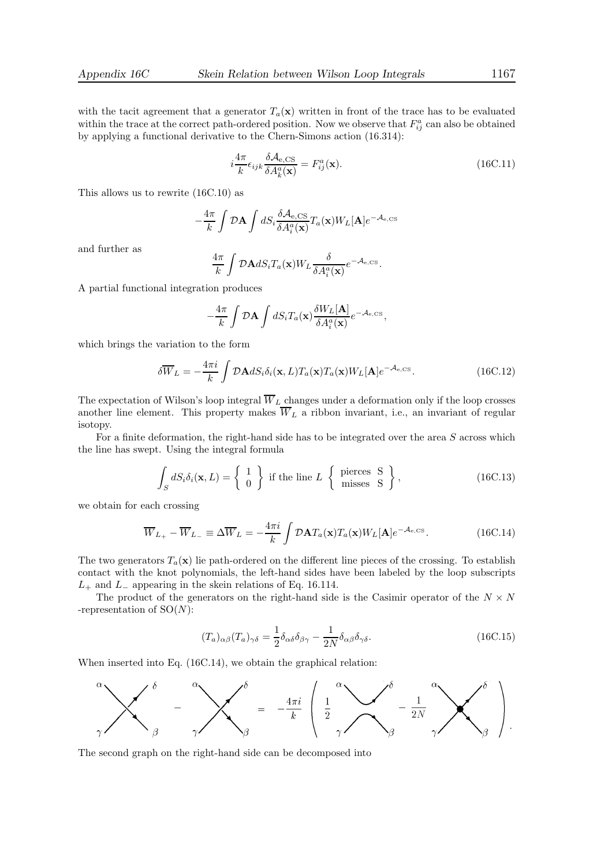with the tacit agreement that a generator  $T_a(\mathbf{x})$  written in front of the trace has to be evaluated within the trace at the correct path-ordered position. Now we observe that  $F_{ij}^a$  can also be obtained by applying a functional derivative to the Chern-Simons action (16.314):

$$
i\frac{4\pi}{k}\epsilon_{ijk}\frac{\delta\mathcal{A}_{\text{e,CS}}}{\delta A_k^a(\mathbf{x})} = F_{ij}^a(\mathbf{x}).\tag{16C.11}
$$

This allows us to rewrite (16C.10) as

$$
-\frac{4\pi}{k}\int\mathcal{D}\mathbf{A}\int dS_i \frac{\delta \mathcal{A}_{\mathrm{e,CS}}}{\delta A_i^a(\mathbf{x})}T_a(\mathbf{x})W_L[\mathbf{A}]e^{-\mathcal{A}_{\mathrm{e,CS}}}
$$

and further as

$$
\frac{4\pi}{k}\int\mathcal{D}\mathbf{A}dS_{i}T_{a}(\mathbf{x})W_{L}\frac{\delta}{\delta A_{i}^{a}(\mathbf{x})}e^{-\mathcal{A}_{\mathrm{e,CS}}}.
$$

A partial functional integration produces

$$
-\frac{4\pi}{k}\int\mathcal{D}\mathbf{A}\int dS_i T_a(\mathbf{x})\frac{\delta W_L[\mathbf{A}]}{\delta A_i^a(\mathbf{x})}e^{-\mathcal{A}_{\rm e, CS}},
$$

which brings the variation to the form

$$
\delta \overline{W}_L = -\frac{4\pi i}{k} \int \mathcal{D} \mathbf{A} dS_i \delta_i(\mathbf{x}, L) T_a(\mathbf{x}) T_a(\mathbf{x}) W_L[\mathbf{A}] e^{-\mathcal{A}_{\text{e,CS}}}.
$$
\n(16C.12)

The expectation of Wilson's loop integral  $\overline{W}_L$  changes under a deformation only if the loop crosses another line element. This property makes  $\overline{W}_L$  a ribbon invariant, i.e., an invariant of regular isotopy.

For a finite deformation, the right-hand side has to be integrated over the area S across which the line has swept. Using the integral formula

$$
\int_{S} dS_{i} \delta_{i}(\mathbf{x}, L) = \begin{cases} 1 \\ 0 \end{cases} \text{ if the line } L \begin{cases} \text{pieces} \\ \text{misses} \end{cases} \begin{cases} \text{,} \\ \text{s} \end{cases}, \tag{16C.13}
$$

we obtain for each crossing

$$
\overline{W}_{L_{+}} - \overline{W}_{L_{-}} \equiv \Delta \overline{W}_{L} = -\frac{4\pi i}{k} \int \mathcal{D}A T_{a}(\mathbf{x}) T_{a}(\mathbf{x}) W_{L}[\mathbf{A}] e^{-\mathcal{A}_{e,\mathrm{CS}}}.
$$
\n(16C.14)

The two generators  $T_a(\mathbf{x})$  lie path-ordered on the different line pieces of the crossing. To establish contact with the knot polynomials, the left-hand sides have been labeled by the loop subscripts  $L_{+}$  and  $L_{-}$  appearing in the skein relations of Eq. 16.114.

The product of the generators on the right-hand side is the Casimir operator of the  $N \times N$ -representation of  $SO(N)$ :

$$
(T_a)_{\alpha\beta}(T_a)_{\gamma\delta} = \frac{1}{2}\delta_{\alpha\delta}\delta_{\beta\gamma} - \frac{1}{2N}\delta_{\alpha\beta}\delta_{\gamma\delta}.
$$
 (16C.15)

When inserted into Eq. (16C.14), we obtain the graphical relation:



The second graph on the right-hand side can be decomposed into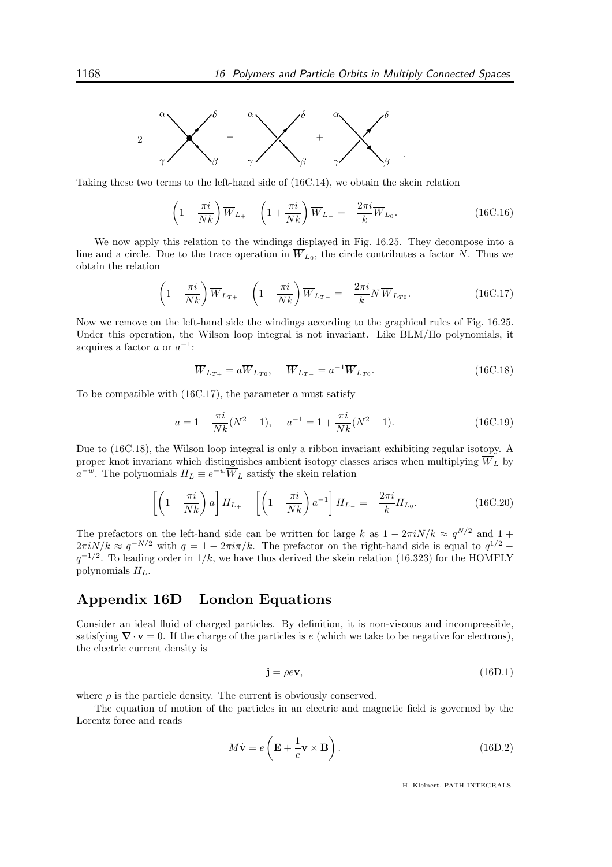

Taking these two terms to the left-hand side of (16C.14), we obtain the skein relation

$$
\left(1 - \frac{\pi i}{Nk}\right)\overline{W}_{L_{+}} - \left(1 + \frac{\pi i}{Nk}\right)\overline{W}_{L_{-}} = -\frac{2\pi i}{k}\overline{W}_{L_{0}}.\tag{16C.16}
$$

We now apply this relation to the windings displayed in Fig. 16.25. They decompose into a line and a circle. Due to the trace operation in  $W_{L_0}$ , the circle contributes a factor N. Thus we obtain the relation

$$
\left(1 - \frac{\pi i}{Nk}\right)\overline{W}_{L_{T+}} - \left(1 + \frac{\pi i}{Nk}\right)\overline{W}_{L_{T-}} = -\frac{2\pi i}{k}N\overline{W}_{L_{T0}}.\tag{16C.17}
$$

Now we remove on the left-hand side the windings according to the graphical rules of Fig. 16.25. Under this operation, the Wilson loop integral is not invariant. Like BLM/Ho polynomials, it acquires a factor  $a$  or  $a^{-1}$ :

$$
\overline{W}_{L_{T+}} = a \overline{W}_{L_{T0}}, \quad \overline{W}_{L_{T-}} = a^{-1} \overline{W}_{L_{T0}}.
$$
\n(16C.18)

To be compatible with  $(16C.17)$ , the parameter a must satisfy

$$
a = 1 - \frac{\pi i}{Nk}(N^2 - 1), \quad a^{-1} = 1 + \frac{\pi i}{Nk}(N^2 - 1).
$$
 (16C.19)

Due to (16C.18), the Wilson loop integral is only a ribbon invariant exhibiting regular isotopy. A proper knot invariant which distinguishes ambient isotopy classes arises when multiplying  $\overline{W}_L$  by  $a^{-w}$ . The polynomials  $H_L \equiv e^{-w} \overline{W}_L$  satisfy the skein relation

$$
\left[\left(1-\frac{\pi i}{Nk}\right)a\right]H_{L_{+}}-\left[\left(1+\frac{\pi i}{Nk}\right)a^{-1}\right]H_{L_{-}}=-\frac{2\pi i}{k}H_{L_{0}}.\tag{16C.20}
$$

The prefactors on the left-hand side can be written for large k as  $1 - 2\pi i N/k \approx q^{N/2}$  and  $1 +$  $2\pi i N/k \approx q^{-N/2}$  with  $q = 1 - 2\pi i \pi/k$ . The prefactor on the right-hand side is equal to  $q^{1/2}$  –  $q^{-1/2}$ . To leading order in  $1/k$ , we have thus derived the skein relation (16.323) for the HOMFLY polynomials  $H_L$ .

## Appendix 16D London Equations

Consider an ideal fluid of charged particles. By definition, it is non-viscous and incompressible, satisfying  $\nabla \cdot \mathbf{v} = 0$ . If the charge of the particles is e (which we take to be negative for electrons), the electric current density is

$$
\mathbf{j} = \rho e \mathbf{v},\tag{16D.1}
$$

where  $\rho$  is the particle density. The current is obviously conserved.

The equation of motion of the particles in an electric and magnetic field is governed by the Lorentz force and reads

$$
M\dot{\mathbf{v}} = e\left(\mathbf{E} + \frac{1}{c}\mathbf{v} \times \mathbf{B}\right).
$$
 (16D.2)

H. Kleinert, PATH INTEGRALS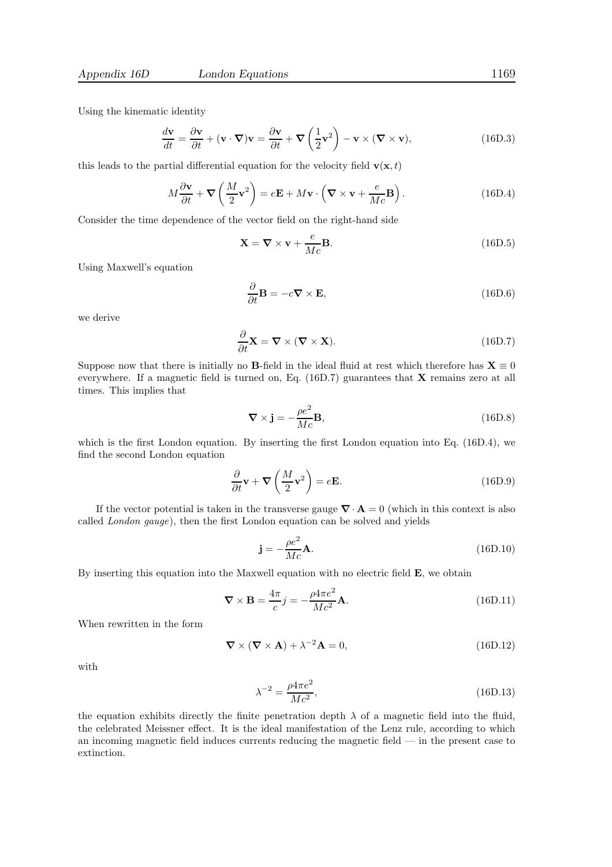Using the kinematic identity

$$
\frac{d\mathbf{v}}{dt} = \frac{\partial \mathbf{v}}{\partial t} + (\mathbf{v} \cdot \nabla)\mathbf{v} = \frac{\partial \mathbf{v}}{\partial t} + \nabla \left(\frac{1}{2}\mathbf{v}^2\right) - \mathbf{v} \times (\nabla \times \mathbf{v}),\tag{16D.3}
$$

this leads to the partial differential equation for the velocity field  $\mathbf{v}(\mathbf{x}, t)$ 

$$
M\frac{\partial \mathbf{v}}{\partial t} + \nabla \left(\frac{M}{2}\mathbf{v}^2\right) = e\mathbf{E} + M\mathbf{v} \cdot \left(\nabla \times \mathbf{v} + \frac{e}{Mc}\mathbf{B}\right). \tag{16D.4}
$$

Consider the time dependence of the vector field on the right-hand side

$$
\mathbf{X} = \nabla \times \mathbf{v} + \frac{e}{Mc} \mathbf{B}.
$$
 (16D.5)

Using Maxwell's equation

$$
\frac{\partial}{\partial t} \mathbf{B} = -c \nabla \times \mathbf{E},\tag{16D.6}
$$

we derive

$$
\frac{\partial}{\partial t} \mathbf{X} = \mathbf{\nabla} \times (\mathbf{\nabla} \times \mathbf{X}).
$$
\n(16D.7)

Suppose now that there is initially no B-field in the ideal fluid at rest which therefore has  $\mathbf{X} \equiv 0$ everywhere. If a magnetic field is turned on, Eq. (16D.7) guarantees that X remains zero at all times. This implies that

$$
\nabla \times \mathbf{j} = -\frac{\rho e^2}{Mc} \mathbf{B},\tag{16D.8}
$$

which is the first London equation. By inserting the first London equation into Eq. (16D.4), we find the second London equation

$$
\frac{\partial}{\partial t}\mathbf{v} + \nabla \left(\frac{M}{2}\mathbf{v}^2\right) = e\mathbf{E}.
$$
 (16D.9)

If the vector potential is taken in the transverse gauge  $\nabla \cdot \mathbf{A} = 0$  (which in this context is also called London gauge), then the first London equation can be solved and yields

$$
\mathbf{j} = -\frac{\rho e^2}{Mc} \mathbf{A}.\tag{16D.10}
$$

By inserting this equation into the Maxwell equation with no electric field  $\mathbf{E}$ , we obtain

$$
\nabla \times \mathbf{B} = \frac{4\pi}{c} j = -\frac{\rho 4\pi e^2}{Mc^2} \mathbf{A}.
$$
 (16D.11)

When rewritten in the form

$$
\nabla \times (\nabla \times \mathbf{A}) + \lambda^{-2} \mathbf{A} = 0, \tag{16D.12}
$$

with

$$
\lambda^{-2} = \frac{\rho 4\pi e^2}{Mc^2},\tag{16D.13}
$$

the equation exhibits directly the finite penetration depth  $\lambda$  of a magnetic field into the fluid, the celebrated Meissner effect. It is the ideal manifestation of the Lenz rule, according to which an incoming magnetic field induces currents reducing the magnetic field — in the present case to extinction.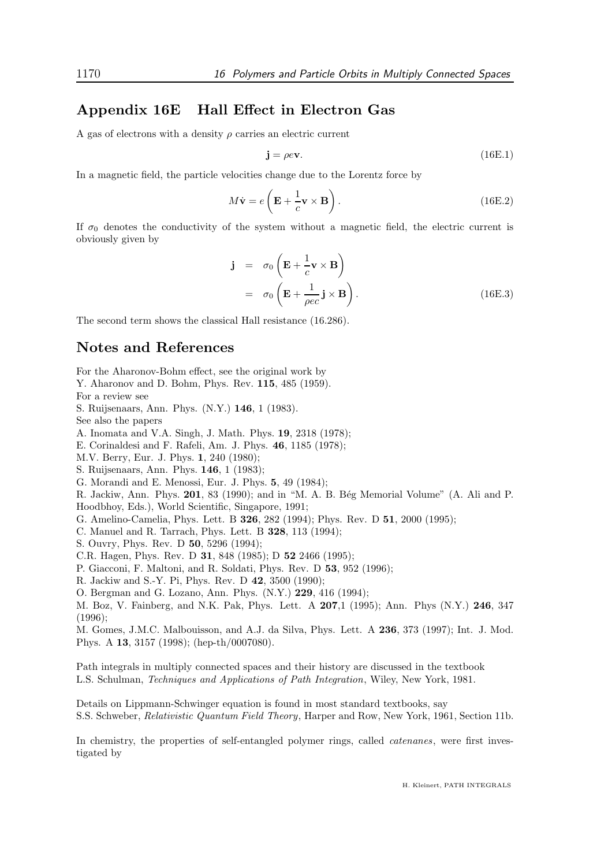## Appendix 16E Hall Effect in Electron Gas

A gas of electrons with a density  $\rho$  carries an electric current

$$
\mathbf{j} = \rho e \mathbf{v}.\tag{16E.1}
$$

In a magnetic field, the particle velocities change due to the Lorentz force by

$$
M\dot{\mathbf{v}} = e\left(\mathbf{E} + \frac{1}{c}\mathbf{v} \times \mathbf{B}\right).
$$
 (16E.2)

If  $\sigma_0$  denotes the conductivity of the system without a magnetic field, the electric current is obviously given by

$$
\mathbf{j} = \sigma_0 \left( \mathbf{E} + \frac{1}{c} \mathbf{v} \times \mathbf{B} \right)
$$
  
=  $\sigma_0 \left( \mathbf{E} + \frac{1}{\rho e c} \mathbf{j} \times \mathbf{B} \right)$ . (16E.3)

The second term shows the classical Hall resistance (16.286).

## Notes and References

For the Aharonov-Bohm effect, see the original work by

Y. Aharonov and D. Bohm, Phys. Rev. 115, 485 (1959).

For a review see

S. Ruijsenaars, Ann. Phys. (N.Y.) 146, 1 (1983).

See also the papers

A. Inomata and V.A. Singh, J. Math. Phys. 19, 2318 (1978);

E. Corinaldesi and F. Rafeli, Am. J. Phys. 46, 1185 (1978);

M.V. Berry, Eur. J. Phys. 1, 240 (1980);

S. Ruijsenaars, Ann. Phys. 146, 1 (1983);

G. Morandi and E. Menossi, Eur. J. Phys. 5, 49 (1984);

- R. Jackiw, Ann. Phys. 201, 83 (1990); and in "M. A. B. Bég Memorial Volume" (A. Ali and P. Hoodbhoy, Eds.), World Scientific, Singapore, 1991;
- G. Amelino-Camelia, Phys. Lett. B 326, 282 (1994); Phys. Rev. D 51, 2000 (1995);

C. Manuel and R. Tarrach, Phys. Lett. B 328, 113 (1994);

S. Ouvry, Phys. Rev. D 50, 5296 (1994);

C.R. Hagen, Phys. Rev. D 31, 848 (1985); D 52 2466 (1995);

- P. Giacconi, F. Maltoni, and R. Soldati, Phys. Rev. D 53, 952 (1996);
- R. Jackiw and S.-Y. Pi, Phys. Rev. D 42, 3500 (1990);

O. Bergman and G. Lozano, Ann. Phys. (N.Y.) 229, 416 (1994);

M. Boz, V. Fainberg, and N.K. Pak, Phys. Lett. A 207,1 (1995); Ann. Phys (N.Y.) 246, 347  $(1996)$ :

M. Gomes, J.M.C. Malbouisson, and A.J. da Silva, Phys. Lett. A 236, 373 (1997); Int. J. Mod. Phys. A 13, 3157 (1998); (hep-th/0007080).

Path integrals in multiply connected spaces and their history are discussed in the textbook L.S. Schulman, Techniques and Applications of Path Integration, Wiley, New York, 1981.

Details on Lippmann-Schwinger equation is found in most standard textbooks, say S.S. Schweber, Relativistic Quantum Field Theory, Harper and Row, New York, 1961, Section 11b.

In chemistry, the properties of self-entangled polymer rings, called *catenanes*, were first investigated by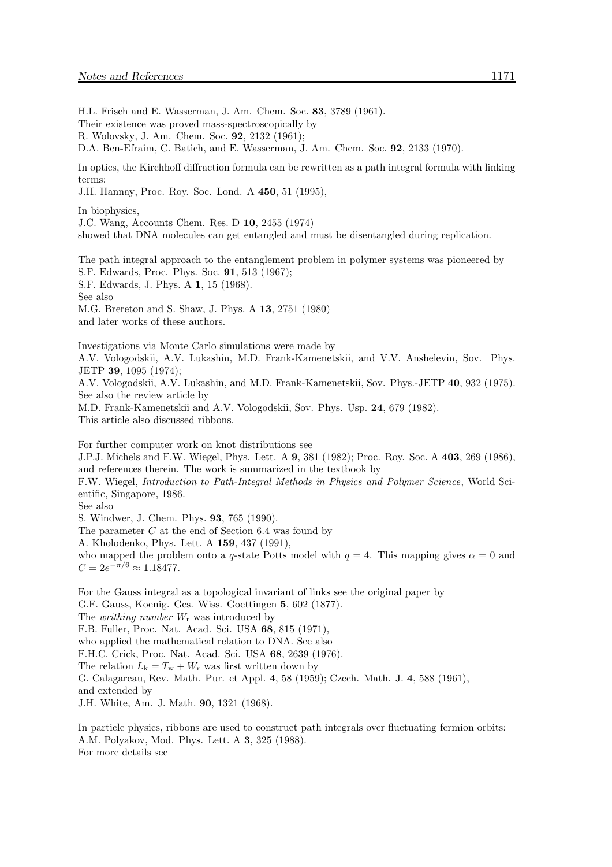H.L. Frisch and E. Wasserman, J. Am. Chem. Soc. 83, 3789 (1961). Their existence was proved mass-spectroscopically by R. Wolovsky, J. Am. Chem. Soc. 92, 2132 (1961); D.A. Ben-Efraim, C. Batich, and E. Wasserman, J. Am. Chem. Soc. 92, 2133 (1970).

In optics, the Kirchhoff diffraction formula can be rewritten as a path integral formula with linking terms:

J.H. Hannay, Proc. Roy. Soc. Lond. A 450, 51 (1995),

In biophysics,

J.C. Wang, Accounts Chem. Res. D 10, 2455 (1974)

showed that DNA molecules can get entangled and must be disentangled during replication.

The path integral approach to the entanglement problem in polymer systems was pioneered by S.F. Edwards, Proc. Phys. Soc. 91, 513 (1967); S.F. Edwards, J. Phys. A 1, 15 (1968). See also M.G. Brereton and S. Shaw, J. Phys. A 13, 2751 (1980) and later works of these authors.

Investigations via Monte Carlo simulations were made by A.V. Vologodskii, A.V. Lukashin, M.D. Frank-Kamenetskii, and V.V. Anshelevin, Sov. Phys. JETP 39, 1095 (1974); A.V. Vologodskii, A.V. Lukashin, and M.D. Frank-Kamenetskii, Sov. Phys.-JETP 40, 932 (1975). See also the review article by M.D. Frank-Kamenetskii and A.V. Vologodskii, Sov. Phys. Usp. 24, 679 (1982). This article also discussed ribbons.

For further computer work on knot distributions see J.P.J. Michels and F.W. Wiegel, Phys. Lett. A 9, 381 (1982); Proc. Roy. Soc. A 403, 269 (1986), and references therein. The work is summarized in the textbook by F.W. Wiegel, Introduction to Path-Integral Methods in Physics and Polymer Science, World Scientific, Singapore, 1986. See also S. Windwer, J. Chem. Phys. 93, 765 (1990). The parameter  $C$  at the end of Section 6.4 was found by A. Kholodenko, Phys. Lett. A 159, 437 (1991), who mapped the problem onto a q-state Potts model with  $q = 4$ . This mapping gives  $\alpha = 0$  and

 $C = 2e^{-\pi/6} \approx 1.18477.$ For the Gauss integral as a topological invariant of links see the original paper by

G.F. Gauss, Koenig. Ges. Wiss. Goettingen 5, 602 (1877). The *writhing number*  $W_r$  was introduced by F.B. Fuller, Proc. Nat. Acad. Sci. USA 68, 815 (1971), who applied the mathematical relation to DNA. See also F.H.C. Crick, Proc. Nat. Acad. Sci. USA 68, 2639 (1976). The relation  $L_{k} = T_{w} + W_{r}$  was first written down by G. Calagareau, Rev. Math. Pur. et Appl. 4, 58 (1959); Czech. Math. J. 4, 588 (1961), and extended by J.H. White, Am. J. Math. 90, 1321 (1968).

In particle physics, ribbons are used to construct path integrals over fluctuating fermion orbits: A.M. Polyakov, Mod. Phys. Lett. A 3, 325 (1988). For more details see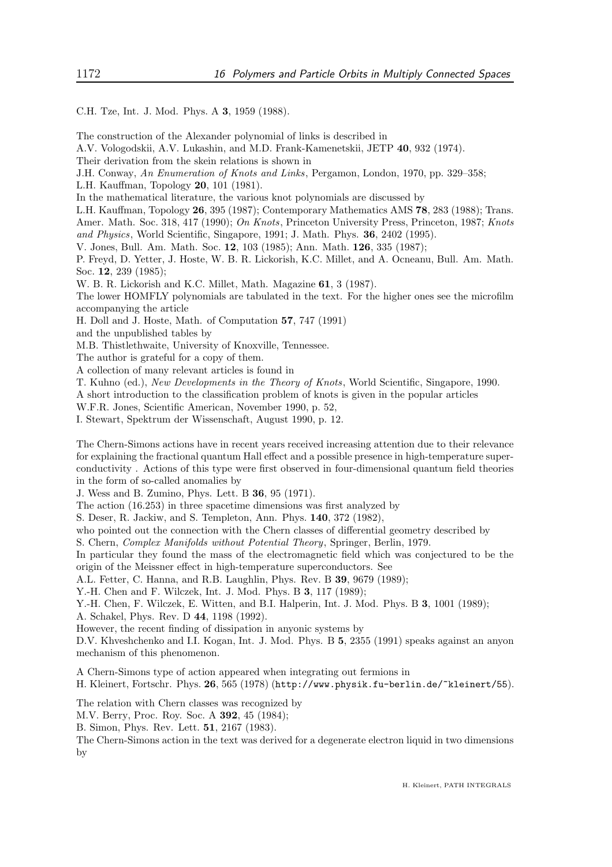C.H. Tze, Int. J. Mod. Phys. A 3, 1959 (1988).

The construction of the Alexander polynomial of links is described in

- A.V. Vologodskii, A.V. Lukashin, and M.D. Frank-Kamenetskii, JETP 40, 932 (1974).
- Their derivation from the skein relations is shown in
- J.H. Conway, An Enumeration of Knots and Links, Pergamon, London, 1970, pp. 329–358;
- L.H. Kauffman, Topology 20, 101 (1981).
- In the mathematical literature, the various knot polynomials are discussed by
- L.H. Kauffman, Topology 26, 395 (1987); Contemporary Mathematics AMS 78, 283 (1988); Trans.

Amer. Math. Soc. 318, 417 (1990); On Knots, Princeton University Press, Princeton, 1987; Knots and Physics, World Scientific, Singapore, 1991; J. Math. Phys. 36, 2402 (1995).

V. Jones, Bull. Am. Math. Soc. 12, 103 (1985); Ann. Math. 126, 335 (1987);

P. Freyd, D. Yetter, J. Hoste, W. B. R. Lickorish, K.C. Millet, and A. Ocneanu, Bull. Am. Math. Soc. 12, 239 (1985);

W. B. R. Lickorish and K.C. Millet, Math. Magazine 61, 3 (1987).

The lower HOMFLY polynomials are tabulated in the text. For the higher ones see the microfilm accompanying the article

H. Doll and J. Hoste, Math. of Computation 57, 747 (1991)

and the unpublished tables by

M.B. Thistlethwaite, University of Knoxville, Tennessee.

The author is grateful for a copy of them.

A collection of many relevant articles is found in

T. Kuhno (ed.), New Developments in the Theory of Knots, World Scientific, Singapore, 1990.

A short introduction to the classification problem of knots is given in the popular articles

W.F.R. Jones, Scientific American, November 1990, p. 52,

I. Stewart, Spektrum der Wissenschaft, August 1990, p. 12.

The Chern-Simons actions have in recent years received increasing attention due to their relevance for explaining the fractional quantum Hall effect and a possible presence in high-temperature superconductivity . Actions of this type were first observed in four-dimensional quantum field theories in the form of so-called anomalies by

J. Wess and B. Zumino, Phys. Lett. B 36, 95 (1971).

The action (16.253) in three spacetime dimensions was first analyzed by

S. Deser, R. Jackiw, and S. Templeton, Ann. Phys. 140, 372 (1982),

who pointed out the connection with the Chern classes of differential geometry described by

S. Chern, Complex Manifolds without Potential Theory, Springer, Berlin, 1979.

In particular they found the mass of the electromagnetic field which was conjectured to be the origin of the Meissner effect in high-temperature superconductors. See

A.L. Fetter, C. Hanna, and R.B. Laughlin, Phys. Rev. B 39, 9679 (1989);

Y.-H. Chen and F. Wilczek, Int. J. Mod. Phys. B 3, 117 (1989);

Y.-H. Chen, F. Wilczek, E. Witten, and B.I. Halperin, Int. J. Mod. Phys. B 3, 1001 (1989);

A. Schakel, Phys. Rev. D 44, 1198 (1992).

However, the recent finding of dissipation in anyonic systems by

D.V. Khveshchenko and I.I. Kogan, Int. J. Mod. Phys. B 5, 2355 (1991) speaks against an anyon mechanism of this phenomenon.

A Chern-Simons type of action appeared when integrating out fermions in

H. Kleinert, Fortschr. Phys. 26, 565 (1978) (http://www.physik.fu-berlin.de/~kleinert/55).

The relation with Chern classes was recognized by

M.V. Berry, Proc. Roy. Soc. A 392, 45 (1984);

B. Simon, Phys. Rev. Lett. 51, 2167 (1983).

The Chern-Simons action in the text was derived for a degenerate electron liquid in two dimensions by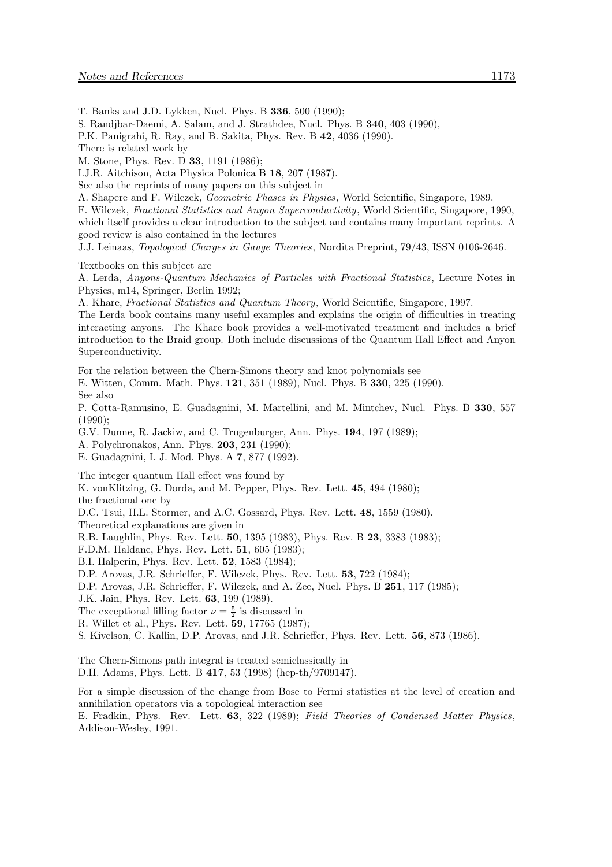T. Banks and J.D. Lykken, Nucl. Phys. B 336, 500 (1990);

S. Randjbar-Daemi, A. Salam, and J. Strathdee, Nucl. Phys. B 340, 403 (1990),

P.K. Panigrahi, R. Ray, and B. Sakita, Phys. Rev. B 42, 4036 (1990).

There is related work by

M. Stone, Phys. Rev. D 33, 1191 (1986);

I.J.R. Aitchison, Acta Physica Polonica B 18, 207 (1987).

See also the reprints of many papers on this subject in

A. Shapere and F. Wilczek, Geometric Phases in Physics, World Scientific, Singapore, 1989.

F. Wilczek, Fractional Statistics and Anyon Superconductivity, World Scientific, Singapore, 1990, which itself provides a clear introduction to the subject and contains many important reprints. A good review is also contained in the lectures

J.J. Leinaas, Topological Charges in Gauge Theories, Nordita Preprint, 79/43, ISSN 0106-2646.

Textbooks on this subject are

A. Lerda, Anyons-Quantum Mechanics of Particles with Fractional Statistics, Lecture Notes in Physics, m14, Springer, Berlin 1992;

A. Khare, Fractional Statistics and Quantum Theory, World Scientific, Singapore, 1997.

The Lerda book contains many useful examples and explains the origin of difficulties in treating interacting anyons. The Khare book provides a well-motivated treatment and includes a brief introduction to the Braid group. Both include discussions of the Quantum Hall Effect and Anyon Superconductivity.

For the relation between the Chern-Simons theory and knot polynomials see

E. Witten, Comm. Math. Phys. 121, 351 (1989), Nucl. Phys. B 330, 225 (1990).

See also

P. Cotta-Ramusino, E. Guadagnini, M. Martellini, and M. Mintchev, Nucl. Phys. B 330, 557 (1990);

G.V. Dunne, R. Jackiw, and C. Trugenburger, Ann. Phys. 194, 197 (1989);

A. Polychronakos, Ann. Phys. 203, 231 (1990);

E. Guadagnini, I. J. Mod. Phys. A 7, 877 (1992).

The integer quantum Hall effect was found by

K. vonKlitzing, G. Dorda, and M. Pepper, Phys. Rev. Lett. 45, 494 (1980);

the fractional one by

D.C. Tsui, H.L. Stormer, and A.C. Gossard, Phys. Rev. Lett. 48, 1559 (1980).

Theoretical explanations are given in

R.B. Laughlin, Phys. Rev. Lett. 50, 1395 (1983), Phys. Rev. B 23, 3383 (1983);

F.D.M. Haldane, Phys. Rev. Lett. 51, 605 (1983);

B.I. Halperin, Phys. Rev. Lett. 52, 1583 (1984);

D.P. Arovas, J.R. Schrieffer, F. Wilczek, Phys. Rev. Lett. 53, 722 (1984);

D.P. Arovas, J.R. Schrieffer, F. Wilczek, and A. Zee, Nucl. Phys. B 251, 117 (1985);

J.K. Jain, Phys. Rev. Lett. 63, 199 (1989).

The exceptional filling factor  $\nu = \frac{5}{2}$  is discussed in

R. Willet et al., Phys. Rev. Lett. 59, 17765 (1987);

S. Kivelson, C. Kallin, D.P. Arovas, and J.R. Schrieffer, Phys. Rev. Lett. 56, 873 (1986).

The Chern-Simons path integral is treated semiclassically in D.H. Adams, Phys. Lett. B 417, 53 (1998) (hep-th/9709147).

For a simple discussion of the change from Bose to Fermi statistics at the level of creation and annihilation operators via a topological interaction see

E. Fradkin, Phys. Rev. Lett. 63, 322 (1989); Field Theories of Condensed Matter Physics, Addison-Wesley, 1991.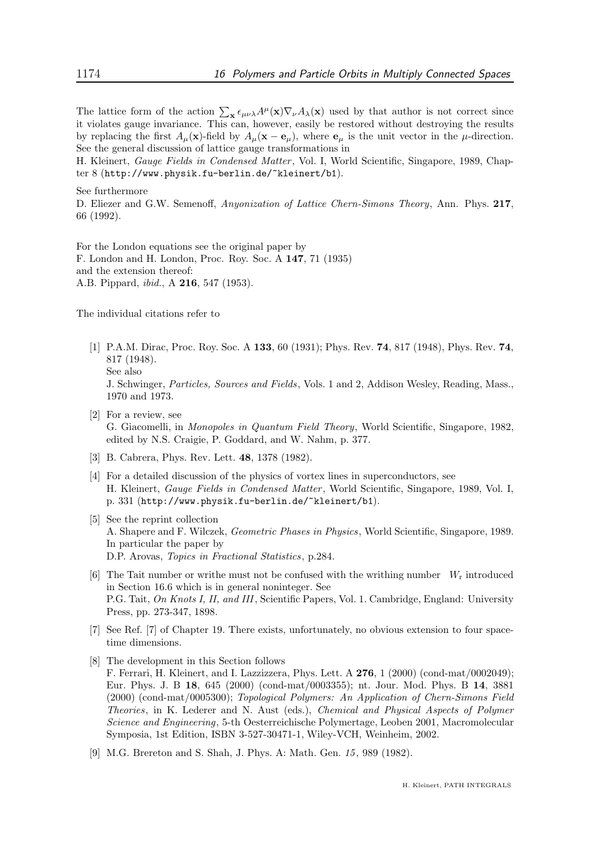The lattice form of the action  $\sum_{\mathbf{x}} \epsilon_{\mu\nu\lambda} A^{\mu}(\mathbf{x}) \nabla_{\nu} A_{\lambda}(\mathbf{x})$  used by that author is not correct since it violates gauge invariance. This can, however, easily be restored without destroying the results by replacing the first  $A_\mu(\mathbf{x})$ -field by  $A_\mu(\mathbf{x} - \mathbf{e}_\mu)$ , where  $\mathbf{e}_\mu$  is the unit vector in the  $\mu$ -direction. See the general discussion of lattice gauge transformations in

H. Kleinert, *Gauge Fields in Condensed Matter*, Vol. I, World Scientific, Singapore, 1989, Chapter 8 (http://www.physik.fu-berlin.de/~kleinert/b1).

See furthermore

D. Eliezer and G.W. Semenoff, Anyonization of Lattice Chern-Simons Theory, Ann. Phys. 217, 66 (1992).

For the London equations see the original paper by F. London and H. London, Proc. Roy. Soc. A 147, 71 (1935) and the extension thereof: A.B. Pippard, ibid., A 216, 547 (1953).

The individual citations refer to

- [1] P.A.M. Dirac, Proc. Roy. Soc. A 133, 60 (1931); Phys. Rev. 74, 817 (1948), Phys. Rev. 74, 817 (1948). See also J. Schwinger, Particles, Sources and Fields, Vols. 1 and 2, Addison Wesley, Reading, Mass., 1970 and 1973.
- [2] For a review, see G. Giacomelli, in Monopoles in Quantum Field Theory, World Scientific, Singapore, 1982, edited by N.S. Craigie, P. Goddard, and W. Nahm, p. 377.
- [3] B. Cabrera, Phys. Rev. Lett. **48**, 1378 (1982).
- [4] For a detailed discussion of the physics of vortex lines in superconductors, see H. Kleinert, *Gauge Fields in Condensed Matter*, World Scientific, Singapore, 1989, Vol. I, p. 331 (http://www.physik.fu-berlin.de/~kleinert/b1).
- [5] See the reprint collection A. Shapere and F. Wilczek, Geometric Phases in Physics, World Scientific, Singapore, 1989. In particular the paper by D.P. Arovas, Topics in Fractional Statistics, p.284.
- [6] The Tait number or writhe must not be confused with the writhing number  $W_r$  introduced in Section 16.6 which is in general noninteger. See P.G. Tait, On Knots I, II, and III, Scientific Papers, Vol. 1. Cambridge, England: University Press, pp. 273-347, 1898.
- [7] See Ref. [7] of Chapter 19. There exists, unfortunately, no obvious extension to four spacetime dimensions.
- [8] The development in this Section follows F. Ferrari, H. Kleinert, and I. Lazzizzera, Phys. Lett. A 276, 1 (2000) (cond-mat/0002049); Eur. Phys. J. B 18, 645 (2000) (cond-mat/0003355); nt. Jour. Mod. Phys. B 14, 3881 (2000) (cond-mat/0005300); Topological Polymers: An Application of Chern-Simons Field Theories, in K. Lederer and N. Aust (eds.), Chemical and Physical Aspects of Polymer Science and Engineering, 5-th Oesterreichische Polymertage, Leoben 2001, Macromolecular Symposia, 1st Edition, ISBN 3-527-30471-1, Wiley-VCH, Weinheim, 2002.
- [9] M.G. Brereton and S. Shah, J. Phys. A: Math. Gen. 15, 989 (1982).